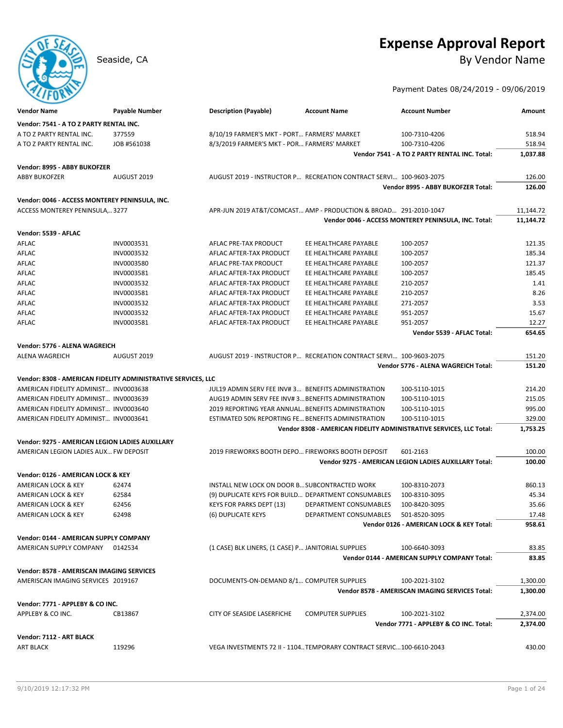## **Expense Approval Report**

Seaside, CA By Vendor Name

Payment Dates 08/24/2019 - 09/06/2019

| <b>Vendor Name</b>                                            | <b>Payable Number</b> | <b>Description (Payable)</b>                                          | <b>Account Name</b>      | <b>Account Number</b>                                               | Amount           |
|---------------------------------------------------------------|-----------------------|-----------------------------------------------------------------------|--------------------------|---------------------------------------------------------------------|------------------|
| Vendor: 7541 - A TO Z PARTY RENTAL INC.                       |                       |                                                                       |                          |                                                                     |                  |
| A TO Z PARTY RENTAL INC.                                      | 377559                | 8/10/19 FARMER'S MKT - PORT FARMERS' MARKET                           |                          | 100-7310-4206                                                       | 518.94           |
| A TO Z PARTY RENTAL INC.                                      | JOB #561038           | 8/3/2019 FARMER'S MKT - POR FARMERS' MARKET                           |                          | 100-7310-4206                                                       | 518.94           |
|                                                               |                       |                                                                       |                          | Vendor 7541 - A TO Z PARTY RENTAL INC. Total:                       | 1,037.88         |
|                                                               |                       |                                                                       |                          |                                                                     |                  |
| Vendor: 8995 - ABBY BUKOFZER<br><b>ABBY BUKOFZER</b>          | AUGUST 2019           | AUGUST 2019 - INSTRUCTOR P RECREATION CONTRACT SERVI 100-9603-2075    |                          |                                                                     | 126.00           |
|                                                               |                       |                                                                       |                          | Vendor 8995 - ABBY BUKOFZER Total:                                  | 126.00           |
|                                                               |                       |                                                                       |                          |                                                                     |                  |
| Vendor: 0046 - ACCESS MONTEREY PENINSULA, INC.                |                       |                                                                       |                          |                                                                     |                  |
| ACCESS MONTEREY PENINSULA,3277                                |                       | APR-JUN 2019 AT&T/COMCAST AMP - PRODUCTION & BROAD 291-2010-1047      |                          |                                                                     | 11,144.72        |
|                                                               |                       |                                                                       |                          | Vendor 0046 - ACCESS MONTEREY PENINSULA, INC. Total:                | 11,144.72        |
| Vendor: 5539 - AFLAC                                          |                       |                                                                       |                          |                                                                     |                  |
| AFLAC                                                         | INV0003531            | AFLAC PRE-TAX PRODUCT                                                 | EE HEALTHCARE PAYABLE    | 100-2057                                                            | 121.35           |
| AFLAC                                                         | INV0003532            | AFLAC AFTER-TAX PRODUCT                                               | EE HEALTHCARE PAYABLE    | 100-2057                                                            | 185.34           |
| AFLAC                                                         | INV0003580            | AFLAC PRE-TAX PRODUCT                                                 | EE HEALTHCARE PAYABLE    | 100-2057                                                            | 121.37           |
| AFLAC                                                         | INV0003581            | AFLAC AFTER-TAX PRODUCT                                               | EE HEALTHCARE PAYABLE    | 100-2057                                                            | 185.45           |
| AFLAC                                                         | INV0003532            | AFLAC AFTER-TAX PRODUCT                                               | EE HEALTHCARE PAYABLE    | 210-2057                                                            | 1.41             |
| AFLAC                                                         | INV0003581            | AFLAC AFTER-TAX PRODUCT                                               | EE HEALTHCARE PAYABLE    | 210-2057                                                            | 8.26             |
| AFLAC                                                         | INV0003532            | AFLAC AFTER-TAX PRODUCT                                               | EE HEALTHCARE PAYABLE    | 271-2057                                                            | 3.53             |
| AFLAC                                                         | INV0003532            | AFLAC AFTER-TAX PRODUCT                                               | EE HEALTHCARE PAYABLE    | 951-2057                                                            | 15.67            |
| AFLAC                                                         | INV0003581            | AFLAC AFTER-TAX PRODUCT                                               | EE HEALTHCARE PAYABLE    | 951-2057                                                            | 12.27            |
|                                                               |                       |                                                                       |                          | Vendor 5539 - AFLAC Total:                                          | 654.65           |
| Vendor: 5776 - ALENA WAGREICH                                 |                       |                                                                       |                          |                                                                     |                  |
| <b>ALENA WAGREICH</b>                                         | AUGUST 2019           | AUGUST 2019 - INSTRUCTOR P RECREATION CONTRACT SERVI 100-9603-2075    |                          |                                                                     | 151.20           |
|                                                               |                       |                                                                       |                          | Vendor 5776 - ALENA WAGREICH Total:                                 | 151.20           |
| Vendor: 8308 - AMERICAN FIDELITY ADMINISTRATIVE SERVICES, LLC |                       |                                                                       |                          |                                                                     |                  |
| AMERICAN FIDELITY ADMINIST INV0003638                         |                       | JUL19 ADMIN SERV FEE INV#3 BENEFITS ADMINISTRATION                    |                          | 100-5110-1015                                                       | 214.20           |
| AMERICAN FIDELITY ADMINIST INV0003639                         |                       | AUG19 ADMIN SERV FEE INV#3 BENEFITS ADMINISTRATION                    |                          | 100-5110-1015                                                       | 215.05           |
| AMERICAN FIDELITY ADMINIST INV0003640                         |                       | 2019 REPORTING YEAR ANNUAL BENEFITS ADMINISTRATION                    |                          | 100-5110-1015                                                       | 995.00           |
| AMERICAN FIDELITY ADMINIST INV0003641                         |                       | ESTIMATED 50% REPORTING FE BENEFITS ADMINISTRATION                    |                          | 100-5110-1015                                                       | 329.00           |
|                                                               |                       |                                                                       |                          | Vendor 8308 - AMERICAN FIDELITY ADMINISTRATIVE SERVICES, LLC Total: | 1,753.25         |
|                                                               |                       |                                                                       |                          |                                                                     |                  |
| Vendor: 9275 - AMERICAN LEGION LADIES AUXILLARY               |                       |                                                                       |                          |                                                                     |                  |
| AMERICAN LEGION LADIES AUX FW DEPOSIT                         |                       | 2019 FIREWORKS BOOTH DEPO FIREWORKS BOOTH DEPOSIT                     |                          | 601-2163<br>Vendor 9275 - AMERICAN LEGION LADIES AUXILLARY Total:   | 100.00<br>100.00 |
|                                                               |                       |                                                                       |                          |                                                                     |                  |
| Vendor: 0126 - AMERICAN LOCK & KEY                            |                       |                                                                       |                          |                                                                     |                  |
| <b>AMERICAN LOCK &amp; KEY</b>                                | 62474                 | INSTALL NEW LOCK ON DOOR B SUBCONTRACTED WORK                         |                          | 100-8310-2073                                                       | 860.13           |
| AMERICAN LOCK & KEY                                           | 62584                 | (9) DUPLICATE KEYS FOR BUILD DEPARTMENT CONSUMABLES                   |                          | 100-8310-3095                                                       | 45.34            |
| AMERICAN LOCK & KEY                                           | 62456                 | <b>KEYS FOR PARKS DEPT (13)</b>                                       | DEPARTMENT CONSUMABLES   | 100-8420-3095                                                       | 35.66            |
| AMERICAN LOCK & KEY                                           | 62498                 | (6) DUPLICATE KEYS                                                    | DEPARTMENT CONSUMABLES   | 501-8520-3095                                                       | 17.48            |
|                                                               |                       |                                                                       |                          | Vendor 0126 - AMERICAN LOCK & KEY Total:                            | 958.61           |
| Vendor: 0144 - AMERICAN SUPPLY COMPANY                        |                       |                                                                       |                          |                                                                     |                  |
| AMERICAN SUPPLY COMPANY 0142534                               |                       | (1 CASE) BLK LINERS, (1 CASE) P JANITORIAL SUPPLIES                   |                          | 100-6640-3093                                                       | 83.85            |
|                                                               |                       |                                                                       |                          | Vendor 0144 - AMERICAN SUPPLY COMPANY Total:                        | 83.85            |
| Vendor: 8578 - AMERISCAN IMAGING SERVICES                     |                       |                                                                       |                          |                                                                     |                  |
| AMERISCAN IMAGING SERVICES 2019167                            |                       | DOCUMENTS-ON-DEMAND 8/1 COMPUTER SUPPLIES                             |                          | 100-2021-3102                                                       | 1,300.00         |
|                                                               |                       |                                                                       |                          | Vendor 8578 - AMERISCAN IMAGING SERVICES Total:                     | 1,300.00         |
| Vendor: 7771 - APPLEBY & CO INC.                              |                       |                                                                       |                          |                                                                     |                  |
| APPLEBY & CO INC.                                             | CB13867               | CITY OF SEASIDE LASERFICHE                                            | <b>COMPUTER SUPPLIES</b> | 100-2021-3102                                                       | 2,374.00         |
|                                                               |                       |                                                                       |                          | Vendor 7771 - APPLEBY & CO INC. Total:                              | 2,374.00         |
|                                                               |                       |                                                                       |                          |                                                                     |                  |
| Vendor: 7112 - ART BLACK<br><b>ART BLACK</b>                  | 119296                | VEGA INVESTMENTS 72 II - 1104 TEMPORARY CONTRACT SERVIC 100-6610-2043 |                          |                                                                     | 430.00           |
|                                                               |                       |                                                                       |                          |                                                                     |                  |
|                                                               |                       |                                                                       |                          |                                                                     |                  |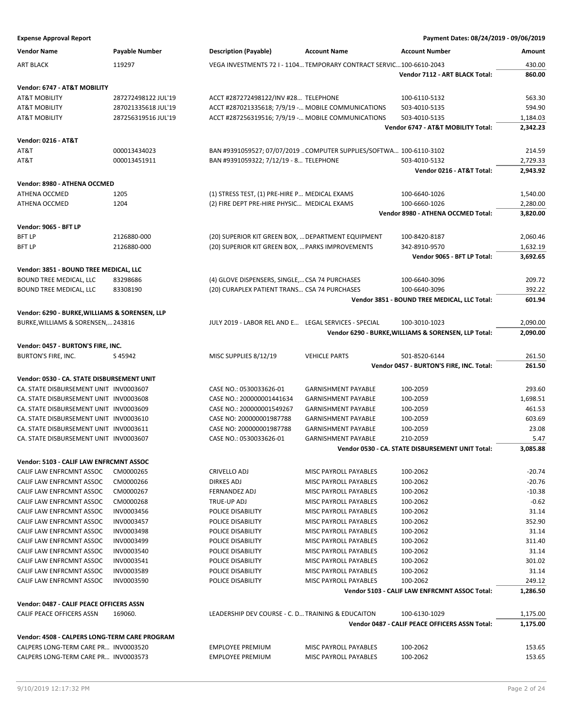| <b>Vendor Name</b>                             | Payable Number      | <b>Description (Payable)</b>                         | <b>Account Name</b>                                                  | <b>Account Number</b>                                           | Amount               |
|------------------------------------------------|---------------------|------------------------------------------------------|----------------------------------------------------------------------|-----------------------------------------------------------------|----------------------|
| <b>ART BLACK</b>                               | 119297              |                                                      | VEGA INVESTMENTS 72   - 1104 TEMPORARY CONTRACT SERVIC 100-6610-2043 |                                                                 | 430.00               |
|                                                |                     |                                                      |                                                                      | Vendor 7112 - ART BLACK Total:                                  | 860.00               |
| Vendor: 6747 - AT&T MOBILITY                   |                     |                                                      |                                                                      |                                                                 |                      |
| <b>AT&amp;T MOBILITY</b>                       | 287272498122 JUL'19 | ACCT #287272498122/INV #28 TELEPHONE                 |                                                                      | 100-6110-5132                                                   | 563.30               |
| <b>AT&amp;T MOBILITY</b>                       | 287021335618 JUL'19 | ACCT #287021335618; 7/9/19 - MOBILE COMMUNICATIONS   |                                                                      | 503-4010-5135                                                   | 594.90               |
| <b>AT&amp;T MOBILITY</b>                       | 287256319516 JUL'19 | ACCT #287256319516; 7/9/19 - MOBILE COMMUNICATIONS   |                                                                      | 503-4010-5135                                                   | 1,184.03             |
|                                                |                     |                                                      |                                                                      | Vendor 6747 - AT&T MOBILITY Total:                              | 2,342.23             |
| <b>Vendor: 0216 - AT&amp;T</b>                 |                     |                                                      |                                                                      |                                                                 |                      |
| AT&T                                           | 000013434023        |                                                      | BAN #9391059527; 07/07/2019  COMPUTER SUPPLIES/SOFTWA 100-6110-3102  |                                                                 | 214.59               |
| AT&T                                           | 000013451911        | BAN #9391059322; 7/12/19 - 8 TELEPHONE               |                                                                      | 503-4010-5132                                                   | 2,729.33             |
|                                                |                     |                                                      |                                                                      | Vendor 0216 - AT&T Total:                                       | 2,943.92             |
| Vendor: 8980 - ATHENA OCCMED                   |                     |                                                      |                                                                      |                                                                 |                      |
| ATHENA OCCMED                                  | 1205                | (1) STRESS TEST, (1) PRE-HIRE P MEDICAL EXAMS        |                                                                      | 100-6640-1026                                                   | 1,540.00             |
| ATHENA OCCMED                                  | 1204                | (2) FIRE DEPT PRE-HIRE PHYSIC MEDICAL EXAMS          |                                                                      | 100-6660-1026                                                   | 2,280.00             |
|                                                |                     |                                                      |                                                                      | Vendor 8980 - ATHENA OCCMED Total:                              | 3,820.00             |
|                                                |                     |                                                      |                                                                      |                                                                 |                      |
| Vendor: 9065 - BFT LP<br><b>BFT LP</b>         | 2126880-000         |                                                      |                                                                      |                                                                 |                      |
| <b>BFT LP</b>                                  | 2126880-000         | (20) SUPERIOR KIT GREEN BOX,  DEPARTMENT EQUIPMENT   |                                                                      | 100-8420-8187<br>342-8910-9570                                  | 2,060.46             |
|                                                |                     | (20) SUPERIOR KIT GREEN BOX,  PARKS IMPROVEMENTS     |                                                                      | Vendor 9065 - BFT LP Total:                                     | 1,632.19<br>3,692.65 |
|                                                |                     |                                                      |                                                                      |                                                                 |                      |
| Vendor: 3851 - BOUND TREE MEDICAL, LLC         |                     |                                                      |                                                                      |                                                                 |                      |
| BOUND TREE MEDICAL, LLC                        | 83298686            | (4) GLOVE DISPENSERS, SINGLE, CSA 74 PURCHASES       |                                                                      | 100-6640-3096                                                   | 209.72               |
| BOUND TREE MEDICAL, LLC                        | 83308190            | (20) CURAPLEX PATIENT TRANS CSA 74 PURCHASES         |                                                                      | 100-6640-3096                                                   | 392.22               |
|                                                |                     |                                                      |                                                                      | Vendor 3851 - BOUND TREE MEDICAL, LLC Total:                    | 601.94               |
| Vendor: 6290 - BURKE, WILLIAMS & SORENSEN, LLP |                     |                                                      |                                                                      |                                                                 |                      |
| BURKE, WILLIAMS & SORENSEN, 243816             |                     | JULY 2019 - LABOR REL AND E LEGAL SERVICES - SPECIAL |                                                                      | 100-3010-1023                                                   | 2,090.00             |
|                                                |                     |                                                      |                                                                      | Vendor 6290 - BURKE, WILLIAMS & SORENSEN, LLP Total:            | 2,090.00             |
| Vendor: 0457 - BURTON'S FIRE, INC.             |                     |                                                      |                                                                      |                                                                 |                      |
| BURTON'S FIRE, INC.                            | S45942              | MISC SUPPLIES 8/12/19                                | <b>VEHICLE PARTS</b>                                                 | 501-8520-6144                                                   | 261.50               |
|                                                |                     |                                                      |                                                                      | Vendor 0457 - BURTON'S FIRE, INC. Total:                        | 261.50               |
| Vendor: 0530 - CA. STATE DISBURSEMENT UNIT     |                     |                                                      |                                                                      |                                                                 |                      |
| CA. STATE DISBURSEMENT UNIT INV0003607         |                     | CASE NO.: 0530033626-01                              | <b>GARNISHMENT PAYABLE</b>                                           | 100-2059                                                        | 293.60               |
| CA. STATE DISBURSEMENT UNIT INV0003608         |                     | CASE NO.: 200000001441634                            | <b>GARNISHMENT PAYABLE</b>                                           | 100-2059                                                        | 1,698.51             |
| CA. STATE DISBURSEMENT UNIT INV0003609         |                     | CASE NO.: 200000001549267                            | <b>GARNISHMENT PAYABLE</b>                                           | 100-2059                                                        | 461.53               |
| CA. STATE DISBURSEMENT UNIT INV0003610         |                     | CASE NO: 200000001987788                             | <b>GARNISHMENT PAYABLE</b>                                           | 100-2059                                                        | 603.69               |
| CA. STATE DISBURSEMENT UNIT INV0003611         |                     | CASE NO: 200000001987788                             | <b>GARNISHMENT PAYABLE</b>                                           | 100-2059                                                        | 23.08                |
| CA. STATE DISBURSEMENT UNIT INV0003607         |                     | CASE NO.: 0530033626-01                              | <b>GARNISHMENT PAYABLE</b>                                           | 210-2059                                                        | 5.47                 |
|                                                |                     |                                                      |                                                                      | Vendor 0530 - CA. STATE DISBURSEMENT UNIT Total:                | 3,085.88             |
| Vendor: 5103 - CALIF LAW ENFRCMNT ASSOC        |                     |                                                      |                                                                      |                                                                 |                      |
| CALIF LAW ENFRCMNT ASSOC                       | CM0000265           | CRIVELLO ADJ                                         | MISC PAYROLL PAYABLES                                                | 100-2062                                                        | $-20.74$             |
| CALIF LAW ENFRCMNT ASSOC                       | CM0000266           | <b>DIRKES ADJ</b>                                    | MISC PAYROLL PAYABLES                                                | 100-2062                                                        | $-20.76$             |
| CALIF LAW ENFRCMNT ASSOC                       | CM0000267           | <b>FERNANDEZ ADJ</b>                                 | <b>MISC PAYROLL PAYABLES</b>                                         | 100-2062                                                        | $-10.38$             |
| CALIF LAW ENFRCMNT ASSOC                       | CM0000268           | TRUE-UP ADJ                                          | <b>MISC PAYROLL PAYABLES</b>                                         | 100-2062                                                        | $-0.62$              |
| CALIF LAW ENFRCMNT ASSOC                       | INV0003456          | POLICE DISABILITY                                    | MISC PAYROLL PAYABLES                                                | 100-2062                                                        | 31.14                |
| CALIF LAW ENFRCMNT ASSOC                       | INV0003457          | POLICE DISABILITY                                    | MISC PAYROLL PAYABLES                                                | 100-2062                                                        | 352.90               |
| CALIF LAW ENFRCMNT ASSOC                       | INV0003498          | POLICE DISABILITY                                    | MISC PAYROLL PAYABLES                                                | 100-2062                                                        | 31.14                |
| CALIF LAW ENFRCMNT ASSOC                       | INV0003499          | POLICE DISABILITY                                    | MISC PAYROLL PAYABLES                                                | 100-2062                                                        | 311.40               |
| CALIF LAW ENFRCMNT ASSOC                       |                     |                                                      |                                                                      | 100-2062                                                        |                      |
|                                                | INV0003540          | POLICE DISABILITY                                    | MISC PAYROLL PAYABLES                                                |                                                                 | 31.14<br>301.02      |
| CALIF LAW ENFRCMNT ASSOC                       | INV0003541          | POLICE DISABILITY                                    | MISC PAYROLL PAYABLES                                                | 100-2062                                                        |                      |
| CALIF LAW ENFRCMNT ASSOC                       | INV0003589          | POLICE DISABILITY                                    | MISC PAYROLL PAYABLES                                                | 100-2062                                                        | 31.14                |
| CALIF LAW ENFRCMNT ASSOC                       | INV0003590          | POLICE DISABILITY                                    | MISC PAYROLL PAYABLES                                                | 100-2062<br>Vendor 5103 - CALIF LAW ENFRCMNT ASSOC Total:       | 249.12<br>1,286.50   |
|                                                |                     |                                                      |                                                                      |                                                                 |                      |
| Vendor: 0487 - CALIF PEACE OFFICERS ASSN       |                     |                                                      |                                                                      |                                                                 |                      |
| CALIF PEACE OFFICERS ASSN                      | 169060.             | LEADERSHIP DEV COURSE - C. D TRAINING & EDUCAITON    |                                                                      | 100-6130-1029<br>Vendor 0487 - CALIF PEACE OFFICERS ASSN Total: | 1,175.00             |
|                                                |                     |                                                      |                                                                      |                                                                 | 1,175.00             |
| Vendor: 4508 - CALPERS LONG-TERM CARE PROGRAM  |                     |                                                      |                                                                      |                                                                 |                      |
| CALPERS LONG-TERM CARE PR INV0003520           |                     | <b>EMPLOYEE PREMIUM</b>                              | MISC PAYROLL PAYABLES                                                | 100-2062                                                        | 153.65               |
| CALPERS LONG-TERM CARE PR INV0003573           |                     | <b>EMPLOYEE PREMIUM</b>                              | MISC PAYROLL PAYABLES                                                | 100-2062                                                        | 153.65               |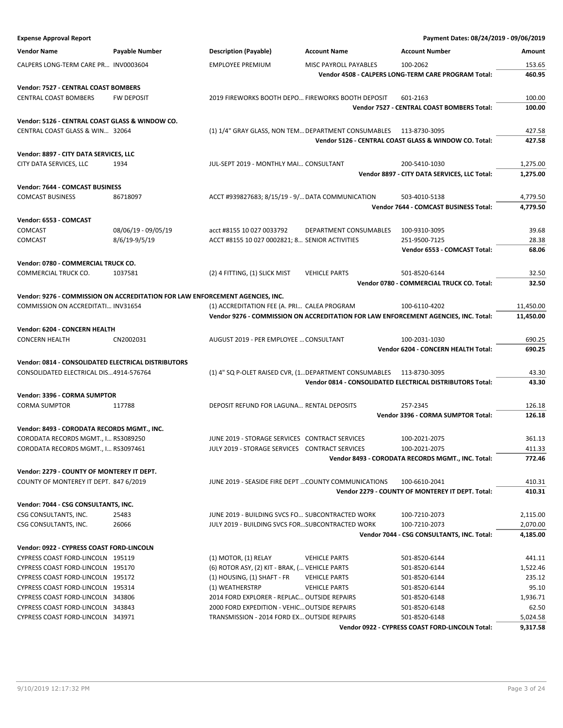| <b>Expense Approval Report</b>                                                       |                                                                               |                                                                                                    |                        | Payment Dates: 08/24/2019 - 09/06/2019                                              |                  |
|--------------------------------------------------------------------------------------|-------------------------------------------------------------------------------|----------------------------------------------------------------------------------------------------|------------------------|-------------------------------------------------------------------------------------|------------------|
| <b>Vendor Name</b>                                                                   | <b>Payable Number</b>                                                         | <b>Description (Payable)</b>                                                                       | <b>Account Name</b>    | <b>Account Number</b>                                                               | Amount           |
| CALPERS LONG-TERM CARE PR INV0003604                                                 |                                                                               | <b>EMPLOYEE PREMIUM</b>                                                                            | MISC PAYROLL PAYABLES  | 100-2062                                                                            | 153.65           |
|                                                                                      |                                                                               |                                                                                                    |                        | Vendor 4508 - CALPERS LONG-TERM CARE PROGRAM Total:                                 | 460.95           |
| Vendor: 7527 - CENTRAL COAST BOMBERS                                                 |                                                                               |                                                                                                    |                        |                                                                                     |                  |
| <b>CENTRAL COAST BOMBERS</b>                                                         | <b>FW DEPOSIT</b>                                                             | 2019 FIREWORKS BOOTH DEPO FIREWORKS BOOTH DEPOSIT                                                  |                        | 601-2163                                                                            | 100.00           |
|                                                                                      |                                                                               |                                                                                                    |                        | Vendor 7527 - CENTRAL COAST BOMBERS Total:                                          | 100.00           |
| Vendor: 5126 - CENTRAL COAST GLASS & WINDOW CO.                                      |                                                                               |                                                                                                    |                        |                                                                                     |                  |
| CENTRAL COAST GLASS & WIN 32064                                                      |                                                                               | (1) 1/4" GRAY GLASS, NON TEM DEPARTMENT CONSUMABLES 113-8730-3095                                  |                        |                                                                                     | 427.58           |
|                                                                                      |                                                                               |                                                                                                    |                        | Vendor 5126 - CENTRAL COAST GLASS & WINDOW CO. Total:                               | 427.58           |
| Vendor: 8897 - CITY DATA SERVICES, LLC                                               |                                                                               |                                                                                                    |                        |                                                                                     |                  |
| CITY DATA SERVICES, LLC                                                              | 1934                                                                          | JUL-SEPT 2019 - MONTHLY MAI CONSULTANT                                                             |                        | 200-5410-1030                                                                       | 1,275.00         |
|                                                                                      |                                                                               |                                                                                                    |                        | Vendor 8897 - CITY DATA SERVICES, LLC Total:                                        | 1,275.00         |
| Vendor: 7644 - COMCAST BUSINESS                                                      |                                                                               |                                                                                                    |                        |                                                                                     |                  |
| <b>COMCAST BUSINESS</b>                                                              | 86718097                                                                      | ACCT #939827683; 8/15/19 - 9/ DATA COMMUNICATION                                                   |                        | 503-4010-5138                                                                       | 4,779.50         |
|                                                                                      |                                                                               |                                                                                                    |                        | Vendor 7644 - COMCAST BUSINESS Total:                                               | 4,779.50         |
| Vendor: 6553 - COMCAST                                                               |                                                                               |                                                                                                    |                        |                                                                                     |                  |
| COMCAST                                                                              | 08/06/19 - 09/05/19                                                           | acct #8155 10 027 0033792                                                                          | DEPARTMENT CONSUMABLES | 100-9310-3095                                                                       | 39.68            |
| COMCAST                                                                              | 8/6/19-9/5/19                                                                 | ACCT #8155 10 027 0002821; 8 SENIOR ACTIVITIES                                                     |                        | 251-9500-7125                                                                       | 28.38            |
|                                                                                      |                                                                               |                                                                                                    |                        | Vendor 6553 - COMCAST Total:                                                        | 68.06            |
| Vendor: 0780 - COMMERCIAL TRUCK CO.                                                  |                                                                               |                                                                                                    |                        |                                                                                     |                  |
| COMMERCIAL TRUCK CO.                                                                 | 1037581                                                                       | (2) 4 FITTING, (1) SLICK MIST                                                                      | <b>VEHICLE PARTS</b>   | 501-8520-6144                                                                       | 32.50            |
|                                                                                      |                                                                               |                                                                                                    |                        | Vendor 0780 - COMMERCIAL TRUCK CO. Total:                                           | 32.50            |
|                                                                                      | Vendor: 9276 - COMMISSION ON ACCREDITATION FOR LAW ENFORCEMENT AGENCIES, INC. |                                                                                                    |                        |                                                                                     |                  |
| COMMISSION ON ACCREDITATI INV31654                                                   |                                                                               | (1) ACCREDITATION FEE (A. PRI CALEA PROGRAM                                                        |                        | 100-6110-4202                                                                       | 11,450.00        |
|                                                                                      |                                                                               |                                                                                                    |                        | Vendor 9276 - COMMISSION ON ACCREDITATION FOR LAW ENFORCEMENT AGENCIES, INC. Total: | 11,450.00        |
| Vendor: 6204 - CONCERN HEALTH                                                        |                                                                               |                                                                                                    |                        |                                                                                     |                  |
| <b>CONCERN HEALTH</b>                                                                | CN2002031                                                                     | AUGUST 2019 - PER EMPLOYEE  CONSULTANT                                                             |                        | 100-2031-1030                                                                       | 690.25           |
|                                                                                      |                                                                               |                                                                                                    |                        | Vendor 6204 - CONCERN HEALTH Total:                                                 | 690.25           |
| Vendor: 0814 - CONSOLIDATED ELECTRICAL DISTRIBUTORS                                  |                                                                               |                                                                                                    |                        |                                                                                     |                  |
| CONSOLIDATED ELECTRICAL DIS4914-576764                                               |                                                                               | (1) 4" SQ P-OLET RAISED CVR, (1 DEPARTMENT CONSUMABLES 113-8730-3095                               |                        |                                                                                     | 43.30            |
|                                                                                      |                                                                               |                                                                                                    |                        | Vendor 0814 - CONSOLIDATED ELECTRICAL DISTRIBUTORS Total:                           | 43.30            |
| Vendor: 3396 - CORMA SUMPTOR                                                         |                                                                               |                                                                                                    |                        |                                                                                     |                  |
| <b>CORMA SUMPTOR</b>                                                                 | 117788                                                                        | DEPOSIT REFUND FOR LAGUNA RENTAL DEPOSITS                                                          |                        | 257-2345                                                                            | 126.18           |
|                                                                                      |                                                                               |                                                                                                    |                        | Vendor 3396 - CORMA SUMPTOR Total:                                                  | 126.18           |
| Vendor: 8493 - CORODATA RECORDS MGMT., INC.                                          |                                                                               |                                                                                                    |                        |                                                                                     |                  |
| CORODATA RECORDS MGMT., I RS3089250                                                  |                                                                               | JUNE 2019 - STORAGE SERVICES CONTRACT SERVICES                                                     |                        | 100-2021-2075                                                                       | 361.13<br>411.33 |
| CORODATA RECORDS MGMT., I RS3097461                                                  |                                                                               | JULY 2019 - STORAGE SERVICES CONTRACT SERVICES                                                     |                        | 100-2021-2075<br>Vendor 8493 - CORODATA RECORDS MGMT., INC. Total:                  | 772.46           |
|                                                                                      |                                                                               |                                                                                                    |                        |                                                                                     |                  |
| Vendor: 2279 - COUNTY OF MONTEREY IT DEPT.<br>COUNTY OF MONTEREY IT DEPT. 847 6/2019 |                                                                               |                                                                                                    |                        |                                                                                     |                  |
|                                                                                      |                                                                               | JUNE 2019 - SEASIDE FIRE DEPT  COUNTY COMMUNICATIONS                                               |                        | 100-6610-2041<br>Vendor 2279 - COUNTY OF MONTEREY IT DEPT. Total:                   | 410.31<br>410.31 |
|                                                                                      |                                                                               |                                                                                                    |                        |                                                                                     |                  |
| Vendor: 7044 - CSG CONSULTANTS, INC.<br>CSG CONSULTANTS, INC.                        |                                                                               |                                                                                                    |                        |                                                                                     | 2,115.00         |
| CSG CONSULTANTS, INC.                                                                | 25483<br>26066                                                                | JUNE 2019 - BUILDING SVCS FO SUBCONTRACTED WORK<br>JULY 2019 - BUILDING SVCS FORSUBCONTRACTED WORK |                        | 100-7210-2073<br>100-7210-2073                                                      | 2,070.00         |
|                                                                                      |                                                                               |                                                                                                    |                        | Vendor 7044 - CSG CONSULTANTS, INC. Total:                                          | 4,185.00         |
| Vendor: 0922 - CYPRESS COAST FORD-LINCOLN                                            |                                                                               |                                                                                                    |                        |                                                                                     |                  |
| CYPRESS COAST FORD-LINCOLN 195119                                                    |                                                                               | $(1)$ MOTOR, $(1)$ RELAY                                                                           | <b>VEHICLE PARTS</b>   | 501-8520-6144                                                                       | 441.11           |
| CYPRESS COAST FORD-LINCOLN 195170                                                    |                                                                               | (6) ROTOR ASY, (2) KIT - BRAK, ( VEHICLE PARTS                                                     |                        | 501-8520-6144                                                                       | 1,522.46         |
| CYPRESS COAST FORD-LINCOLN 195172                                                    |                                                                               | $(1)$ HOUSING, $(1)$ SHAFT - FR                                                                    | <b>VEHICLE PARTS</b>   | 501-8520-6144                                                                       | 235.12           |
| CYPRESS COAST FORD-LINCOLN 195314                                                    |                                                                               | (1) WEATHERSTRP                                                                                    | <b>VEHICLE PARTS</b>   | 501-8520-6144                                                                       | 95.10            |
| CYPRESS COAST FORD-LINCOLN 343806                                                    |                                                                               | 2014 FORD EXPLORER - REPLAC OUTSIDE REPAIRS                                                        |                        | 501-8520-6148                                                                       | 1,936.71         |
| CYPRESS COAST FORD-LINCOLN 343843                                                    |                                                                               | 2000 FORD EXPEDITION - VEHIC OUTSIDE REPAIRS                                                       |                        | 501-8520-6148                                                                       | 62.50            |
| CYPRESS COAST FORD-LINCOLN 343971                                                    |                                                                               | TRANSMISSION - 2014 FORD EX OUTSIDE REPAIRS                                                        |                        | 501-8520-6148                                                                       | 5,024.58         |
|                                                                                      |                                                                               |                                                                                                    |                        | Vendor 0922 - CYPRESS COAST FORD-LINCOLN Total:                                     | 9,317.58         |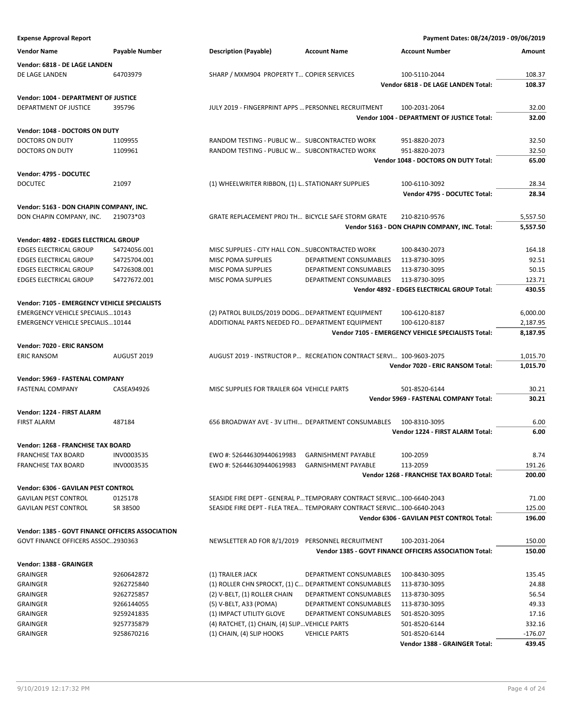| <b>Expense Approval Report</b>                                                     |                       |                                                                                                     |                                                                      | Payment Dates: 08/24/2019 - 09/06/2019                 |                      |
|------------------------------------------------------------------------------------|-----------------------|-----------------------------------------------------------------------------------------------------|----------------------------------------------------------------------|--------------------------------------------------------|----------------------|
| <b>Vendor Name</b>                                                                 | <b>Payable Number</b> | <b>Description (Payable)</b>                                                                        | <b>Account Name</b>                                                  | <b>Account Number</b>                                  | Amount               |
| Vendor: 6818 - DE LAGE LANDEN                                                      |                       |                                                                                                     |                                                                      |                                                        |                      |
| DE LAGE LANDEN                                                                     | 64703979              | SHARP / MXM904 PROPERTY T COPIER SERVICES                                                           |                                                                      | 100-5110-2044                                          | 108.37               |
|                                                                                    |                       |                                                                                                     |                                                                      | Vendor 6818 - DE LAGE LANDEN Total:                    | 108.37               |
| Vendor: 1004 - DEPARTMENT OF JUSTICE                                               |                       |                                                                                                     |                                                                      |                                                        |                      |
| DEPARTMENT OF JUSTICE                                                              | 395796                | JULY 2019 - FINGERPRINT APPS  PERSONNEL RECRUITMENT                                                 |                                                                      | 100-2031-2064                                          | 32.00                |
|                                                                                    |                       |                                                                                                     |                                                                      | Vendor 1004 - DEPARTMENT OF JUSTICE Total:             | 32.00                |
| Vendor: 1048 - DOCTORS ON DUTY                                                     |                       |                                                                                                     |                                                                      |                                                        |                      |
| DOCTORS ON DUTY                                                                    | 1109955               | RANDOM TESTING - PUBLIC W SUBCONTRACTED WORK                                                        |                                                                      | 951-8820-2073                                          | 32.50                |
| DOCTORS ON DUTY                                                                    | 1109961               | RANDOM TESTING - PUBLIC W SUBCONTRACTED WORK                                                        |                                                                      | 951-8820-2073                                          | 32.50                |
|                                                                                    |                       |                                                                                                     |                                                                      | Vendor 1048 - DOCTORS ON DUTY Total:                   | 65.00                |
| Vendor: 4795 - DOCUTEC                                                             |                       |                                                                                                     |                                                                      |                                                        |                      |
| <b>DOCUTEC</b>                                                                     | 21097                 | (1) WHEELWRITER RIBBON, (1) L. STATIONARY SUPPLIES                                                  |                                                                      | 100-6110-3092                                          | 28.34                |
|                                                                                    |                       |                                                                                                     |                                                                      | Vendor 4795 - DOCUTEC Total:                           | 28.34                |
| Vendor: 5163 - DON CHAPIN COMPANY, INC.                                            |                       |                                                                                                     |                                                                      |                                                        |                      |
| DON CHAPIN COMPANY, INC.                                                           | 219073*03             | GRATE REPLACEMENT PROJ TH BICYCLE SAFE STORM GRATE                                                  |                                                                      | 210-8210-9576                                          | 5,557.50             |
|                                                                                    |                       |                                                                                                     |                                                                      | Vendor 5163 - DON CHAPIN COMPANY, INC. Total:          | 5,557.50             |
| Vendor: 4892 - EDGES ELECTRICAL GROUP                                              |                       |                                                                                                     |                                                                      |                                                        |                      |
| <b>EDGES ELECTRICAL GROUP</b>                                                      | S4724056.001          | MISC SUPPLIES - CITY HALL CONSUBCONTRACTED WORK                                                     |                                                                      | 100-8430-2073                                          | 164.18               |
| <b>EDGES ELECTRICAL GROUP</b>                                                      | S4725704.001          | <b>MISC POMA SUPPLIES</b>                                                                           | DEPARTMENT CONSUMABLES                                               | 113-8730-3095                                          | 92.51                |
| <b>EDGES ELECTRICAL GROUP</b>                                                      | S4726308.001          | MISC POMA SUPPLIES                                                                                  | DEPARTMENT CONSUMABLES                                               | 113-8730-3095                                          | 50.15                |
| <b>EDGES ELECTRICAL GROUP</b>                                                      | S4727672.001          | MISC POMA SUPPLIES                                                                                  | DEPARTMENT CONSUMABLES                                               | 113-8730-3095                                          | 123.71               |
|                                                                                    |                       |                                                                                                     |                                                                      | Vendor 4892 - EDGES ELECTRICAL GROUP Total:            | 430.55               |
|                                                                                    |                       |                                                                                                     |                                                                      |                                                        |                      |
| Vendor: 7105 - EMERGENCY VEHICLE SPECIALISTS                                       |                       |                                                                                                     |                                                                      |                                                        |                      |
| <b>EMERGENCY VEHICLE SPECIALIS10143</b><br><b>EMERGENCY VEHICLE SPECIALIS10144</b> |                       | (2) PATROL BUILDS/2019 DODG DEPARTMENT EQUIPMENT<br>ADDITIONAL PARTS NEEDED FO DEPARTMENT EQUIPMENT |                                                                      | 100-6120-8187<br>100-6120-8187                         | 6,000.00<br>2,187.95 |
|                                                                                    |                       |                                                                                                     |                                                                      | Vendor 7105 - EMERGENCY VEHICLE SPECIALISTS Total:     | 8,187.95             |
|                                                                                    |                       |                                                                                                     |                                                                      |                                                        |                      |
| Vendor: 7020 - ERIC RANSOM                                                         |                       |                                                                                                     |                                                                      |                                                        |                      |
| <b>ERIC RANSOM</b>                                                                 | AUGUST 2019           | AUGUST 2019 - INSTRUCTOR P RECREATION CONTRACT SERVI 100-9603-2075                                  |                                                                      |                                                        | 1,015.70             |
|                                                                                    |                       |                                                                                                     |                                                                      | Vendor 7020 - ERIC RANSOM Total:                       | 1,015.70             |
| Vendor: 5969 - FASTENAL COMPANY                                                    |                       |                                                                                                     |                                                                      |                                                        |                      |
| FASTENAL COMPANY                                                                   | CASEA94926            | MISC SUPPLIES FOR TRAILER 604 VEHICLE PARTS                                                         |                                                                      | 501-8520-6144                                          | 30.21                |
|                                                                                    |                       |                                                                                                     |                                                                      | Vendor 5969 - FASTENAL COMPANY Total:                  | 30.21                |
| Vendor: 1224 - FIRST ALARM                                                         |                       |                                                                                                     |                                                                      |                                                        |                      |
| <b>FIRST ALARM</b>                                                                 | 487184                | 656 BROADWAY AVE - 3V LITHI DEPARTMENT CONSUMABLES                                                  |                                                                      | 100-8310-3095                                          | 6.00                 |
|                                                                                    |                       |                                                                                                     |                                                                      | Vendor 1224 - FIRST ALARM Total:                       | 6.00                 |
| Vendor: 1268 - FRANCHISE TAX BOARD                                                 |                       |                                                                                                     |                                                                      |                                                        |                      |
| <b>FRANCHISE TAX BOARD</b>                                                         | INV0003535            | EWO #: 526446309440619983                                                                           | <b>GARNISHMENT PAYABLE</b>                                           | 100-2059                                               | 8.74                 |
| <b>FRANCHISE TAX BOARD</b>                                                         | INV0003535            | EWO #: 526446309440619983                                                                           | <b>GARNISHMENT PAYABLE</b>                                           | 113-2059                                               | 191.26               |
|                                                                                    |                       |                                                                                                     |                                                                      | Vendor 1268 - FRANCHISE TAX BOARD Total:               | 200.00               |
| Vendor: 6306 - GAVILAN PEST CONTROL                                                |                       |                                                                                                     |                                                                      |                                                        |                      |
| <b>GAVILAN PEST CONTROL</b>                                                        | 0125178               | SEASIDE FIRE DEPT - GENERAL P TEMPORARY CONTRACT SERVIC 100-6640-2043                               |                                                                      |                                                        | 71.00                |
| <b>GAVILAN PEST CONTROL</b>                                                        | SR 38500              |                                                                                                     | SEASIDE FIRE DEPT - FLEA TREA TEMPORARY CONTRACT SERVIC100-6640-2043 |                                                        | 125.00               |
|                                                                                    |                       |                                                                                                     |                                                                      | Vendor 6306 - GAVILAN PEST CONTROL Total:              | 196.00               |
| <b>Vendor: 1385 - GOVT FINANCE OFFICERS ASSOCIATION</b>                            |                       |                                                                                                     |                                                                      |                                                        |                      |
| GOVT FINANCE OFFICERS ASSOC2930363                                                 |                       | NEWSLETTER AD FOR 8/1/2019 PERSONNEL RECRUITMENT                                                    |                                                                      | 100-2031-2064                                          | 150.00               |
|                                                                                    |                       |                                                                                                     |                                                                      | Vendor 1385 - GOVT FINANCE OFFICERS ASSOCIATION Total: | 150.00               |
| Vendor: 1388 - GRAINGER                                                            |                       |                                                                                                     |                                                                      |                                                        |                      |
| <b>GRAINGER</b>                                                                    | 9260642872            | (1) TRAILER JACK                                                                                    | DEPARTMENT CONSUMABLES                                               | 100-8430-3095                                          | 135.45               |
| <b>GRAINGER</b>                                                                    | 9262725840            | (1) ROLLER CHN SPROCKT, (1) C DEPARTMENT CONSUMABLES                                                |                                                                      | 113-8730-3095                                          | 24.88                |
| <b>GRAINGER</b>                                                                    | 9262725857            | (2) V-BELT, (1) ROLLER CHAIN                                                                        | DEPARTMENT CONSUMABLES                                               | 113-8730-3095                                          | 56.54                |
| GRAINGER                                                                           | 9266144055            | (5) V-BELT, A33 (POMA)                                                                              | DEPARTMENT CONSUMABLES                                               | 113-8730-3095                                          | 49.33                |
| <b>GRAINGER</b>                                                                    | 9259241835            | (1) IMPACT UTILITY GLOVE                                                                            | DEPARTMENT CONSUMABLES                                               | 501-8520-3095                                          | 17.16                |
| <b>GRAINGER</b>                                                                    | 9257735879            | (4) RATCHET, (1) CHAIN, (4) SLIP VEHICLE PARTS                                                      |                                                                      | 501-8520-6144                                          | 332.16               |
| <b>GRAINGER</b>                                                                    | 9258670216            | (1) CHAIN, (4) SLIP HOOKS                                                                           | <b>VEHICLE PARTS</b>                                                 | 501-8520-6144                                          | $-176.07$            |
|                                                                                    |                       |                                                                                                     |                                                                      | Vendor 1388 - GRAINGER Total:                          | 439.45               |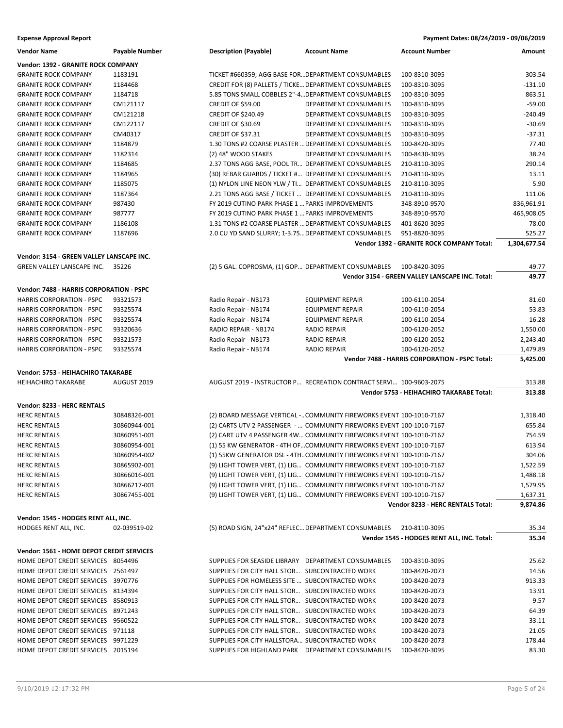| Payment Dates: 08/24/2019 - 09/06/2019 |
|----------------------------------------|
|                                        |

| <b>Vendor Name</b>                        | <b>Payable Number</b> | <b>Description (Payable)</b>                          | <b>Account Name</b>                                                   | <b>Account Number</b>                           | Amount       |
|-------------------------------------------|-----------------------|-------------------------------------------------------|-----------------------------------------------------------------------|-------------------------------------------------|--------------|
| Vendor: 1392 - GRANITE ROCK COMPANY       |                       |                                                       |                                                                       |                                                 |              |
| <b>GRANITE ROCK COMPANY</b>               | 1183191               | TICKET #660359; AGG BASE FOR DEPARTMENT CONSUMABLES   |                                                                       | 100-8310-3095                                   | 303.54       |
| <b>GRANITE ROCK COMPANY</b>               | 1184468               | CREDIT FOR (8) PALLETS / TICKE DEPARTMENT CONSUMABLES |                                                                       | 100-8310-3095                                   | $-131.10$    |
| <b>GRANITE ROCK COMPANY</b>               | 1184718               | 5.85 TONS SMALL COBBLES 2"-4 DEPARTMENT CONSUMABLES   |                                                                       | 100-8310-3095                                   | 863.51       |
| <b>GRANITE ROCK COMPANY</b>               | CM121117              | CREDIT OF \$59.00                                     | DEPARTMENT CONSUMABLES                                                | 100-8310-3095                                   | $-59.00$     |
| <b>GRANITE ROCK COMPANY</b>               | CM121218              | <b>CREDIT OF \$240.49</b>                             | DEPARTMENT CONSUMABLES                                                | 100-8310-3095                                   | $-240.49$    |
| <b>GRANITE ROCK COMPANY</b>               | CM122117              | <b>CREDIT OF \$30.69</b>                              | DEPARTMENT CONSUMABLES                                                | 100-8310-3095                                   | $-30.69$     |
| <b>GRANITE ROCK COMPANY</b>               | CM40317               | <b>CREDIT OF \$37.31</b>                              | DEPARTMENT CONSUMABLES                                                | 100-8310-3095                                   | $-37.31$     |
| <b>GRANITE ROCK COMPANY</b>               | 1184879               | 1.30 TONS #2 COARSE PLASTER  DEPARTMENT CONSUMABLES   |                                                                       | 100-8420-3095                                   | 77.40        |
| <b>GRANITE ROCK COMPANY</b>               | 1182314               | (2) 48" WOOD STAKES                                   | DEPARTMENT CONSUMABLES                                                | 100-8430-3095                                   | 38.24        |
| <b>GRANITE ROCK COMPANY</b>               | 1184685               | 2.37 TONS AGG BASE, POOL TR DEPARTMENT CONSUMABLES    |                                                                       | 210-8110-3095                                   | 290.14       |
| <b>GRANITE ROCK COMPANY</b>               | 1184965               | (30) REBAR GUARDS / TICKET # DEPARTMENT CONSUMABLES   |                                                                       | 210-8110-3095                                   | 13.11        |
| <b>GRANITE ROCK COMPANY</b>               | 1185075               | (1) NYLON LINE NEON YLW / TI DEPARTMENT CONSUMABLES   |                                                                       | 210-8110-3095                                   | 5.90         |
| <b>GRANITE ROCK COMPANY</b>               | 1187364               | 2.21 TONS AGG BASE / TICKET  DEPARTMENT CONSUMABLES   |                                                                       | 210-8110-3095                                   | 111.06       |
| <b>GRANITE ROCK COMPANY</b>               | 987430                | FY 2019 CUTINO PARK PHASE 1  PARKS IMPROVEMENTS       |                                                                       | 348-8910-9570                                   | 836,961.91   |
| <b>GRANITE ROCK COMPANY</b>               | 987777                | FY 2019 CUTINO PARK PHASE 1  PARKS IMPROVEMENTS       |                                                                       | 348-8910-9570                                   | 465,908.05   |
| <b>GRANITE ROCK COMPANY</b>               | 1186108               | 1.31 TONS #2 COARSE PLASTER  DEPARTMENT CONSUMABLES   |                                                                       | 401-8620-3095                                   | 78.00        |
| <b>GRANITE ROCK COMPANY</b>               | 1187696               | 2.0 CU YD SAND SLURRY; 1-3.75 DEPARTMENT CONSUMABLES  |                                                                       | 951-8820-3095                                   | 525.27       |
|                                           |                       |                                                       |                                                                       | Vendor 1392 - GRANITE ROCK COMPANY Total:       | 1,304,677.54 |
| Vendor: 3154 - GREEN VALLEY LANSCAPE INC. |                       |                                                       |                                                                       |                                                 |              |
| GREEN VALLEY LANSCAPE INC.                | 35226                 | (2) 5 GAL. COPROSMA, (1) GOP DEPARTMENT CONSUMABLES   |                                                                       | 100-8420-3095                                   | 49.77        |
|                                           |                       |                                                       |                                                                       | Vendor 3154 - GREEN VALLEY LANSCAPE INC. Total: | 49.77        |
|                                           |                       |                                                       |                                                                       |                                                 |              |
| Vendor: 7488 - HARRIS CORPORATION - PSPC  |                       |                                                       |                                                                       |                                                 |              |
| <b>HARRIS CORPORATION - PSPC</b>          | 93321573              | Radio Repair - NB173                                  | <b>EQUIPMENT REPAIR</b>                                               | 100-6110-2054                                   | 81.60        |
| <b>HARRIS CORPORATION - PSPC</b>          | 93325574              | Radio Repair - NB174                                  | <b>EQUIPMENT REPAIR</b>                                               | 100-6110-2054                                   | 53.83        |
| <b>HARRIS CORPORATION - PSPC</b>          | 93325574              | Radio Repair - NB174                                  | <b>EQUIPMENT REPAIR</b>                                               | 100-6110-2054                                   | 16.28        |
| <b>HARRIS CORPORATION - PSPC</b>          | 93320636              | RADIO REPAIR - NB174                                  | <b>RADIO REPAIR</b>                                                   | 100-6120-2052                                   | 1,550.00     |
| <b>HARRIS CORPORATION - PSPC</b>          | 93321573              | Radio Repair - NB173                                  | <b>RADIO REPAIR</b>                                                   | 100-6120-2052                                   | 2,243.40     |
| <b>HARRIS CORPORATION - PSPC</b>          | 93325574              | Radio Repair - NB174                                  | <b>RADIO REPAIR</b>                                                   | 100-6120-2052                                   | 1,479.89     |
|                                           |                       |                                                       |                                                                       | Vendor 7488 - HARRIS CORPORATION - PSPC Total:  | 5,425.00     |
|                                           |                       |                                                       |                                                                       |                                                 |              |
| Vendor: 5753 - HEIHACHIRO TAKARABE        |                       |                                                       |                                                                       |                                                 |              |
| <b>HEIHACHIRO TAKARABE</b>                | AUGUST 2019           |                                                       | AUGUST 2019 - INSTRUCTOR P RECREATION CONTRACT SERVI 100-9603-2075    |                                                 | 313.88       |
|                                           |                       |                                                       |                                                                       | Vendor 5753 - HEIHACHIRO TAKARABE Total:        | 313.88       |
| Vendor: 8233 - HERC RENTALS               |                       |                                                       |                                                                       |                                                 |              |
| <b>HERC RENTALS</b>                       | 30848326-001          |                                                       | (2) BOARD MESSAGE VERTICAL - COMMUNITY FIREWORKS EVENT 100-1010-7167  |                                                 | 1,318.40     |
| <b>HERC RENTALS</b>                       | 30860944-001          |                                                       | (2) CARTS UTV 2 PASSENGER -  COMMUNITY FIREWORKS EVENT 100-1010-7167  |                                                 | 655.84       |
| <b>HERC RENTALS</b>                       | 30860951-001          |                                                       | (2) CART UTV 4 PASSENGER 4W COMMUNITY FIREWORKS EVENT 100-1010-7167   |                                                 | 754.59       |
| <b>HERC RENTALS</b>                       | 30860954-001          |                                                       | (1) 55 KW GENERATOR - 4TH OFCOMMUNITY FIREWORKS EVENT 100-1010-7167   |                                                 | 613.94       |
| <b>HERC RENTALS</b>                       | 30860954-002          |                                                       | (1) 55KW GENERATOR DSL - 4THCOMMUNITY FIREWORKS EVENT 100-1010-7167   |                                                 | 304.06       |
| <b>HERC RENTALS</b>                       | 30865902-001          |                                                       | (9) LIGHT TOWER VERT, (1) LIG COMMUNITY FIREWORKS EVENT 100-1010-7167 |                                                 | 1,522.59     |
| <b>HERC RENTALS</b>                       | 30866016-001          |                                                       | (9) LIGHT TOWER VERT, (1) LIG COMMUNITY FIREWORKS EVENT 100-1010-7167 |                                                 | 1,488.18     |
| <b>HERC RENTALS</b>                       | 30866217-001          |                                                       | (9) LIGHT TOWER VERT, (1) LIG COMMUNITY FIREWORKS EVENT 100-1010-7167 |                                                 | 1,579.95     |
| <b>HERC RENTALS</b>                       | 30867455-001          |                                                       | (9) LIGHT TOWER VERT, (1) LIG COMMUNITY FIREWORKS EVENT 100-1010-7167 |                                                 | 1,637.31     |
|                                           |                       |                                                       |                                                                       | <b>Vendor 8233 - HERC RENTALS Total:</b>        | 9,874.86     |
|                                           |                       |                                                       |                                                                       |                                                 |              |
| Vendor: 1545 - HODGES RENT ALL, INC.      |                       |                                                       |                                                                       |                                                 |              |
| HODGES RENT ALL, INC.                     | 02-039519-02          | (5) ROAD SIGN, 24"x24" REFLEC DEPARTMENT CONSUMABLES  |                                                                       | 210-8110-3095                                   | 35.34        |
|                                           |                       |                                                       |                                                                       | Vendor 1545 - HODGES RENT ALL, INC. Total:      | 35.34        |
| Vendor: 1561 - HOME DEPOT CREDIT SERVICES |                       |                                                       |                                                                       |                                                 |              |
| HOME DEPOT CREDIT SERVICES 8054496        |                       | SUPPLIES FOR SEASIDE LIBRARY DEPARTMENT CONSUMABLES   |                                                                       | 100-8310-3095                                   | 25.62        |
| HOME DEPOT CREDIT SERVICES 2561497        |                       | SUPPLIES FOR CITY HALL STOR SUBCONTRACTED WORK        |                                                                       | 100-8420-2073                                   | 14.56        |
| HOME DEPOT CREDIT SERVICES 3970776        |                       | SUPPLIES FOR HOMELESS SITE  SUBCONTRACTED WORK        |                                                                       | 100-8420-2073                                   | 913.33       |
| HOME DEPOT CREDIT SERVICES 8134394        |                       | SUPPLIES FOR CITY HALL STOR SUBCONTRACTED WORK        |                                                                       | 100-8420-2073                                   | 13.91        |
| HOME DEPOT CREDIT SERVICES 8580913        |                       | SUPPLIES FOR CITY HALL STOR SUBCONTRACTED WORK        |                                                                       | 100-8420-2073                                   | 9.57         |
| HOME DEPOT CREDIT SERVICES 8971243        |                       | SUPPLIES FOR CITY HALL STOR SUBCONTRACTED WORK        |                                                                       | 100-8420-2073                                   | 64.39        |
| HOME DEPOT CREDIT SERVICES 9560522        |                       | SUPPLIES FOR CITY HALL STOR SUBCONTRACTED WORK        |                                                                       | 100-8420-2073                                   | 33.11        |
| HOME DEPOT CREDIT SERVICES 971118         |                       | SUPPLIES FOR CITY HALL STOR SUBCONTRACTED WORK        |                                                                       | 100-8420-2073                                   | 21.05        |
| HOME DEPOT CREDIT SERVICES 9971229        |                       | SUPPLIES FOR CITY HALLSTORA SUBCONTRACTED WORK        |                                                                       | 100-8420-2073                                   | 178.44       |
| HOME DEPOT CREDIT SERVICES 2015194        |                       | SUPPLIES FOR HIGHLAND PARK DEPARTMENT CONSUMABLES     |                                                                       | 100-8420-3095                                   | 83.30        |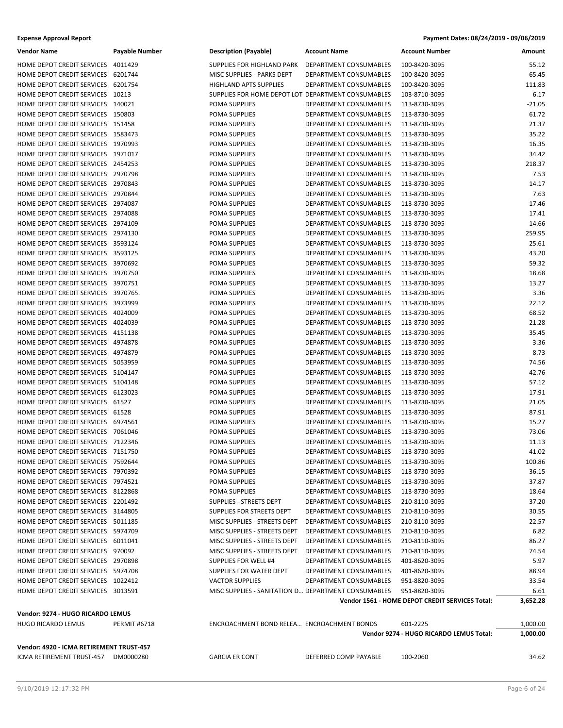| <b>Expense Approval Report</b> |                |                       |              | Payment Dates: 08/24/2019 - 09/06/2019 |           |
|--------------------------------|----------------|-----------------------|--------------|----------------------------------------|-----------|
| <i>Mondor</i> Nome             | Dovable Number | Decerintion (Bayable) | Account Name | Account Number                         | $A$ mount |

| <b>Vendor Name</b>                                                       | <b>Payable Number</b> | <b>Description (Payable)</b>                        | <b>Account Name</b>                              | <b>Account Number</b>                           | Amount          |
|--------------------------------------------------------------------------|-----------------------|-----------------------------------------------------|--------------------------------------------------|-------------------------------------------------|-----------------|
| HOME DEPOT CREDIT SERVICES 4011429                                       |                       | SUPPLIES FOR HIGHLAND PARK                          | DEPARTMENT CONSUMABLES                           | 100-8420-3095                                   | 55.12           |
| HOME DEPOT CREDIT SERVICES 6201744                                       |                       | MISC SUPPLIES - PARKS DEPT                          | DEPARTMENT CONSUMABLES                           | 100-8420-3095                                   | 65.45           |
| HOME DEPOT CREDIT SERVICES 6201754                                       |                       | <b>HIGHLAND APTS SUPPLIES</b>                       | DEPARTMENT CONSUMABLES                           | 100-8420-3095                                   | 111.83          |
| HOME DEPOT CREDIT SERVICES 10213                                         |                       | SUPPLIES FOR HOME DEPOT LOT DEPARTMENT CONSUMABLES  |                                                  | 103-8710-3095                                   | 6.17            |
| HOME DEPOT CREDIT SERVICES 140021                                        |                       | POMA SUPPLIES                                       | DEPARTMENT CONSUMABLES                           | 113-8730-3095                                   | $-21.05$        |
| HOME DEPOT CREDIT SERVICES 150803                                        |                       | POMA SUPPLIES                                       | DEPARTMENT CONSUMABLES                           | 113-8730-3095                                   | 61.72           |
| HOME DEPOT CREDIT SERVICES 151458                                        |                       | POMA SUPPLIES                                       | DEPARTMENT CONSUMABLES                           | 113-8730-3095                                   | 21.37           |
| HOME DEPOT CREDIT SERVICES 1583473                                       |                       | POMA SUPPLIES                                       | DEPARTMENT CONSUMABLES                           | 113-8730-3095                                   | 35.22           |
| HOME DEPOT CREDIT SERVICES 1970993                                       |                       | <b>POMA SUPPLIES</b>                                | DEPARTMENT CONSUMABLES                           | 113-8730-3095                                   | 16.35           |
| HOME DEPOT CREDIT SERVICES 1971017                                       |                       | POMA SUPPLIES                                       | DEPARTMENT CONSUMABLES                           | 113-8730-3095                                   | 34.42           |
| HOME DEPOT CREDIT SERVICES 2454253                                       |                       | POMA SUPPLIES                                       | DEPARTMENT CONSUMABLES                           | 113-8730-3095                                   | 218.37          |
| HOME DEPOT CREDIT SERVICES 2970798                                       |                       | POMA SUPPLIES                                       | DEPARTMENT CONSUMABLES                           | 113-8730-3095                                   | 7.53            |
| HOME DEPOT CREDIT SERVICES 2970843                                       |                       | POMA SUPPLIES                                       | DEPARTMENT CONSUMABLES                           | 113-8730-3095                                   | 14.17           |
| HOME DEPOT CREDIT SERVICES 2970844                                       |                       | POMA SUPPLIES                                       | DEPARTMENT CONSUMABLES                           | 113-8730-3095                                   | 7.63            |
| HOME DEPOT CREDIT SERVICES 2974087                                       |                       | POMA SUPPLIES                                       | DEPARTMENT CONSUMABLES                           | 113-8730-3095                                   | 17.46           |
| HOME DEPOT CREDIT SERVICES 2974088                                       |                       | POMA SUPPLIES                                       | DEPARTMENT CONSUMABLES                           | 113-8730-3095                                   | 17.41           |
| HOME DEPOT CREDIT SERVICES 2974109                                       |                       | POMA SUPPLIES                                       | DEPARTMENT CONSUMABLES                           | 113-8730-3095                                   | 14.66           |
| HOME DEPOT CREDIT SERVICES 2974130                                       |                       | POMA SUPPLIES                                       | DEPARTMENT CONSUMABLES                           | 113-8730-3095                                   | 259.95          |
| HOME DEPOT CREDIT SERVICES 3593124                                       |                       | POMA SUPPLIES                                       | DEPARTMENT CONSUMABLES                           | 113-8730-3095                                   | 25.61           |
| HOME DEPOT CREDIT SERVICES 3593125                                       |                       | POMA SUPPLIES                                       | DEPARTMENT CONSUMABLES                           | 113-8730-3095                                   | 43.20           |
| HOME DEPOT CREDIT SERVICES 3970692                                       |                       | POMA SUPPLIES                                       | DEPARTMENT CONSUMABLES                           | 113-8730-3095                                   | 59.32           |
| HOME DEPOT CREDIT SERVICES 3970750                                       |                       | POMA SUPPLIES                                       | DEPARTMENT CONSUMABLES                           | 113-8730-3095                                   | 18.68           |
| HOME DEPOT CREDIT SERVICES 3970751                                       |                       | POMA SUPPLIES                                       | DEPARTMENT CONSUMABLES                           | 113-8730-3095                                   | 13.27           |
| HOME DEPOT CREDIT SERVICES 3970765.                                      |                       | <b>POMA SUPPLIES</b>                                | DEPARTMENT CONSUMABLES                           | 113-8730-3095                                   | 3.36            |
| HOME DEPOT CREDIT SERVICES 3973999                                       |                       | POMA SUPPLIES                                       | DEPARTMENT CONSUMABLES                           | 113-8730-3095                                   | 22.12           |
| HOME DEPOT CREDIT SERVICES 4024009                                       |                       | POMA SUPPLIES                                       | DEPARTMENT CONSUMABLES                           | 113-8730-3095                                   | 68.52           |
| HOME DEPOT CREDIT SERVICES 4024039                                       |                       | POMA SUPPLIES                                       | DEPARTMENT CONSUMABLES                           | 113-8730-3095                                   | 21.28           |
| HOME DEPOT CREDIT SERVICES 4151138                                       |                       | POMA SUPPLIES                                       | DEPARTMENT CONSUMABLES                           | 113-8730-3095                                   | 35.45           |
| HOME DEPOT CREDIT SERVICES 4974878                                       |                       | POMA SUPPLIES                                       | DEPARTMENT CONSUMABLES                           | 113-8730-3095                                   | 3.36            |
| HOME DEPOT CREDIT SERVICES 4974879                                       |                       | POMA SUPPLIES                                       | DEPARTMENT CONSUMABLES                           | 113-8730-3095                                   | 8.73            |
| HOME DEPOT CREDIT SERVICES 5053959                                       |                       | POMA SUPPLIES                                       | DEPARTMENT CONSUMABLES                           | 113-8730-3095                                   | 74.56           |
| HOME DEPOT CREDIT SERVICES 5104147                                       |                       | POMA SUPPLIES                                       | DEPARTMENT CONSUMABLES                           | 113-8730-3095                                   | 42.76           |
| HOME DEPOT CREDIT SERVICES 5104148                                       |                       | POMA SUPPLIES                                       | DEPARTMENT CONSUMABLES                           | 113-8730-3095                                   | 57.12           |
| HOME DEPOT CREDIT SERVICES 6123023                                       |                       | POMA SUPPLIES                                       | DEPARTMENT CONSUMABLES                           | 113-8730-3095                                   | 17.91           |
| HOME DEPOT CREDIT SERVICES 61527                                         |                       | POMA SUPPLIES                                       | <b>DEPARTMENT CONSUMABLES</b>                    | 113-8730-3095                                   | 21.05           |
| HOME DEPOT CREDIT SERVICES 61528                                         |                       | POMA SUPPLIES                                       | DEPARTMENT CONSUMABLES                           | 113-8730-3095                                   | 87.91           |
| HOME DEPOT CREDIT SERVICES 6974561                                       |                       | POMA SUPPLIES                                       | DEPARTMENT CONSUMABLES                           | 113-8730-3095                                   | 15.27           |
| HOME DEPOT CREDIT SERVICES 7061046                                       |                       | POMA SUPPLIES                                       | DEPARTMENT CONSUMABLES                           | 113-8730-3095                                   | 73.06           |
| HOME DEPOT CREDIT SERVICES 7122346                                       |                       | POMA SUPPLIES                                       | DEPARTMENT CONSUMABLES                           | 113-8730-3095                                   | 11.13           |
| HOME DEPOT CREDIT SERVICES 7151750<br>HOME DEPOT CREDIT SERVICES 7592644 |                       | POMA SUPPLIES                                       | DEPARTMENT CONSUMABLES<br>DEPARTMENT CONSUMABLES | 113-8730-3095                                   | 41.02           |
| HOME DEPOT CREDIT SERVICES 7970392                                       |                       | POMA SUPPLIES<br>POMA SUPPLIES                      | DEPARTMENT CONSUMABLES                           | 113-8730-3095<br>113-8730-3095                  | 100.86<br>36.15 |
| HOME DEPOT CREDIT SERVICES 7974521                                       |                       | POMA SUPPLIES                                       | DEPARTMENT CONSUMABLES                           | 113-8730-3095                                   | 37.87           |
| HOME DEPOT CREDIT SERVICES 8122868                                       |                       | POMA SUPPLIES                                       | DEPARTMENT CONSUMABLES                           | 113-8730-3095                                   | 18.64           |
| HOME DEPOT CREDIT SERVICES 2201492                                       |                       | SUPPLIES - STREETS DEPT                             | DEPARTMENT CONSUMABLES                           | 210-8110-3095                                   | 37.20           |
| HOME DEPOT CREDIT SERVICES 3144805                                       |                       | SUPPLIES FOR STREETS DEPT                           | DEPARTMENT CONSUMABLES                           | 210-8110-3095                                   | 30.55           |
| HOME DEPOT CREDIT SERVICES 5011185                                       |                       | MISC SUPPLIES - STREETS DEPT                        | DEPARTMENT CONSUMABLES                           | 210-8110-3095                                   | 22.57           |
| HOME DEPOT CREDIT SERVICES 5974709                                       |                       | MISC SUPPLIES - STREETS DEPT                        | DEPARTMENT CONSUMABLES                           | 210-8110-3095                                   | 6.82            |
| HOME DEPOT CREDIT SERVICES 6011041                                       |                       | MISC SUPPLIES - STREETS DEPT                        | DEPARTMENT CONSUMABLES                           | 210-8110-3095                                   | 86.27           |
| HOME DEPOT CREDIT SERVICES 970092                                        |                       | MISC SUPPLIES - STREETS DEPT                        | DEPARTMENT CONSUMABLES                           | 210-8110-3095                                   | 74.54           |
| HOME DEPOT CREDIT SERVICES 2970898                                       |                       | SUPPLIES FOR WELL #4                                | DEPARTMENT CONSUMABLES                           | 401-8620-3095                                   | 5.97            |
| HOME DEPOT CREDIT SERVICES 5974708                                       |                       | SUPPLIES FOR WATER DEPT                             | DEPARTMENT CONSUMABLES                           | 401-8620-3095                                   | 88.94           |
| HOME DEPOT CREDIT SERVICES 1022412                                       |                       | <b>VACTOR SUPPLIES</b>                              | DEPARTMENT CONSUMABLES                           | 951-8820-3095                                   | 33.54           |
| HOME DEPOT CREDIT SERVICES 3013591                                       |                       | MISC SUPPLIES - SANITATION D DEPARTMENT CONSUMABLES |                                                  | 951-8820-3095                                   | 6.61            |
|                                                                          |                       |                                                     |                                                  | Vendor 1561 - HOME DEPOT CREDIT SERVICES Total: | 3,652.28        |
| Vendor: 9274 - HUGO RICARDO LEMUS                                        |                       |                                                     |                                                  |                                                 |                 |
| <b>HUGO RICARDO LEMUS</b>                                                | <b>PERMIT #6718</b>   | ENCROACHMENT BOND RELEA ENCROACHMENT BONDS          |                                                  | 601-2225                                        | 1,000.00        |
|                                                                          |                       |                                                     |                                                  | Vendor 9274 - HUGO RICARDO LEMUS Total:         | 1,000.00        |
| Vendor: 4920 - ICMA RETIREMENT TRUST-457                                 |                       |                                                     |                                                  |                                                 |                 |
| ICMA RETIREMENT TRUST-457 DM0000280                                      |                       | <b>GARCIA ER CONT</b>                               | DEFERRED COMP PAYABLE                            | 100-2060                                        | 34.62           |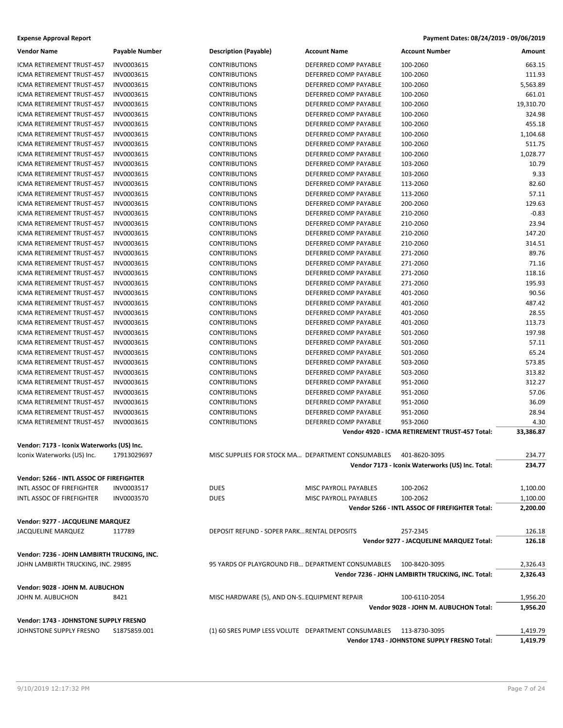| <b>Expense Approval Report</b> | Payment Dates: 08/24/2019 - 09/06/2019 |
|--------------------------------|----------------------------------------|
|--------------------------------|----------------------------------------|

| <b>Vendor Name</b>                          | <b>Payable Number</b> | <b>Description (Payable)</b>                        | <b>Account Name</b>          | <b>Account Number</b>                             | Amount    |
|---------------------------------------------|-----------------------|-----------------------------------------------------|------------------------------|---------------------------------------------------|-----------|
| ICMA RETIREMENT TRUST-457                   | INV0003615            | <b>CONTRIBUTIONS</b>                                | DEFERRED COMP PAYABLE        | 100-2060                                          | 663.15    |
| ICMA RETIREMENT TRUST-457                   | INV0003615            | <b>CONTRIBUTIONS</b>                                | DEFERRED COMP PAYABLE        | 100-2060                                          | 111.93    |
| ICMA RETIREMENT TRUST-457                   | INV0003615            | <b>CONTRIBUTIONS</b>                                | DEFERRED COMP PAYABLE        | 100-2060                                          | 5,563.89  |
| <b>ICMA RETIREMENT TRUST-457</b>            | INV0003615            | <b>CONTRIBUTIONS</b>                                | DEFERRED COMP PAYABLE        | 100-2060                                          | 661.01    |
| <b>ICMA RETIREMENT TRUST-457</b>            | INV0003615            | <b>CONTRIBUTIONS</b>                                | DEFERRED COMP PAYABLE        | 100-2060                                          | 19,310.70 |
| ICMA RETIREMENT TRUST-457                   | INV0003615            | <b>CONTRIBUTIONS</b>                                | DEFERRED COMP PAYABLE        | 100-2060                                          | 324.98    |
| ICMA RETIREMENT TRUST-457                   | INV0003615            | <b>CONTRIBUTIONS</b>                                | DEFERRED COMP PAYABLE        | 100-2060                                          | 455.18    |
| ICMA RETIREMENT TRUST-457                   | INV0003615            | <b>CONTRIBUTIONS</b>                                | DEFERRED COMP PAYABLE        | 100-2060                                          | 1,104.68  |
| ICMA RETIREMENT TRUST-457                   | INV0003615            | <b>CONTRIBUTIONS</b>                                | DEFERRED COMP PAYABLE        | 100-2060                                          | 511.75    |
| ICMA RETIREMENT TRUST-457                   | INV0003615            | <b>CONTRIBUTIONS</b>                                | DEFERRED COMP PAYABLE        | 100-2060                                          | 1,028.77  |
| ICMA RETIREMENT TRUST-457                   | INV0003615            | <b>CONTRIBUTIONS</b>                                | DEFERRED COMP PAYABLE        | 103-2060                                          | 10.79     |
| ICMA RETIREMENT TRUST-457                   | INV0003615            | <b>CONTRIBUTIONS</b>                                | DEFERRED COMP PAYABLE        | 103-2060                                          | 9.33      |
| ICMA RETIREMENT TRUST-457                   | INV0003615            | <b>CONTRIBUTIONS</b>                                | DEFERRED COMP PAYABLE        | 113-2060                                          | 82.60     |
| ICMA RETIREMENT TRUST-457                   | INV0003615            | <b>CONTRIBUTIONS</b>                                | DEFERRED COMP PAYABLE        | 113-2060                                          | 57.11     |
| ICMA RETIREMENT TRUST-457                   | INV0003615            | <b>CONTRIBUTIONS</b>                                | DEFERRED COMP PAYABLE        | 200-2060                                          | 129.63    |
| ICMA RETIREMENT TRUST-457                   | INV0003615            | <b>CONTRIBUTIONS</b>                                | DEFERRED COMP PAYABLE        | 210-2060                                          | $-0.83$   |
| ICMA RETIREMENT TRUST-457                   | INV0003615            | <b>CONTRIBUTIONS</b>                                | DEFERRED COMP PAYABLE        | 210-2060                                          | 23.94     |
| ICMA RETIREMENT TRUST-457                   | INV0003615            | <b>CONTRIBUTIONS</b>                                | DEFERRED COMP PAYABLE        | 210-2060                                          | 147.20    |
| ICMA RETIREMENT TRUST-457                   | INV0003615            | <b>CONTRIBUTIONS</b>                                | DEFERRED COMP PAYABLE        | 210-2060                                          | 314.51    |
| ICMA RETIREMENT TRUST-457                   | INV0003615            | <b>CONTRIBUTIONS</b>                                | DEFERRED COMP PAYABLE        | 271-2060                                          | 89.76     |
| ICMA RETIREMENT TRUST-457                   | INV0003615            | <b>CONTRIBUTIONS</b>                                | DEFERRED COMP PAYABLE        | 271-2060                                          | 71.16     |
| <b>ICMA RETIREMENT TRUST-457</b>            | INV0003615            | <b>CONTRIBUTIONS</b>                                | DEFERRED COMP PAYABLE        | 271-2060                                          | 118.16    |
| ICMA RETIREMENT TRUST-457                   | INV0003615            | <b>CONTRIBUTIONS</b>                                | DEFERRED COMP PAYABLE        | 271-2060                                          | 195.93    |
| <b>ICMA RETIREMENT TRUST-457</b>            | INV0003615            | <b>CONTRIBUTIONS</b>                                | DEFERRED COMP PAYABLE        | 401-2060                                          | 90.56     |
| ICMA RETIREMENT TRUST-457                   | INV0003615            | <b>CONTRIBUTIONS</b>                                | DEFERRED COMP PAYABLE        | 401-2060                                          | 487.42    |
| ICMA RETIREMENT TRUST-457                   | INV0003615            | <b>CONTRIBUTIONS</b>                                | DEFERRED COMP PAYABLE        | 401-2060                                          | 28.55     |
| ICMA RETIREMENT TRUST-457                   | INV0003615            | <b>CONTRIBUTIONS</b>                                | DEFERRED COMP PAYABLE        | 401-2060                                          | 113.73    |
| ICMA RETIREMENT TRUST-457                   | INV0003615            | <b>CONTRIBUTIONS</b>                                | DEFERRED COMP PAYABLE        | 501-2060                                          | 197.98    |
| ICMA RETIREMENT TRUST-457                   | INV0003615            | <b>CONTRIBUTIONS</b>                                | DEFERRED COMP PAYABLE        | 501-2060                                          | 57.11     |
| ICMA RETIREMENT TRUST-457                   | INV0003615            | <b>CONTRIBUTIONS</b>                                | DEFERRED COMP PAYABLE        | 501-2060                                          | 65.24     |
| ICMA RETIREMENT TRUST-457                   | INV0003615            | <b>CONTRIBUTIONS</b>                                | DEFERRED COMP PAYABLE        | 503-2060                                          | 573.85    |
| ICMA RETIREMENT TRUST-457                   | INV0003615            | <b>CONTRIBUTIONS</b>                                | DEFERRED COMP PAYABLE        | 503-2060                                          | 313.82    |
| ICMA RETIREMENT TRUST-457                   | INV0003615            | <b>CONTRIBUTIONS</b>                                | DEFERRED COMP PAYABLE        | 951-2060                                          | 312.27    |
| ICMA RETIREMENT TRUST-457                   | INV0003615            | <b>CONTRIBUTIONS</b>                                | DEFERRED COMP PAYABLE        | 951-2060                                          | 57.06     |
| ICMA RETIREMENT TRUST-457                   | INV0003615            | <b>CONTRIBUTIONS</b>                                | DEFERRED COMP PAYABLE        | 951-2060                                          | 36.09     |
| ICMA RETIREMENT TRUST-457                   | INV0003615            | <b>CONTRIBUTIONS</b>                                | DEFERRED COMP PAYABLE        | 951-2060                                          | 28.94     |
| ICMA RETIREMENT TRUST-457                   | INV0003615            | <b>CONTRIBUTIONS</b>                                | DEFERRED COMP PAYABLE        | 953-2060                                          | 4.30      |
|                                             |                       |                                                     |                              | Vendor 4920 - ICMA RETIREMENT TRUST-457 Total:    | 33,386.87 |
|                                             |                       |                                                     |                              |                                                   |           |
| Vendor: 7173 - Iconix Waterworks (US) Inc.  |                       |                                                     |                              |                                                   |           |
| Iconix Waterworks (US) Inc.                 | 17913029697           | MISC SUPPLIES FOR STOCK MA DEPARTMENT CONSUMABLES   |                              | 401-8620-3095                                     | 234.77    |
|                                             |                       |                                                     |                              | Vendor 7173 - Iconix Waterworks (US) Inc. Total:  | 234.77    |
| Vendor: 5266 - INTL ASSOC OF FIREFIGHTER    |                       |                                                     |                              |                                                   |           |
| <b>INTL ASSOC OF FIREFIGHTER</b>            | INV0003517            | <b>DUES</b>                                         | MISC PAYROLL PAYABLES        | 100-2062                                          | 1,100.00  |
| INTL ASSOC OF FIREFIGHTER                   | INV0003570            | <b>DUES</b>                                         | <b>MISC PAYROLL PAYABLES</b> | 100-2062                                          | 1,100.00  |
|                                             |                       |                                                     |                              | Vendor 5266 - INTL ASSOC OF FIREFIGHTER Total:    | 2,200.00  |
| Vendor: 9277 - JACQUELINE MARQUEZ           |                       |                                                     |                              |                                                   |           |
| <b>JACQUELINE MARQUEZ</b>                   | 117789                | DEPOSIT REFUND - SOPER PARK RENTAL DEPOSITS         |                              | 257-2345                                          | 126.18    |
|                                             |                       |                                                     |                              | Vendor 9277 - JACQUELINE MARQUEZ Total:           | 126.18    |
| Vendor: 7236 - JOHN LAMBIRTH TRUCKING, INC. |                       |                                                     |                              |                                                   |           |
| JOHN LAMBIRTH TRUCKING, INC. 29895          |                       | 95 YARDS OF PLAYGROUND FIB DEPARTMENT CONSUMABLES   |                              | 100-8420-3095                                     | 2,326.43  |
|                                             |                       |                                                     |                              | Vendor 7236 - JOHN LAMBIRTH TRUCKING, INC. Total: | 2,326.43  |
|                                             |                       |                                                     |                              |                                                   |           |
| Vendor: 9028 - JOHN M. AUBUCHON             |                       |                                                     |                              |                                                   |           |
| JOHN M. AUBUCHON                            | 8421                  | MISC HARDWARE (5), AND ON-S. EQUIPMENT REPAIR       |                              | 100-6110-2054                                     | 1,956.20  |
|                                             |                       |                                                     |                              | Vendor 9028 - JOHN M. AUBUCHON Total:             | 1,956.20  |
| Vendor: 1743 - JOHNSTONE SUPPLY FRESNO      |                       |                                                     |                              |                                                   |           |
| JOHNSTONE SUPPLY FRESNO                     | \$1875859.001         | (1) 60 SRES PUMP LESS VOLUTE DEPARTMENT CONSUMABLES |                              | 113-8730-3095                                     | 1,419.79  |
|                                             |                       |                                                     |                              | Vendor 1743 - JOHNSTONE SUPPLY FRESNO Total:      | 1,419.79  |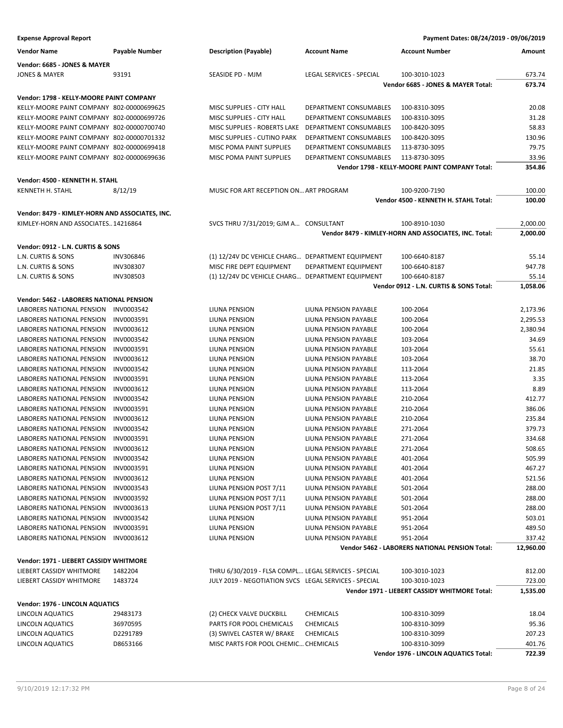| <b>Vendor Name</b>                              | Payable Number   | <b>Description (Payable)</b>                          | <b>Account Name</b>           | <b>Account Number</b>                                 | Amount    |
|-------------------------------------------------|------------------|-------------------------------------------------------|-------------------------------|-------------------------------------------------------|-----------|
| Vendor: 6685 - JONES & MAYER                    |                  |                                                       |                               |                                                       |           |
| <b>JONES &amp; MAYER</b>                        | 93191            | SEASIDE PD - MJM                                      | LEGAL SERVICES - SPECIAL      | 100-3010-1023                                         | 673.74    |
|                                                 |                  |                                                       |                               | Vendor 6685 - JONES & MAYER Total:                    | 673.74    |
| Vendor: 1798 - KELLY-MOORE PAINT COMPANY        |                  |                                                       |                               |                                                       |           |
| KELLY-MOORE PAINT COMPANY 802-00000699625       |                  | MISC SUPPLIES - CITY HALL                             | DEPARTMENT CONSUMABLES        | 100-8310-3095                                         | 20.08     |
| KELLY-MOORE PAINT COMPANY 802-00000699726       |                  | MISC SUPPLIES - CITY HALL                             | DEPARTMENT CONSUMABLES        | 100-8310-3095                                         | 31.28     |
| KELLY-MOORE PAINT COMPANY 802-00000700740       |                  | MISC SUPPLIES - ROBERTS LAKE                          | DEPARTMENT CONSUMABLES        | 100-8420-3095                                         | 58.83     |
| KELLY-MOORE PAINT COMPANY 802-00000701332       |                  | MISC SUPPLIES - CUTINO PARK                           | <b>DEPARTMENT CONSUMABLES</b> | 100-8420-3095                                         | 130.96    |
| KELLY-MOORE PAINT COMPANY 802-00000699418       |                  | MISC POMA PAINT SUPPLIES                              | DEPARTMENT CONSUMABLES        | 113-8730-3095                                         | 79.75     |
| KELLY-MOORE PAINT COMPANY 802-00000699636       |                  | MISC POMA PAINT SUPPLIES                              | DEPARTMENT CONSUMABLES        | 113-8730-3095                                         | 33.96     |
|                                                 |                  |                                                       |                               | Vendor 1798 - KELLY-MOORE PAINT COMPANY Total:        | 354.86    |
|                                                 |                  |                                                       |                               |                                                       |           |
| Vendor: 4500 - KENNETH H. STAHL                 |                  |                                                       |                               |                                                       |           |
| KENNETH H. STAHL                                | 8/12/19          | MUSIC FOR ART RECEPTION ON ART PROGRAM                |                               | 100-9200-7190                                         | 100.00    |
|                                                 |                  |                                                       |                               | Vendor 4500 - KENNETH H. STAHL Total:                 | 100.00    |
| Vendor: 8479 - KIMLEY-HORN AND ASSOCIATES, INC. |                  |                                                       |                               |                                                       |           |
| KIMLEY-HORN AND ASSOCIATES14216864              |                  | SVCS THRU 7/31/2019; GJM A CONSULTANT                 |                               | 100-8910-1030                                         | 2,000.00  |
|                                                 |                  |                                                       |                               | Vendor 8479 - KIMLEY-HORN AND ASSOCIATES, INC. Total: | 2,000.00  |
| Vendor: 0912 - L.N. CURTIS & SONS               |                  |                                                       |                               |                                                       |           |
| L.N. CURTIS & SONS                              | <b>INV306846</b> | (1) 12/24V DC VEHICLE CHARG DEPARTMENT EQUIPMENT      |                               | 100-6640-8187                                         | 55.14     |
| L.N. CURTIS & SONS                              | <b>INV308307</b> | MISC FIRE DEPT EQUIPMENT                              | DEPARTMENT EQUIPMENT          | 100-6640-8187                                         | 947.78    |
| L.N. CURTIS & SONS                              | INV308503        | (1) 12/24V DC VEHICLE CHARG DEPARTMENT EQUIPMENT      |                               | 100-6640-8187                                         | 55.14     |
|                                                 |                  |                                                       |                               | Vendor 0912 - L.N. CURTIS & SONS Total:               | 1,058.06  |
|                                                 |                  |                                                       |                               |                                                       |           |
| <b>Vendor: 5462 - LABORERS NATIONAL PENSION</b> |                  |                                                       |                               |                                                       |           |
| LABORERS NATIONAL PENSION                       | INV0003542       | LIUNA PENSION                                         | LIUNA PENSION PAYABLE         | 100-2064                                              | 2,173.96  |
| LABORERS NATIONAL PENSION                       | INV0003591       | LIUNA PENSION                                         | LIUNA PENSION PAYABLE         | 100-2064                                              | 2,295.53  |
| LABORERS NATIONAL PENSION                       | INV0003612       | LIUNA PENSION                                         | LIUNA PENSION PAYABLE         | 100-2064                                              | 2,380.94  |
| LABORERS NATIONAL PENSION                       | INV0003542       | LIUNA PENSION                                         | LIUNA PENSION PAYABLE         | 103-2064                                              | 34.69     |
| LABORERS NATIONAL PENSION                       | INV0003591       | LIUNA PENSION                                         | LIUNA PENSION PAYABLE         | 103-2064                                              | 55.61     |
| LABORERS NATIONAL PENSION                       | INV0003612       | LIUNA PENSION                                         | LIUNA PENSION PAYABLE         | 103-2064                                              | 38.70     |
| LABORERS NATIONAL PENSION                       | INV0003542       | LIUNA PENSION                                         | LIUNA PENSION PAYABLE         | 113-2064                                              | 21.85     |
| LABORERS NATIONAL PENSION                       | INV0003591       | LIUNA PENSION                                         | LIUNA PENSION PAYABLE         | 113-2064                                              | 3.35      |
| LABORERS NATIONAL PENSION                       | INV0003612       | LIUNA PENSION                                         | LIUNA PENSION PAYABLE         | 113-2064                                              | 8.89      |
| LABORERS NATIONAL PENSION                       | INV0003542       | LIUNA PENSION                                         | LIUNA PENSION PAYABLE         | 210-2064                                              | 412.77    |
| LABORERS NATIONAL PENSION                       | INV0003591       | LIUNA PENSION                                         | LIUNA PENSION PAYABLE         | 210-2064                                              | 386.06    |
| <b>LABORERS NATIONAL PENSION</b>                | INV0003612       | LIUNA PENSION                                         | <b>LIUNA PENSION PAYABLE</b>  | 210-2064                                              | 235.84    |
| LABORERS NATIONAL PENSION                       | INV0003542       | LIUNA PENSION                                         | LIUNA PENSION PAYABLE         | 271-2064                                              | 379.73    |
| LABORERS NATIONAL PENSION                       | INV0003591       | LIUNA PENSION                                         | <b>LIUNA PENSION PAYABLE</b>  | 271-2064                                              | 334.68    |
| LABORERS NATIONAL PENSION INV0003612            |                  | LIUNA PENSION                                         | <b>LIUNA PENSION PAYABLE</b>  | 271-2064                                              | 508.65    |
| LABORERS NATIONAL PENSION INV0003542            |                  | LIUNA PENSION                                         | LIUNA PENSION PAYABLE         | 401-2064                                              | 505.99    |
| LABORERS NATIONAL PENSION INV0003591            |                  | LIUNA PENSION                                         | LIUNA PENSION PAYABLE         | 401-2064                                              | 467.27    |
| LABORERS NATIONAL PENSION                       | INV0003612       | LIUNA PENSION                                         | LIUNA PENSION PAYABLE         | 401-2064                                              | 521.56    |
| LABORERS NATIONAL PENSION                       | INV0003543       | LIUNA PENSION POST 7/11                               | LIUNA PENSION PAYABLE         | 501-2064                                              | 288.00    |
| LABORERS NATIONAL PENSION                       | INV0003592       | LIUNA PENSION POST 7/11                               | LIUNA PENSION PAYABLE         | 501-2064                                              | 288.00    |
| LABORERS NATIONAL PENSION                       | INV0003613       | LIUNA PENSION POST 7/11                               | LIUNA PENSION PAYABLE         | 501-2064                                              | 288.00    |
| LABORERS NATIONAL PENSION                       | INV0003542       | LIUNA PENSION                                         | LIUNA PENSION PAYABLE         | 951-2064                                              | 503.01    |
| LABORERS NATIONAL PENSION                       | INV0003591       | LIUNA PENSION                                         | LIUNA PENSION PAYABLE         | 951-2064                                              | 489.50    |
| LABORERS NATIONAL PENSION INV0003612            |                  | LIUNA PENSION                                         | LIUNA PENSION PAYABLE         | 951-2064                                              | 337.42    |
|                                                 |                  |                                                       |                               | Vendor 5462 - LABORERS NATIONAL PENSION Total:        | 12,960.00 |
| Vendor: 1971 - LIEBERT CASSIDY WHITMORE         |                  |                                                       |                               |                                                       |           |
| LIEBERT CASSIDY WHITMORE                        | 1482204          | THRU 6/30/2019 - FLSA COMPL LEGAL SERVICES - SPECIAL  |                               | 100-3010-1023                                         | 812.00    |
| LIEBERT CASSIDY WHITMORE                        | 1483724          | JULY 2019 - NEGOTIATION SVCS LEGAL SERVICES - SPECIAL |                               | 100-3010-1023                                         | 723.00    |
|                                                 |                  |                                                       |                               | Vendor 1971 - LIEBERT CASSIDY WHITMORE Total:         | 1,535.00  |
| Vendor: 1976 - LINCOLN AQUATICS                 |                  |                                                       |                               |                                                       |           |
| LINCOLN AQUATICS                                | 29483173         | (2) CHECK VALVE DUCKBILL                              | <b>CHEMICALS</b>              | 100-8310-3099                                         | 18.04     |
| LINCOLN AQUATICS                                | 36970595         | PARTS FOR POOL CHEMICALS                              | <b>CHEMICALS</b>              | 100-8310-3099                                         | 95.36     |
| LINCOLN AQUATICS                                | D2291789         | (3) SWIVEL CASTER W/ BRAKE                            | <b>CHEMICALS</b>              | 100-8310-3099                                         | 207.23    |
| LINCOLN AQUATICS                                | D8653166         | MISC PARTS FOR POOL CHEMIC CHEMICALS                  |                               | 100-8310-3099                                         | 401.76    |
|                                                 |                  |                                                       |                               | Vendor 1976 - LINCOLN AQUATICS Total:                 | 722.39    |
|                                                 |                  |                                                       |                               |                                                       |           |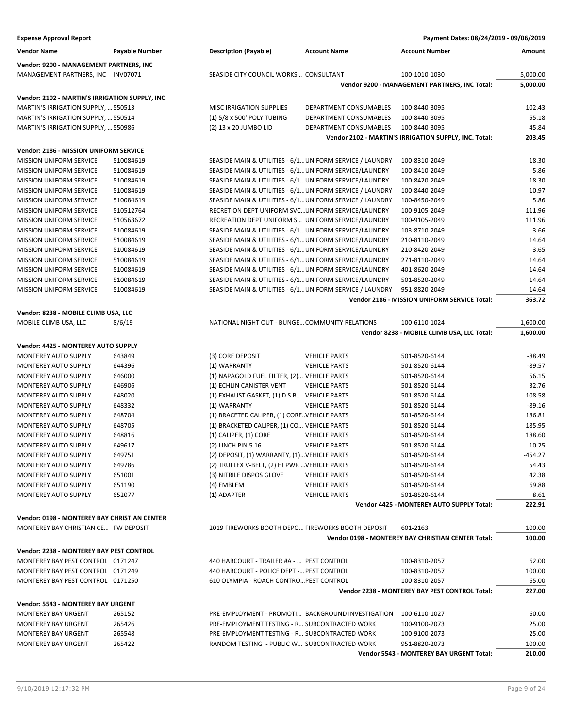| <b>Vendor Name</b><br><b>Description (Payable)</b><br><b>Account Number</b><br>Payable Number<br><b>Account Name</b><br>Amount<br>Vendor: 9200 - MANAGEMENT PARTNERS, INC<br>SEASIDE CITY COUNCIL WORKS CONSULTANT<br>5,000.00<br>MANAGEMENT PARTNERS, INC INV07071<br>100-1010-1030<br>Vendor 9200 - MANAGEMENT PARTNERS, INC Total:<br>5,000.00<br>Vendor: 2102 - MARTIN'S IRRIGATION SUPPLY, INC.<br>DEPARTMENT CONSUMABLES<br>MARTIN'S IRRIGATION SUPPLY,  550513<br><b>MISC IRRIGATION SUPPLIES</b><br>100-8440-3095<br>102.43<br>MARTIN'S IRRIGATION SUPPLY,  550514<br>(1) 5/8 x 500' POLY TUBING<br>DEPARTMENT CONSUMABLES<br>100-8440-3095<br>55.18<br>MARTIN'S IRRIGATION SUPPLY,  550986<br>(2) 13 x 20 JUMBO LID<br>DEPARTMENT CONSUMABLES<br>100-8440-3095<br>45.84<br>Vendor 2102 - MARTIN'S IRRIGATION SUPPLY, INC. Total:<br>203.45<br>Vendor: 2186 - MISSION UNIFORM SERVICE<br><b>MISSION UNIFORM SERVICE</b><br>SEASIDE MAIN & UTILITIES - 6/1 UNIFORM SERVICE / LAUNDRY<br>18.30<br>510084619<br>100-8310-2049<br>5.86<br><b>MISSION UNIFORM SERVICE</b><br>510084619<br>SEASIDE MAIN & UTILITIES - 6/1 UNIFORM SERVICE/LAUNDRY<br>100-8410-2049<br><b>MISSION UNIFORM SERVICE</b><br>510084619<br>SEASIDE MAIN & UTILITIES - 6/1 UNIFORM SERVICE/LAUNDRY<br>18.30<br>100-8420-2049<br>SEASIDE MAIN & UTILITIES - 6/1 UNIFORM SERVICE / LAUNDRY<br>10.97<br><b>MISSION UNIFORM SERVICE</b><br>510084619<br>100-8440-2049<br>5.86<br>MISSION UNIFORM SERVICE<br>510084619<br>SEASIDE MAIN & UTILITIES - 6/1 UNIFORM SERVICE / LAUNDRY<br>100-8450-2049<br><b>MISSION UNIFORM SERVICE</b><br>510512764<br>RECRETION DEPT UNIFORM SVC UNIFORM SERVICE/LAUNDRY<br>111.96<br>100-9105-2049<br>111.96<br><b>MISSION UNIFORM SERVICE</b><br>510563672<br>RECREATION DEPT UNIFORM S UNIFORM SERVICE/LAUNDRY<br>100-9105-2049<br>3.66<br><b>MISSION UNIFORM SERVICE</b><br>510084619<br>SEASIDE MAIN & UTILITIES - 6/1 UNIFORM SERVICE/LAUNDRY<br>103-8710-2049<br>SEASIDE MAIN & UTILITIES - 6/1 UNIFORM SERVICE/LAUNDRY<br>14.64<br><b>MISSION UNIFORM SERVICE</b><br>510084619<br>210-8110-2049<br>3.65<br>MISSION UNIFORM SERVICE<br>510084619<br>SEASIDE MAIN & UTILITIES - 6/1 UNIFORM SERVICE/LAUNDRY<br>210-8420-2049<br><b>MISSION UNIFORM SERVICE</b><br>510084619<br>SEASIDE MAIN & UTILITIES - 6/1 UNIFORM SERVICE/LAUNDRY<br>271-8110-2049<br>14.64<br>14.64<br><b>MISSION UNIFORM SERVICE</b><br>510084619<br>SEASIDE MAIN & UTILITIES - 6/1 UNIFORM SERVICE/LAUNDRY<br>401-8620-2049<br><b>MISSION UNIFORM SERVICE</b><br>510084619<br>SEASIDE MAIN & UTILITIES - 6/1 UNIFORM SERVICE/LAUNDRY<br>14.64<br>501-8520-2049<br>SEASIDE MAIN & UTILITIES - 6/1 UNIFORM SERVICE / LAUNDRY<br>14.64<br><b>MISSION UNIFORM SERVICE</b><br>510084619<br>951-8820-2049<br>363.72<br>Vendor 2186 - MISSION UNIFORM SERVICE Total:<br>Vendor: 8238 - MOBILE CLIMB USA, LLC<br>8/6/19<br>NATIONAL NIGHT OUT - BUNGE COMMUNITY RELATIONS<br>1,600.00<br>MOBILE CLIMB USA, LLC<br>100-6110-1024<br>Vendor 8238 - MOBILE CLIMB USA, LLC Total:<br>1,600.00<br>Vendor: 4425 - MONTEREY AUTO SUPPLY<br>643849<br>(3) CORE DEPOSIT<br><b>MONTEREY AUTO SUPPLY</b><br><b>VEHICLE PARTS</b><br>501-8520-6144<br>$-88.49$<br>MONTEREY AUTO SUPPLY<br>644396<br>(1) WARRANTY<br><b>VEHICLE PARTS</b><br>$-89.57$<br>501-8520-6144<br>56.15<br>MONTEREY AUTO SUPPLY<br>646000<br>(1) NAPAGOLD FUEL FILTER, (2) VEHICLE PARTS<br>501-8520-6144<br>32.76<br>MONTEREY AUTO SUPPLY<br>646906<br>(1) ECHLIN CANISTER VENT<br>501-8520-6144<br><b>VEHICLE PARTS</b><br>648020<br>(1) EXHAUST GASKET, (1) D S B VEHICLE PARTS<br>108.58<br><b>MONTEREY AUTO SUPPLY</b><br>501-8520-6144<br>$-89.16$<br><b>MONTEREY AUTO SUPPLY</b><br>648332<br>(1) WARRANTY<br><b>VEHICLE PARTS</b><br>501-8520-6144<br>648704<br>(1) BRACETED CALIPER, (1) CORE. VEHICLE PARTS<br>186.81<br><b>MONTEREY AUTO SUPPLY</b><br>501-8520-6144<br>MONTEREY AUTO SUPPLY<br>648705<br>(1) BRACKETED CALIPER, (1) CO VEHICLE PARTS<br>501-8520-6144<br>185.95<br>(1) CALIPER, (1) CORE<br>188.60<br><b>MONTEREY AUTO SUPPLY</b><br>648816<br><b>VEHICLE PARTS</b><br>501-8520-6144<br>649617<br>(2) LINCH PIN 5 16<br><b>VEHICLE PARTS</b><br>501-8520-6144<br>10.25<br>MONTEREY AUTO SUPPLY<br>MONTEREY AUTO SUPPLY<br>649751<br>(2) DEPOSIT, (1) WARRANTY, (1) VEHICLE PARTS<br>501-8520-6144<br>-454.27<br>649786<br>(2) TRUFLEX V-BELT, (2) HI PWR  VEHICLE PARTS<br>501-8520-6144<br>54.43<br>MONTEREY AUTO SUPPLY<br>651001<br>(3) NITRILE DISPOS GLOVE<br>501-8520-6144<br>42.38<br><b>MONTEREY AUTO SUPPLY</b><br><b>VEHICLE PARTS</b><br><b>MONTEREY AUTO SUPPLY</b><br>651190<br>(4) EMBLEM<br><b>VEHICLE PARTS</b><br>501-8520-6144<br>69.88<br><b>MONTEREY AUTO SUPPLY</b><br>652077<br>(1) ADAPTER<br><b>VEHICLE PARTS</b><br>501-8520-6144<br>8.61<br>Vendor 4425 - MONTEREY AUTO SUPPLY Total:<br>222.91<br>Vendor: 0198 - MONTEREY BAY CHRISTIAN CENTER<br>MONTEREY BAY CHRISTIAN CE FW DEPOSIT<br>2019 FIREWORKS BOOTH DEPO FIREWORKS BOOTH DEPOSIT<br>100.00<br>601-2163<br>Vendor 0198 - MONTEREY BAY CHRISTIAN CENTER Total:<br>100.00<br>Vendor: 2238 - MONTEREY BAY PEST CONTROL<br>MONTEREY BAY PEST CONTROL 0171247<br>440 HARCOURT - TRAILER #A -  PEST CONTROL<br>62.00<br>100-8310-2057<br>440 HARCOURT - POLICE DEPT - PEST CONTROL<br>MONTEREY BAY PEST CONTROL 0171249<br>100-8310-2057<br>100.00<br>MONTEREY BAY PEST CONTROL 0171250<br>610 OLYMPIA - ROACH CONTRO PEST CONTROL<br>65.00<br>100-8310-2057<br>Vendor 2238 - MONTEREY BAY PEST CONTROL Total:<br>227.00<br>Vendor: 5543 - MONTEREY BAY URGENT<br>PRE-EMPLOYMENT - PROMOTI BACKGROUND INVESTIGATION<br>60.00<br>MONTEREY BAY URGENT<br>265152<br>100-6110-1027<br><b>MONTEREY BAY URGENT</b><br>265426<br>PRE-EMPLOYMENT TESTING - R SUBCONTRACTED WORK<br>25.00<br>100-9100-2073<br><b>MONTEREY BAY URGENT</b><br>265548<br>PRE-EMPLOYMENT TESTING - R SUBCONTRACTED WORK<br>100-9100-2073<br>25.00<br><b>MONTEREY BAY URGENT</b><br>265422<br>RANDOM TESTING - PUBLIC W SUBCONTRACTED WORK<br>951-8820-2073<br>100.00<br>210.00<br>Vendor 5543 - MONTEREY BAY URGENT Total: | <b>Expense Approval Report</b> |  | Payment Dates: 08/24/2019 - 09/06/2019 |  |
|------------------------------------------------------------------------------------------------------------------------------------------------------------------------------------------------------------------------------------------------------------------------------------------------------------------------------------------------------------------------------------------------------------------------------------------------------------------------------------------------------------------------------------------------------------------------------------------------------------------------------------------------------------------------------------------------------------------------------------------------------------------------------------------------------------------------------------------------------------------------------------------------------------------------------------------------------------------------------------------------------------------------------------------------------------------------------------------------------------------------------------------------------------------------------------------------------------------------------------------------------------------------------------------------------------------------------------------------------------------------------------------------------------------------------------------------------------------------------------------------------------------------------------------------------------------------------------------------------------------------------------------------------------------------------------------------------------------------------------------------------------------------------------------------------------------------------------------------------------------------------------------------------------------------------------------------------------------------------------------------------------------------------------------------------------------------------------------------------------------------------------------------------------------------------------------------------------------------------------------------------------------------------------------------------------------------------------------------------------------------------------------------------------------------------------------------------------------------------------------------------------------------------------------------------------------------------------------------------------------------------------------------------------------------------------------------------------------------------------------------------------------------------------------------------------------------------------------------------------------------------------------------------------------------------------------------------------------------------------------------------------------------------------------------------------------------------------------------------------------------------------------------------------------------------------------------------------------------------------------------------------------------------------------------------------------------------------------------------------------------------------------------------------------------------------------------------------------------------------------------------------------------------------------------------------------------------------------------------------------------------------------------------------------------------------------------------------------------------------------------------------------------------------------------------------------------------------------------------------------------------------------------------------------------------------------------------------------------------------------------------------------------------------------------------------------------------------------------------------------------------------------------------------------------------------------------------------------------------------------------------------------------------------------------------------------------------------------------------------------------------------------------------------------------------------------------------------------------------------------------------------------------------------------------------------------------------------------------------------------------------------------------------------------------------------------------------------------------------------------------------------------------------------------------------------------------------------------------------------------------------------------------------------------------------------------------------------------------------------------------------------------------------------------------------------------------------------------------------------------------------------------------------------------------------------------------------------------------------------------------------------------------------------------------------------------------------------------------------------------------------------------------------------------------------------------------------------------------------------------------------------------------------------------------------------------------------------------------------------------------------------------------------------------------------------------------------------------------------------------------------------------------------------------------------------------------------------------------------------------------------------------------------------------------------------------------------------------------------------------------------------------------------------------------------------------------------------------------------------------------------------------------|--------------------------------|--|----------------------------------------|--|
|                                                                                                                                                                                                                                                                                                                                                                                                                                                                                                                                                                                                                                                                                                                                                                                                                                                                                                                                                                                                                                                                                                                                                                                                                                                                                                                                                                                                                                                                                                                                                                                                                                                                                                                                                                                                                                                                                                                                                                                                                                                                                                                                                                                                                                                                                                                                                                                                                                                                                                                                                                                                                                                                                                                                                                                                                                                                                                                                                                                                                                                                                                                                                                                                                                                                                                                                                                                                                                                                                                                                                                                                                                                                                                                                                                                                                                                                                                                                                                                                                                                                                                                                                                                                                                                                                                                                                                                                                                                                                                                                                                                                                                                                                                                                                                                                                                                                                                                                                                                                                                                                                                                                                                                                                                                                                                                                                                                                                                                                                                                                                                                                                                                                                                                                                                                                                                                                                                                                                                                                                                                                                                                                                |                                |  |                                        |  |
|                                                                                                                                                                                                                                                                                                                                                                                                                                                                                                                                                                                                                                                                                                                                                                                                                                                                                                                                                                                                                                                                                                                                                                                                                                                                                                                                                                                                                                                                                                                                                                                                                                                                                                                                                                                                                                                                                                                                                                                                                                                                                                                                                                                                                                                                                                                                                                                                                                                                                                                                                                                                                                                                                                                                                                                                                                                                                                                                                                                                                                                                                                                                                                                                                                                                                                                                                                                                                                                                                                                                                                                                                                                                                                                                                                                                                                                                                                                                                                                                                                                                                                                                                                                                                                                                                                                                                                                                                                                                                                                                                                                                                                                                                                                                                                                                                                                                                                                                                                                                                                                                                                                                                                                                                                                                                                                                                                                                                                                                                                                                                                                                                                                                                                                                                                                                                                                                                                                                                                                                                                                                                                                                                |                                |  |                                        |  |
|                                                                                                                                                                                                                                                                                                                                                                                                                                                                                                                                                                                                                                                                                                                                                                                                                                                                                                                                                                                                                                                                                                                                                                                                                                                                                                                                                                                                                                                                                                                                                                                                                                                                                                                                                                                                                                                                                                                                                                                                                                                                                                                                                                                                                                                                                                                                                                                                                                                                                                                                                                                                                                                                                                                                                                                                                                                                                                                                                                                                                                                                                                                                                                                                                                                                                                                                                                                                                                                                                                                                                                                                                                                                                                                                                                                                                                                                                                                                                                                                                                                                                                                                                                                                                                                                                                                                                                                                                                                                                                                                                                                                                                                                                                                                                                                                                                                                                                                                                                                                                                                                                                                                                                                                                                                                                                                                                                                                                                                                                                                                                                                                                                                                                                                                                                                                                                                                                                                                                                                                                                                                                                                                                |                                |  |                                        |  |
|                                                                                                                                                                                                                                                                                                                                                                                                                                                                                                                                                                                                                                                                                                                                                                                                                                                                                                                                                                                                                                                                                                                                                                                                                                                                                                                                                                                                                                                                                                                                                                                                                                                                                                                                                                                                                                                                                                                                                                                                                                                                                                                                                                                                                                                                                                                                                                                                                                                                                                                                                                                                                                                                                                                                                                                                                                                                                                                                                                                                                                                                                                                                                                                                                                                                                                                                                                                                                                                                                                                                                                                                                                                                                                                                                                                                                                                                                                                                                                                                                                                                                                                                                                                                                                                                                                                                                                                                                                                                                                                                                                                                                                                                                                                                                                                                                                                                                                                                                                                                                                                                                                                                                                                                                                                                                                                                                                                                                                                                                                                                                                                                                                                                                                                                                                                                                                                                                                                                                                                                                                                                                                                                                |                                |  |                                        |  |
|                                                                                                                                                                                                                                                                                                                                                                                                                                                                                                                                                                                                                                                                                                                                                                                                                                                                                                                                                                                                                                                                                                                                                                                                                                                                                                                                                                                                                                                                                                                                                                                                                                                                                                                                                                                                                                                                                                                                                                                                                                                                                                                                                                                                                                                                                                                                                                                                                                                                                                                                                                                                                                                                                                                                                                                                                                                                                                                                                                                                                                                                                                                                                                                                                                                                                                                                                                                                                                                                                                                                                                                                                                                                                                                                                                                                                                                                                                                                                                                                                                                                                                                                                                                                                                                                                                                                                                                                                                                                                                                                                                                                                                                                                                                                                                                                                                                                                                                                                                                                                                                                                                                                                                                                                                                                                                                                                                                                                                                                                                                                                                                                                                                                                                                                                                                                                                                                                                                                                                                                                                                                                                                                                |                                |  |                                        |  |
|                                                                                                                                                                                                                                                                                                                                                                                                                                                                                                                                                                                                                                                                                                                                                                                                                                                                                                                                                                                                                                                                                                                                                                                                                                                                                                                                                                                                                                                                                                                                                                                                                                                                                                                                                                                                                                                                                                                                                                                                                                                                                                                                                                                                                                                                                                                                                                                                                                                                                                                                                                                                                                                                                                                                                                                                                                                                                                                                                                                                                                                                                                                                                                                                                                                                                                                                                                                                                                                                                                                                                                                                                                                                                                                                                                                                                                                                                                                                                                                                                                                                                                                                                                                                                                                                                                                                                                                                                                                                                                                                                                                                                                                                                                                                                                                                                                                                                                                                                                                                                                                                                                                                                                                                                                                                                                                                                                                                                                                                                                                                                                                                                                                                                                                                                                                                                                                                                                                                                                                                                                                                                                                                                |                                |  |                                        |  |
|                                                                                                                                                                                                                                                                                                                                                                                                                                                                                                                                                                                                                                                                                                                                                                                                                                                                                                                                                                                                                                                                                                                                                                                                                                                                                                                                                                                                                                                                                                                                                                                                                                                                                                                                                                                                                                                                                                                                                                                                                                                                                                                                                                                                                                                                                                                                                                                                                                                                                                                                                                                                                                                                                                                                                                                                                                                                                                                                                                                                                                                                                                                                                                                                                                                                                                                                                                                                                                                                                                                                                                                                                                                                                                                                                                                                                                                                                                                                                                                                                                                                                                                                                                                                                                                                                                                                                                                                                                                                                                                                                                                                                                                                                                                                                                                                                                                                                                                                                                                                                                                                                                                                                                                                                                                                                                                                                                                                                                                                                                                                                                                                                                                                                                                                                                                                                                                                                                                                                                                                                                                                                                                                                |                                |  |                                        |  |
|                                                                                                                                                                                                                                                                                                                                                                                                                                                                                                                                                                                                                                                                                                                                                                                                                                                                                                                                                                                                                                                                                                                                                                                                                                                                                                                                                                                                                                                                                                                                                                                                                                                                                                                                                                                                                                                                                                                                                                                                                                                                                                                                                                                                                                                                                                                                                                                                                                                                                                                                                                                                                                                                                                                                                                                                                                                                                                                                                                                                                                                                                                                                                                                                                                                                                                                                                                                                                                                                                                                                                                                                                                                                                                                                                                                                                                                                                                                                                                                                                                                                                                                                                                                                                                                                                                                                                                                                                                                                                                                                                                                                                                                                                                                                                                                                                                                                                                                                                                                                                                                                                                                                                                                                                                                                                                                                                                                                                                                                                                                                                                                                                                                                                                                                                                                                                                                                                                                                                                                                                                                                                                                                                |                                |  |                                        |  |
|                                                                                                                                                                                                                                                                                                                                                                                                                                                                                                                                                                                                                                                                                                                                                                                                                                                                                                                                                                                                                                                                                                                                                                                                                                                                                                                                                                                                                                                                                                                                                                                                                                                                                                                                                                                                                                                                                                                                                                                                                                                                                                                                                                                                                                                                                                                                                                                                                                                                                                                                                                                                                                                                                                                                                                                                                                                                                                                                                                                                                                                                                                                                                                                                                                                                                                                                                                                                                                                                                                                                                                                                                                                                                                                                                                                                                                                                                                                                                                                                                                                                                                                                                                                                                                                                                                                                                                                                                                                                                                                                                                                                                                                                                                                                                                                                                                                                                                                                                                                                                                                                                                                                                                                                                                                                                                                                                                                                                                                                                                                                                                                                                                                                                                                                                                                                                                                                                                                                                                                                                                                                                                                                                |                                |  |                                        |  |
|                                                                                                                                                                                                                                                                                                                                                                                                                                                                                                                                                                                                                                                                                                                                                                                                                                                                                                                                                                                                                                                                                                                                                                                                                                                                                                                                                                                                                                                                                                                                                                                                                                                                                                                                                                                                                                                                                                                                                                                                                                                                                                                                                                                                                                                                                                                                                                                                                                                                                                                                                                                                                                                                                                                                                                                                                                                                                                                                                                                                                                                                                                                                                                                                                                                                                                                                                                                                                                                                                                                                                                                                                                                                                                                                                                                                                                                                                                                                                                                                                                                                                                                                                                                                                                                                                                                                                                                                                                                                                                                                                                                                                                                                                                                                                                                                                                                                                                                                                                                                                                                                                                                                                                                                                                                                                                                                                                                                                                                                                                                                                                                                                                                                                                                                                                                                                                                                                                                                                                                                                                                                                                                                                |                                |  |                                        |  |
|                                                                                                                                                                                                                                                                                                                                                                                                                                                                                                                                                                                                                                                                                                                                                                                                                                                                                                                                                                                                                                                                                                                                                                                                                                                                                                                                                                                                                                                                                                                                                                                                                                                                                                                                                                                                                                                                                                                                                                                                                                                                                                                                                                                                                                                                                                                                                                                                                                                                                                                                                                                                                                                                                                                                                                                                                                                                                                                                                                                                                                                                                                                                                                                                                                                                                                                                                                                                                                                                                                                                                                                                                                                                                                                                                                                                                                                                                                                                                                                                                                                                                                                                                                                                                                                                                                                                                                                                                                                                                                                                                                                                                                                                                                                                                                                                                                                                                                                                                                                                                                                                                                                                                                                                                                                                                                                                                                                                                                                                                                                                                                                                                                                                                                                                                                                                                                                                                                                                                                                                                                                                                                                                                |                                |  |                                        |  |
|                                                                                                                                                                                                                                                                                                                                                                                                                                                                                                                                                                                                                                                                                                                                                                                                                                                                                                                                                                                                                                                                                                                                                                                                                                                                                                                                                                                                                                                                                                                                                                                                                                                                                                                                                                                                                                                                                                                                                                                                                                                                                                                                                                                                                                                                                                                                                                                                                                                                                                                                                                                                                                                                                                                                                                                                                                                                                                                                                                                                                                                                                                                                                                                                                                                                                                                                                                                                                                                                                                                                                                                                                                                                                                                                                                                                                                                                                                                                                                                                                                                                                                                                                                                                                                                                                                                                                                                                                                                                                                                                                                                                                                                                                                                                                                                                                                                                                                                                                                                                                                                                                                                                                                                                                                                                                                                                                                                                                                                                                                                                                                                                                                                                                                                                                                                                                                                                                                                                                                                                                                                                                                                                                |                                |  |                                        |  |
|                                                                                                                                                                                                                                                                                                                                                                                                                                                                                                                                                                                                                                                                                                                                                                                                                                                                                                                                                                                                                                                                                                                                                                                                                                                                                                                                                                                                                                                                                                                                                                                                                                                                                                                                                                                                                                                                                                                                                                                                                                                                                                                                                                                                                                                                                                                                                                                                                                                                                                                                                                                                                                                                                                                                                                                                                                                                                                                                                                                                                                                                                                                                                                                                                                                                                                                                                                                                                                                                                                                                                                                                                                                                                                                                                                                                                                                                                                                                                                                                                                                                                                                                                                                                                                                                                                                                                                                                                                                                                                                                                                                                                                                                                                                                                                                                                                                                                                                                                                                                                                                                                                                                                                                                                                                                                                                                                                                                                                                                                                                                                                                                                                                                                                                                                                                                                                                                                                                                                                                                                                                                                                                                                |                                |  |                                        |  |
|                                                                                                                                                                                                                                                                                                                                                                                                                                                                                                                                                                                                                                                                                                                                                                                                                                                                                                                                                                                                                                                                                                                                                                                                                                                                                                                                                                                                                                                                                                                                                                                                                                                                                                                                                                                                                                                                                                                                                                                                                                                                                                                                                                                                                                                                                                                                                                                                                                                                                                                                                                                                                                                                                                                                                                                                                                                                                                                                                                                                                                                                                                                                                                                                                                                                                                                                                                                                                                                                                                                                                                                                                                                                                                                                                                                                                                                                                                                                                                                                                                                                                                                                                                                                                                                                                                                                                                                                                                                                                                                                                                                                                                                                                                                                                                                                                                                                                                                                                                                                                                                                                                                                                                                                                                                                                                                                                                                                                                                                                                                                                                                                                                                                                                                                                                                                                                                                                                                                                                                                                                                                                                                                                |                                |  |                                        |  |
|                                                                                                                                                                                                                                                                                                                                                                                                                                                                                                                                                                                                                                                                                                                                                                                                                                                                                                                                                                                                                                                                                                                                                                                                                                                                                                                                                                                                                                                                                                                                                                                                                                                                                                                                                                                                                                                                                                                                                                                                                                                                                                                                                                                                                                                                                                                                                                                                                                                                                                                                                                                                                                                                                                                                                                                                                                                                                                                                                                                                                                                                                                                                                                                                                                                                                                                                                                                                                                                                                                                                                                                                                                                                                                                                                                                                                                                                                                                                                                                                                                                                                                                                                                                                                                                                                                                                                                                                                                                                                                                                                                                                                                                                                                                                                                                                                                                                                                                                                                                                                                                                                                                                                                                                                                                                                                                                                                                                                                                                                                                                                                                                                                                                                                                                                                                                                                                                                                                                                                                                                                                                                                                                                |                                |  |                                        |  |
|                                                                                                                                                                                                                                                                                                                                                                                                                                                                                                                                                                                                                                                                                                                                                                                                                                                                                                                                                                                                                                                                                                                                                                                                                                                                                                                                                                                                                                                                                                                                                                                                                                                                                                                                                                                                                                                                                                                                                                                                                                                                                                                                                                                                                                                                                                                                                                                                                                                                                                                                                                                                                                                                                                                                                                                                                                                                                                                                                                                                                                                                                                                                                                                                                                                                                                                                                                                                                                                                                                                                                                                                                                                                                                                                                                                                                                                                                                                                                                                                                                                                                                                                                                                                                                                                                                                                                                                                                                                                                                                                                                                                                                                                                                                                                                                                                                                                                                                                                                                                                                                                                                                                                                                                                                                                                                                                                                                                                                                                                                                                                                                                                                                                                                                                                                                                                                                                                                                                                                                                                                                                                                                                                |                                |  |                                        |  |
|                                                                                                                                                                                                                                                                                                                                                                                                                                                                                                                                                                                                                                                                                                                                                                                                                                                                                                                                                                                                                                                                                                                                                                                                                                                                                                                                                                                                                                                                                                                                                                                                                                                                                                                                                                                                                                                                                                                                                                                                                                                                                                                                                                                                                                                                                                                                                                                                                                                                                                                                                                                                                                                                                                                                                                                                                                                                                                                                                                                                                                                                                                                                                                                                                                                                                                                                                                                                                                                                                                                                                                                                                                                                                                                                                                                                                                                                                                                                                                                                                                                                                                                                                                                                                                                                                                                                                                                                                                                                                                                                                                                                                                                                                                                                                                                                                                                                                                                                                                                                                                                                                                                                                                                                                                                                                                                                                                                                                                                                                                                                                                                                                                                                                                                                                                                                                                                                                                                                                                                                                                                                                                                                                |                                |  |                                        |  |
|                                                                                                                                                                                                                                                                                                                                                                                                                                                                                                                                                                                                                                                                                                                                                                                                                                                                                                                                                                                                                                                                                                                                                                                                                                                                                                                                                                                                                                                                                                                                                                                                                                                                                                                                                                                                                                                                                                                                                                                                                                                                                                                                                                                                                                                                                                                                                                                                                                                                                                                                                                                                                                                                                                                                                                                                                                                                                                                                                                                                                                                                                                                                                                                                                                                                                                                                                                                                                                                                                                                                                                                                                                                                                                                                                                                                                                                                                                                                                                                                                                                                                                                                                                                                                                                                                                                                                                                                                                                                                                                                                                                                                                                                                                                                                                                                                                                                                                                                                                                                                                                                                                                                                                                                                                                                                                                                                                                                                                                                                                                                                                                                                                                                                                                                                                                                                                                                                                                                                                                                                                                                                                                                                |                                |  |                                        |  |
|                                                                                                                                                                                                                                                                                                                                                                                                                                                                                                                                                                                                                                                                                                                                                                                                                                                                                                                                                                                                                                                                                                                                                                                                                                                                                                                                                                                                                                                                                                                                                                                                                                                                                                                                                                                                                                                                                                                                                                                                                                                                                                                                                                                                                                                                                                                                                                                                                                                                                                                                                                                                                                                                                                                                                                                                                                                                                                                                                                                                                                                                                                                                                                                                                                                                                                                                                                                                                                                                                                                                                                                                                                                                                                                                                                                                                                                                                                                                                                                                                                                                                                                                                                                                                                                                                                                                                                                                                                                                                                                                                                                                                                                                                                                                                                                                                                                                                                                                                                                                                                                                                                                                                                                                                                                                                                                                                                                                                                                                                                                                                                                                                                                                                                                                                                                                                                                                                                                                                                                                                                                                                                                                                |                                |  |                                        |  |
|                                                                                                                                                                                                                                                                                                                                                                                                                                                                                                                                                                                                                                                                                                                                                                                                                                                                                                                                                                                                                                                                                                                                                                                                                                                                                                                                                                                                                                                                                                                                                                                                                                                                                                                                                                                                                                                                                                                                                                                                                                                                                                                                                                                                                                                                                                                                                                                                                                                                                                                                                                                                                                                                                                                                                                                                                                                                                                                                                                                                                                                                                                                                                                                                                                                                                                                                                                                                                                                                                                                                                                                                                                                                                                                                                                                                                                                                                                                                                                                                                                                                                                                                                                                                                                                                                                                                                                                                                                                                                                                                                                                                                                                                                                                                                                                                                                                                                                                                                                                                                                                                                                                                                                                                                                                                                                                                                                                                                                                                                                                                                                                                                                                                                                                                                                                                                                                                                                                                                                                                                                                                                                                                                |                                |  |                                        |  |
|                                                                                                                                                                                                                                                                                                                                                                                                                                                                                                                                                                                                                                                                                                                                                                                                                                                                                                                                                                                                                                                                                                                                                                                                                                                                                                                                                                                                                                                                                                                                                                                                                                                                                                                                                                                                                                                                                                                                                                                                                                                                                                                                                                                                                                                                                                                                                                                                                                                                                                                                                                                                                                                                                                                                                                                                                                                                                                                                                                                                                                                                                                                                                                                                                                                                                                                                                                                                                                                                                                                                                                                                                                                                                                                                                                                                                                                                                                                                                                                                                                                                                                                                                                                                                                                                                                                                                                                                                                                                                                                                                                                                                                                                                                                                                                                                                                                                                                                                                                                                                                                                                                                                                                                                                                                                                                                                                                                                                                                                                                                                                                                                                                                                                                                                                                                                                                                                                                                                                                                                                                                                                                                                                |                                |  |                                        |  |
|                                                                                                                                                                                                                                                                                                                                                                                                                                                                                                                                                                                                                                                                                                                                                                                                                                                                                                                                                                                                                                                                                                                                                                                                                                                                                                                                                                                                                                                                                                                                                                                                                                                                                                                                                                                                                                                                                                                                                                                                                                                                                                                                                                                                                                                                                                                                                                                                                                                                                                                                                                                                                                                                                                                                                                                                                                                                                                                                                                                                                                                                                                                                                                                                                                                                                                                                                                                                                                                                                                                                                                                                                                                                                                                                                                                                                                                                                                                                                                                                                                                                                                                                                                                                                                                                                                                                                                                                                                                                                                                                                                                                                                                                                                                                                                                                                                                                                                                                                                                                                                                                                                                                                                                                                                                                                                                                                                                                                                                                                                                                                                                                                                                                                                                                                                                                                                                                                                                                                                                                                                                                                                                                                |                                |  |                                        |  |
|                                                                                                                                                                                                                                                                                                                                                                                                                                                                                                                                                                                                                                                                                                                                                                                                                                                                                                                                                                                                                                                                                                                                                                                                                                                                                                                                                                                                                                                                                                                                                                                                                                                                                                                                                                                                                                                                                                                                                                                                                                                                                                                                                                                                                                                                                                                                                                                                                                                                                                                                                                                                                                                                                                                                                                                                                                                                                                                                                                                                                                                                                                                                                                                                                                                                                                                                                                                                                                                                                                                                                                                                                                                                                                                                                                                                                                                                                                                                                                                                                                                                                                                                                                                                                                                                                                                                                                                                                                                                                                                                                                                                                                                                                                                                                                                                                                                                                                                                                                                                                                                                                                                                                                                                                                                                                                                                                                                                                                                                                                                                                                                                                                                                                                                                                                                                                                                                                                                                                                                                                                                                                                                                                |                                |  |                                        |  |
|                                                                                                                                                                                                                                                                                                                                                                                                                                                                                                                                                                                                                                                                                                                                                                                                                                                                                                                                                                                                                                                                                                                                                                                                                                                                                                                                                                                                                                                                                                                                                                                                                                                                                                                                                                                                                                                                                                                                                                                                                                                                                                                                                                                                                                                                                                                                                                                                                                                                                                                                                                                                                                                                                                                                                                                                                                                                                                                                                                                                                                                                                                                                                                                                                                                                                                                                                                                                                                                                                                                                                                                                                                                                                                                                                                                                                                                                                                                                                                                                                                                                                                                                                                                                                                                                                                                                                                                                                                                                                                                                                                                                                                                                                                                                                                                                                                                                                                                                                                                                                                                                                                                                                                                                                                                                                                                                                                                                                                                                                                                                                                                                                                                                                                                                                                                                                                                                                                                                                                                                                                                                                                                                                |                                |  |                                        |  |
|                                                                                                                                                                                                                                                                                                                                                                                                                                                                                                                                                                                                                                                                                                                                                                                                                                                                                                                                                                                                                                                                                                                                                                                                                                                                                                                                                                                                                                                                                                                                                                                                                                                                                                                                                                                                                                                                                                                                                                                                                                                                                                                                                                                                                                                                                                                                                                                                                                                                                                                                                                                                                                                                                                                                                                                                                                                                                                                                                                                                                                                                                                                                                                                                                                                                                                                                                                                                                                                                                                                                                                                                                                                                                                                                                                                                                                                                                                                                                                                                                                                                                                                                                                                                                                                                                                                                                                                                                                                                                                                                                                                                                                                                                                                                                                                                                                                                                                                                                                                                                                                                                                                                                                                                                                                                                                                                                                                                                                                                                                                                                                                                                                                                                                                                                                                                                                                                                                                                                                                                                                                                                                                                                |                                |  |                                        |  |
|                                                                                                                                                                                                                                                                                                                                                                                                                                                                                                                                                                                                                                                                                                                                                                                                                                                                                                                                                                                                                                                                                                                                                                                                                                                                                                                                                                                                                                                                                                                                                                                                                                                                                                                                                                                                                                                                                                                                                                                                                                                                                                                                                                                                                                                                                                                                                                                                                                                                                                                                                                                                                                                                                                                                                                                                                                                                                                                                                                                                                                                                                                                                                                                                                                                                                                                                                                                                                                                                                                                                                                                                                                                                                                                                                                                                                                                                                                                                                                                                                                                                                                                                                                                                                                                                                                                                                                                                                                                                                                                                                                                                                                                                                                                                                                                                                                                                                                                                                                                                                                                                                                                                                                                                                                                                                                                                                                                                                                                                                                                                                                                                                                                                                                                                                                                                                                                                                                                                                                                                                                                                                                                                                |                                |  |                                        |  |
|                                                                                                                                                                                                                                                                                                                                                                                                                                                                                                                                                                                                                                                                                                                                                                                                                                                                                                                                                                                                                                                                                                                                                                                                                                                                                                                                                                                                                                                                                                                                                                                                                                                                                                                                                                                                                                                                                                                                                                                                                                                                                                                                                                                                                                                                                                                                                                                                                                                                                                                                                                                                                                                                                                                                                                                                                                                                                                                                                                                                                                                                                                                                                                                                                                                                                                                                                                                                                                                                                                                                                                                                                                                                                                                                                                                                                                                                                                                                                                                                                                                                                                                                                                                                                                                                                                                                                                                                                                                                                                                                                                                                                                                                                                                                                                                                                                                                                                                                                                                                                                                                                                                                                                                                                                                                                                                                                                                                                                                                                                                                                                                                                                                                                                                                                                                                                                                                                                                                                                                                                                                                                                                                                |                                |  |                                        |  |
|                                                                                                                                                                                                                                                                                                                                                                                                                                                                                                                                                                                                                                                                                                                                                                                                                                                                                                                                                                                                                                                                                                                                                                                                                                                                                                                                                                                                                                                                                                                                                                                                                                                                                                                                                                                                                                                                                                                                                                                                                                                                                                                                                                                                                                                                                                                                                                                                                                                                                                                                                                                                                                                                                                                                                                                                                                                                                                                                                                                                                                                                                                                                                                                                                                                                                                                                                                                                                                                                                                                                                                                                                                                                                                                                                                                                                                                                                                                                                                                                                                                                                                                                                                                                                                                                                                                                                                                                                                                                                                                                                                                                                                                                                                                                                                                                                                                                                                                                                                                                                                                                                                                                                                                                                                                                                                                                                                                                                                                                                                                                                                                                                                                                                                                                                                                                                                                                                                                                                                                                                                                                                                                                                |                                |  |                                        |  |
|                                                                                                                                                                                                                                                                                                                                                                                                                                                                                                                                                                                                                                                                                                                                                                                                                                                                                                                                                                                                                                                                                                                                                                                                                                                                                                                                                                                                                                                                                                                                                                                                                                                                                                                                                                                                                                                                                                                                                                                                                                                                                                                                                                                                                                                                                                                                                                                                                                                                                                                                                                                                                                                                                                                                                                                                                                                                                                                                                                                                                                                                                                                                                                                                                                                                                                                                                                                                                                                                                                                                                                                                                                                                                                                                                                                                                                                                                                                                                                                                                                                                                                                                                                                                                                                                                                                                                                                                                                                                                                                                                                                                                                                                                                                                                                                                                                                                                                                                                                                                                                                                                                                                                                                                                                                                                                                                                                                                                                                                                                                                                                                                                                                                                                                                                                                                                                                                                                                                                                                                                                                                                                                                                |                                |  |                                        |  |
|                                                                                                                                                                                                                                                                                                                                                                                                                                                                                                                                                                                                                                                                                                                                                                                                                                                                                                                                                                                                                                                                                                                                                                                                                                                                                                                                                                                                                                                                                                                                                                                                                                                                                                                                                                                                                                                                                                                                                                                                                                                                                                                                                                                                                                                                                                                                                                                                                                                                                                                                                                                                                                                                                                                                                                                                                                                                                                                                                                                                                                                                                                                                                                                                                                                                                                                                                                                                                                                                                                                                                                                                                                                                                                                                                                                                                                                                                                                                                                                                                                                                                                                                                                                                                                                                                                                                                                                                                                                                                                                                                                                                                                                                                                                                                                                                                                                                                                                                                                                                                                                                                                                                                                                                                                                                                                                                                                                                                                                                                                                                                                                                                                                                                                                                                                                                                                                                                                                                                                                                                                                                                                                                                |                                |  |                                        |  |
|                                                                                                                                                                                                                                                                                                                                                                                                                                                                                                                                                                                                                                                                                                                                                                                                                                                                                                                                                                                                                                                                                                                                                                                                                                                                                                                                                                                                                                                                                                                                                                                                                                                                                                                                                                                                                                                                                                                                                                                                                                                                                                                                                                                                                                                                                                                                                                                                                                                                                                                                                                                                                                                                                                                                                                                                                                                                                                                                                                                                                                                                                                                                                                                                                                                                                                                                                                                                                                                                                                                                                                                                                                                                                                                                                                                                                                                                                                                                                                                                                                                                                                                                                                                                                                                                                                                                                                                                                                                                                                                                                                                                                                                                                                                                                                                                                                                                                                                                                                                                                                                                                                                                                                                                                                                                                                                                                                                                                                                                                                                                                                                                                                                                                                                                                                                                                                                                                                                                                                                                                                                                                                                                                |                                |  |                                        |  |
|                                                                                                                                                                                                                                                                                                                                                                                                                                                                                                                                                                                                                                                                                                                                                                                                                                                                                                                                                                                                                                                                                                                                                                                                                                                                                                                                                                                                                                                                                                                                                                                                                                                                                                                                                                                                                                                                                                                                                                                                                                                                                                                                                                                                                                                                                                                                                                                                                                                                                                                                                                                                                                                                                                                                                                                                                                                                                                                                                                                                                                                                                                                                                                                                                                                                                                                                                                                                                                                                                                                                                                                                                                                                                                                                                                                                                                                                                                                                                                                                                                                                                                                                                                                                                                                                                                                                                                                                                                                                                                                                                                                                                                                                                                                                                                                                                                                                                                                                                                                                                                                                                                                                                                                                                                                                                                                                                                                                                                                                                                                                                                                                                                                                                                                                                                                                                                                                                                                                                                                                                                                                                                                                                |                                |  |                                        |  |
|                                                                                                                                                                                                                                                                                                                                                                                                                                                                                                                                                                                                                                                                                                                                                                                                                                                                                                                                                                                                                                                                                                                                                                                                                                                                                                                                                                                                                                                                                                                                                                                                                                                                                                                                                                                                                                                                                                                                                                                                                                                                                                                                                                                                                                                                                                                                                                                                                                                                                                                                                                                                                                                                                                                                                                                                                                                                                                                                                                                                                                                                                                                                                                                                                                                                                                                                                                                                                                                                                                                                                                                                                                                                                                                                                                                                                                                                                                                                                                                                                                                                                                                                                                                                                                                                                                                                                                                                                                                                                                                                                                                                                                                                                                                                                                                                                                                                                                                                                                                                                                                                                                                                                                                                                                                                                                                                                                                                                                                                                                                                                                                                                                                                                                                                                                                                                                                                                                                                                                                                                                                                                                                                                |                                |  |                                        |  |
|                                                                                                                                                                                                                                                                                                                                                                                                                                                                                                                                                                                                                                                                                                                                                                                                                                                                                                                                                                                                                                                                                                                                                                                                                                                                                                                                                                                                                                                                                                                                                                                                                                                                                                                                                                                                                                                                                                                                                                                                                                                                                                                                                                                                                                                                                                                                                                                                                                                                                                                                                                                                                                                                                                                                                                                                                                                                                                                                                                                                                                                                                                                                                                                                                                                                                                                                                                                                                                                                                                                                                                                                                                                                                                                                                                                                                                                                                                                                                                                                                                                                                                                                                                                                                                                                                                                                                                                                                                                                                                                                                                                                                                                                                                                                                                                                                                                                                                                                                                                                                                                                                                                                                                                                                                                                                                                                                                                                                                                                                                                                                                                                                                                                                                                                                                                                                                                                                                                                                                                                                                                                                                                                                |                                |  |                                        |  |
|                                                                                                                                                                                                                                                                                                                                                                                                                                                                                                                                                                                                                                                                                                                                                                                                                                                                                                                                                                                                                                                                                                                                                                                                                                                                                                                                                                                                                                                                                                                                                                                                                                                                                                                                                                                                                                                                                                                                                                                                                                                                                                                                                                                                                                                                                                                                                                                                                                                                                                                                                                                                                                                                                                                                                                                                                                                                                                                                                                                                                                                                                                                                                                                                                                                                                                                                                                                                                                                                                                                                                                                                                                                                                                                                                                                                                                                                                                                                                                                                                                                                                                                                                                                                                                                                                                                                                                                                                                                                                                                                                                                                                                                                                                                                                                                                                                                                                                                                                                                                                                                                                                                                                                                                                                                                                                                                                                                                                                                                                                                                                                                                                                                                                                                                                                                                                                                                                                                                                                                                                                                                                                                                                |                                |  |                                        |  |
|                                                                                                                                                                                                                                                                                                                                                                                                                                                                                                                                                                                                                                                                                                                                                                                                                                                                                                                                                                                                                                                                                                                                                                                                                                                                                                                                                                                                                                                                                                                                                                                                                                                                                                                                                                                                                                                                                                                                                                                                                                                                                                                                                                                                                                                                                                                                                                                                                                                                                                                                                                                                                                                                                                                                                                                                                                                                                                                                                                                                                                                                                                                                                                                                                                                                                                                                                                                                                                                                                                                                                                                                                                                                                                                                                                                                                                                                                                                                                                                                                                                                                                                                                                                                                                                                                                                                                                                                                                                                                                                                                                                                                                                                                                                                                                                                                                                                                                                                                                                                                                                                                                                                                                                                                                                                                                                                                                                                                                                                                                                                                                                                                                                                                                                                                                                                                                                                                                                                                                                                                                                                                                                                                |                                |  |                                        |  |
|                                                                                                                                                                                                                                                                                                                                                                                                                                                                                                                                                                                                                                                                                                                                                                                                                                                                                                                                                                                                                                                                                                                                                                                                                                                                                                                                                                                                                                                                                                                                                                                                                                                                                                                                                                                                                                                                                                                                                                                                                                                                                                                                                                                                                                                                                                                                                                                                                                                                                                                                                                                                                                                                                                                                                                                                                                                                                                                                                                                                                                                                                                                                                                                                                                                                                                                                                                                                                                                                                                                                                                                                                                                                                                                                                                                                                                                                                                                                                                                                                                                                                                                                                                                                                                                                                                                                                                                                                                                                                                                                                                                                                                                                                                                                                                                                                                                                                                                                                                                                                                                                                                                                                                                                                                                                                                                                                                                                                                                                                                                                                                                                                                                                                                                                                                                                                                                                                                                                                                                                                                                                                                                                                |                                |  |                                        |  |
|                                                                                                                                                                                                                                                                                                                                                                                                                                                                                                                                                                                                                                                                                                                                                                                                                                                                                                                                                                                                                                                                                                                                                                                                                                                                                                                                                                                                                                                                                                                                                                                                                                                                                                                                                                                                                                                                                                                                                                                                                                                                                                                                                                                                                                                                                                                                                                                                                                                                                                                                                                                                                                                                                                                                                                                                                                                                                                                                                                                                                                                                                                                                                                                                                                                                                                                                                                                                                                                                                                                                                                                                                                                                                                                                                                                                                                                                                                                                                                                                                                                                                                                                                                                                                                                                                                                                                                                                                                                                                                                                                                                                                                                                                                                                                                                                                                                                                                                                                                                                                                                                                                                                                                                                                                                                                                                                                                                                                                                                                                                                                                                                                                                                                                                                                                                                                                                                                                                                                                                                                                                                                                                                                |                                |  |                                        |  |
|                                                                                                                                                                                                                                                                                                                                                                                                                                                                                                                                                                                                                                                                                                                                                                                                                                                                                                                                                                                                                                                                                                                                                                                                                                                                                                                                                                                                                                                                                                                                                                                                                                                                                                                                                                                                                                                                                                                                                                                                                                                                                                                                                                                                                                                                                                                                                                                                                                                                                                                                                                                                                                                                                                                                                                                                                                                                                                                                                                                                                                                                                                                                                                                                                                                                                                                                                                                                                                                                                                                                                                                                                                                                                                                                                                                                                                                                                                                                                                                                                                                                                                                                                                                                                                                                                                                                                                                                                                                                                                                                                                                                                                                                                                                                                                                                                                                                                                                                                                                                                                                                                                                                                                                                                                                                                                                                                                                                                                                                                                                                                                                                                                                                                                                                                                                                                                                                                                                                                                                                                                                                                                                                                |                                |  |                                        |  |
|                                                                                                                                                                                                                                                                                                                                                                                                                                                                                                                                                                                                                                                                                                                                                                                                                                                                                                                                                                                                                                                                                                                                                                                                                                                                                                                                                                                                                                                                                                                                                                                                                                                                                                                                                                                                                                                                                                                                                                                                                                                                                                                                                                                                                                                                                                                                                                                                                                                                                                                                                                                                                                                                                                                                                                                                                                                                                                                                                                                                                                                                                                                                                                                                                                                                                                                                                                                                                                                                                                                                                                                                                                                                                                                                                                                                                                                                                                                                                                                                                                                                                                                                                                                                                                                                                                                                                                                                                                                                                                                                                                                                                                                                                                                                                                                                                                                                                                                                                                                                                                                                                                                                                                                                                                                                                                                                                                                                                                                                                                                                                                                                                                                                                                                                                                                                                                                                                                                                                                                                                                                                                                                                                |                                |  |                                        |  |
|                                                                                                                                                                                                                                                                                                                                                                                                                                                                                                                                                                                                                                                                                                                                                                                                                                                                                                                                                                                                                                                                                                                                                                                                                                                                                                                                                                                                                                                                                                                                                                                                                                                                                                                                                                                                                                                                                                                                                                                                                                                                                                                                                                                                                                                                                                                                                                                                                                                                                                                                                                                                                                                                                                                                                                                                                                                                                                                                                                                                                                                                                                                                                                                                                                                                                                                                                                                                                                                                                                                                                                                                                                                                                                                                                                                                                                                                                                                                                                                                                                                                                                                                                                                                                                                                                                                                                                                                                                                                                                                                                                                                                                                                                                                                                                                                                                                                                                                                                                                                                                                                                                                                                                                                                                                                                                                                                                                                                                                                                                                                                                                                                                                                                                                                                                                                                                                                                                                                                                                                                                                                                                                                                |                                |  |                                        |  |
|                                                                                                                                                                                                                                                                                                                                                                                                                                                                                                                                                                                                                                                                                                                                                                                                                                                                                                                                                                                                                                                                                                                                                                                                                                                                                                                                                                                                                                                                                                                                                                                                                                                                                                                                                                                                                                                                                                                                                                                                                                                                                                                                                                                                                                                                                                                                                                                                                                                                                                                                                                                                                                                                                                                                                                                                                                                                                                                                                                                                                                                                                                                                                                                                                                                                                                                                                                                                                                                                                                                                                                                                                                                                                                                                                                                                                                                                                                                                                                                                                                                                                                                                                                                                                                                                                                                                                                                                                                                                                                                                                                                                                                                                                                                                                                                                                                                                                                                                                                                                                                                                                                                                                                                                                                                                                                                                                                                                                                                                                                                                                                                                                                                                                                                                                                                                                                                                                                                                                                                                                                                                                                                                                |                                |  |                                        |  |
|                                                                                                                                                                                                                                                                                                                                                                                                                                                                                                                                                                                                                                                                                                                                                                                                                                                                                                                                                                                                                                                                                                                                                                                                                                                                                                                                                                                                                                                                                                                                                                                                                                                                                                                                                                                                                                                                                                                                                                                                                                                                                                                                                                                                                                                                                                                                                                                                                                                                                                                                                                                                                                                                                                                                                                                                                                                                                                                                                                                                                                                                                                                                                                                                                                                                                                                                                                                                                                                                                                                                                                                                                                                                                                                                                                                                                                                                                                                                                                                                                                                                                                                                                                                                                                                                                                                                                                                                                                                                                                                                                                                                                                                                                                                                                                                                                                                                                                                                                                                                                                                                                                                                                                                                                                                                                                                                                                                                                                                                                                                                                                                                                                                                                                                                                                                                                                                                                                                                                                                                                                                                                                                                                |                                |  |                                        |  |
|                                                                                                                                                                                                                                                                                                                                                                                                                                                                                                                                                                                                                                                                                                                                                                                                                                                                                                                                                                                                                                                                                                                                                                                                                                                                                                                                                                                                                                                                                                                                                                                                                                                                                                                                                                                                                                                                                                                                                                                                                                                                                                                                                                                                                                                                                                                                                                                                                                                                                                                                                                                                                                                                                                                                                                                                                                                                                                                                                                                                                                                                                                                                                                                                                                                                                                                                                                                                                                                                                                                                                                                                                                                                                                                                                                                                                                                                                                                                                                                                                                                                                                                                                                                                                                                                                                                                                                                                                                                                                                                                                                                                                                                                                                                                                                                                                                                                                                                                                                                                                                                                                                                                                                                                                                                                                                                                                                                                                                                                                                                                                                                                                                                                                                                                                                                                                                                                                                                                                                                                                                                                                                                                                |                                |  |                                        |  |
|                                                                                                                                                                                                                                                                                                                                                                                                                                                                                                                                                                                                                                                                                                                                                                                                                                                                                                                                                                                                                                                                                                                                                                                                                                                                                                                                                                                                                                                                                                                                                                                                                                                                                                                                                                                                                                                                                                                                                                                                                                                                                                                                                                                                                                                                                                                                                                                                                                                                                                                                                                                                                                                                                                                                                                                                                                                                                                                                                                                                                                                                                                                                                                                                                                                                                                                                                                                                                                                                                                                                                                                                                                                                                                                                                                                                                                                                                                                                                                                                                                                                                                                                                                                                                                                                                                                                                                                                                                                                                                                                                                                                                                                                                                                                                                                                                                                                                                                                                                                                                                                                                                                                                                                                                                                                                                                                                                                                                                                                                                                                                                                                                                                                                                                                                                                                                                                                                                                                                                                                                                                                                                                                                |                                |  |                                        |  |
|                                                                                                                                                                                                                                                                                                                                                                                                                                                                                                                                                                                                                                                                                                                                                                                                                                                                                                                                                                                                                                                                                                                                                                                                                                                                                                                                                                                                                                                                                                                                                                                                                                                                                                                                                                                                                                                                                                                                                                                                                                                                                                                                                                                                                                                                                                                                                                                                                                                                                                                                                                                                                                                                                                                                                                                                                                                                                                                                                                                                                                                                                                                                                                                                                                                                                                                                                                                                                                                                                                                                                                                                                                                                                                                                                                                                                                                                                                                                                                                                                                                                                                                                                                                                                                                                                                                                                                                                                                                                                                                                                                                                                                                                                                                                                                                                                                                                                                                                                                                                                                                                                                                                                                                                                                                                                                                                                                                                                                                                                                                                                                                                                                                                                                                                                                                                                                                                                                                                                                                                                                                                                                                                                |                                |  |                                        |  |
|                                                                                                                                                                                                                                                                                                                                                                                                                                                                                                                                                                                                                                                                                                                                                                                                                                                                                                                                                                                                                                                                                                                                                                                                                                                                                                                                                                                                                                                                                                                                                                                                                                                                                                                                                                                                                                                                                                                                                                                                                                                                                                                                                                                                                                                                                                                                                                                                                                                                                                                                                                                                                                                                                                                                                                                                                                                                                                                                                                                                                                                                                                                                                                                                                                                                                                                                                                                                                                                                                                                                                                                                                                                                                                                                                                                                                                                                                                                                                                                                                                                                                                                                                                                                                                                                                                                                                                                                                                                                                                                                                                                                                                                                                                                                                                                                                                                                                                                                                                                                                                                                                                                                                                                                                                                                                                                                                                                                                                                                                                                                                                                                                                                                                                                                                                                                                                                                                                                                                                                                                                                                                                                                                |                                |  |                                        |  |
|                                                                                                                                                                                                                                                                                                                                                                                                                                                                                                                                                                                                                                                                                                                                                                                                                                                                                                                                                                                                                                                                                                                                                                                                                                                                                                                                                                                                                                                                                                                                                                                                                                                                                                                                                                                                                                                                                                                                                                                                                                                                                                                                                                                                                                                                                                                                                                                                                                                                                                                                                                                                                                                                                                                                                                                                                                                                                                                                                                                                                                                                                                                                                                                                                                                                                                                                                                                                                                                                                                                                                                                                                                                                                                                                                                                                                                                                                                                                                                                                                                                                                                                                                                                                                                                                                                                                                                                                                                                                                                                                                                                                                                                                                                                                                                                                                                                                                                                                                                                                                                                                                                                                                                                                                                                                                                                                                                                                                                                                                                                                                                                                                                                                                                                                                                                                                                                                                                                                                                                                                                                                                                                                                |                                |  |                                        |  |
|                                                                                                                                                                                                                                                                                                                                                                                                                                                                                                                                                                                                                                                                                                                                                                                                                                                                                                                                                                                                                                                                                                                                                                                                                                                                                                                                                                                                                                                                                                                                                                                                                                                                                                                                                                                                                                                                                                                                                                                                                                                                                                                                                                                                                                                                                                                                                                                                                                                                                                                                                                                                                                                                                                                                                                                                                                                                                                                                                                                                                                                                                                                                                                                                                                                                                                                                                                                                                                                                                                                                                                                                                                                                                                                                                                                                                                                                                                                                                                                                                                                                                                                                                                                                                                                                                                                                                                                                                                                                                                                                                                                                                                                                                                                                                                                                                                                                                                                                                                                                                                                                                                                                                                                                                                                                                                                                                                                                                                                                                                                                                                                                                                                                                                                                                                                                                                                                                                                                                                                                                                                                                                                                                |                                |  |                                        |  |
|                                                                                                                                                                                                                                                                                                                                                                                                                                                                                                                                                                                                                                                                                                                                                                                                                                                                                                                                                                                                                                                                                                                                                                                                                                                                                                                                                                                                                                                                                                                                                                                                                                                                                                                                                                                                                                                                                                                                                                                                                                                                                                                                                                                                                                                                                                                                                                                                                                                                                                                                                                                                                                                                                                                                                                                                                                                                                                                                                                                                                                                                                                                                                                                                                                                                                                                                                                                                                                                                                                                                                                                                                                                                                                                                                                                                                                                                                                                                                                                                                                                                                                                                                                                                                                                                                                                                                                                                                                                                                                                                                                                                                                                                                                                                                                                                                                                                                                                                                                                                                                                                                                                                                                                                                                                                                                                                                                                                                                                                                                                                                                                                                                                                                                                                                                                                                                                                                                                                                                                                                                                                                                                                                |                                |  |                                        |  |
|                                                                                                                                                                                                                                                                                                                                                                                                                                                                                                                                                                                                                                                                                                                                                                                                                                                                                                                                                                                                                                                                                                                                                                                                                                                                                                                                                                                                                                                                                                                                                                                                                                                                                                                                                                                                                                                                                                                                                                                                                                                                                                                                                                                                                                                                                                                                                                                                                                                                                                                                                                                                                                                                                                                                                                                                                                                                                                                                                                                                                                                                                                                                                                                                                                                                                                                                                                                                                                                                                                                                                                                                                                                                                                                                                                                                                                                                                                                                                                                                                                                                                                                                                                                                                                                                                                                                                                                                                                                                                                                                                                                                                                                                                                                                                                                                                                                                                                                                                                                                                                                                                                                                                                                                                                                                                                                                                                                                                                                                                                                                                                                                                                                                                                                                                                                                                                                                                                                                                                                                                                                                                                                                                |                                |  |                                        |  |
|                                                                                                                                                                                                                                                                                                                                                                                                                                                                                                                                                                                                                                                                                                                                                                                                                                                                                                                                                                                                                                                                                                                                                                                                                                                                                                                                                                                                                                                                                                                                                                                                                                                                                                                                                                                                                                                                                                                                                                                                                                                                                                                                                                                                                                                                                                                                                                                                                                                                                                                                                                                                                                                                                                                                                                                                                                                                                                                                                                                                                                                                                                                                                                                                                                                                                                                                                                                                                                                                                                                                                                                                                                                                                                                                                                                                                                                                                                                                                                                                                                                                                                                                                                                                                                                                                                                                                                                                                                                                                                                                                                                                                                                                                                                                                                                                                                                                                                                                                                                                                                                                                                                                                                                                                                                                                                                                                                                                                                                                                                                                                                                                                                                                                                                                                                                                                                                                                                                                                                                                                                                                                                                                                |                                |  |                                        |  |
|                                                                                                                                                                                                                                                                                                                                                                                                                                                                                                                                                                                                                                                                                                                                                                                                                                                                                                                                                                                                                                                                                                                                                                                                                                                                                                                                                                                                                                                                                                                                                                                                                                                                                                                                                                                                                                                                                                                                                                                                                                                                                                                                                                                                                                                                                                                                                                                                                                                                                                                                                                                                                                                                                                                                                                                                                                                                                                                                                                                                                                                                                                                                                                                                                                                                                                                                                                                                                                                                                                                                                                                                                                                                                                                                                                                                                                                                                                                                                                                                                                                                                                                                                                                                                                                                                                                                                                                                                                                                                                                                                                                                                                                                                                                                                                                                                                                                                                                                                                                                                                                                                                                                                                                                                                                                                                                                                                                                                                                                                                                                                                                                                                                                                                                                                                                                                                                                                                                                                                                                                                                                                                                                                |                                |  |                                        |  |
|                                                                                                                                                                                                                                                                                                                                                                                                                                                                                                                                                                                                                                                                                                                                                                                                                                                                                                                                                                                                                                                                                                                                                                                                                                                                                                                                                                                                                                                                                                                                                                                                                                                                                                                                                                                                                                                                                                                                                                                                                                                                                                                                                                                                                                                                                                                                                                                                                                                                                                                                                                                                                                                                                                                                                                                                                                                                                                                                                                                                                                                                                                                                                                                                                                                                                                                                                                                                                                                                                                                                                                                                                                                                                                                                                                                                                                                                                                                                                                                                                                                                                                                                                                                                                                                                                                                                                                                                                                                                                                                                                                                                                                                                                                                                                                                                                                                                                                                                                                                                                                                                                                                                                                                                                                                                                                                                                                                                                                                                                                                                                                                                                                                                                                                                                                                                                                                                                                                                                                                                                                                                                                                                                |                                |  |                                        |  |
|                                                                                                                                                                                                                                                                                                                                                                                                                                                                                                                                                                                                                                                                                                                                                                                                                                                                                                                                                                                                                                                                                                                                                                                                                                                                                                                                                                                                                                                                                                                                                                                                                                                                                                                                                                                                                                                                                                                                                                                                                                                                                                                                                                                                                                                                                                                                                                                                                                                                                                                                                                                                                                                                                                                                                                                                                                                                                                                                                                                                                                                                                                                                                                                                                                                                                                                                                                                                                                                                                                                                                                                                                                                                                                                                                                                                                                                                                                                                                                                                                                                                                                                                                                                                                                                                                                                                                                                                                                                                                                                                                                                                                                                                                                                                                                                                                                                                                                                                                                                                                                                                                                                                                                                                                                                                                                                                                                                                                                                                                                                                                                                                                                                                                                                                                                                                                                                                                                                                                                                                                                                                                                                                                |                                |  |                                        |  |
|                                                                                                                                                                                                                                                                                                                                                                                                                                                                                                                                                                                                                                                                                                                                                                                                                                                                                                                                                                                                                                                                                                                                                                                                                                                                                                                                                                                                                                                                                                                                                                                                                                                                                                                                                                                                                                                                                                                                                                                                                                                                                                                                                                                                                                                                                                                                                                                                                                                                                                                                                                                                                                                                                                                                                                                                                                                                                                                                                                                                                                                                                                                                                                                                                                                                                                                                                                                                                                                                                                                                                                                                                                                                                                                                                                                                                                                                                                                                                                                                                                                                                                                                                                                                                                                                                                                                                                                                                                                                                                                                                                                                                                                                                                                                                                                                                                                                                                                                                                                                                                                                                                                                                                                                                                                                                                                                                                                                                                                                                                                                                                                                                                                                                                                                                                                                                                                                                                                                                                                                                                                                                                                                                |                                |  |                                        |  |
|                                                                                                                                                                                                                                                                                                                                                                                                                                                                                                                                                                                                                                                                                                                                                                                                                                                                                                                                                                                                                                                                                                                                                                                                                                                                                                                                                                                                                                                                                                                                                                                                                                                                                                                                                                                                                                                                                                                                                                                                                                                                                                                                                                                                                                                                                                                                                                                                                                                                                                                                                                                                                                                                                                                                                                                                                                                                                                                                                                                                                                                                                                                                                                                                                                                                                                                                                                                                                                                                                                                                                                                                                                                                                                                                                                                                                                                                                                                                                                                                                                                                                                                                                                                                                                                                                                                                                                                                                                                                                                                                                                                                                                                                                                                                                                                                                                                                                                                                                                                                                                                                                                                                                                                                                                                                                                                                                                                                                                                                                                                                                                                                                                                                                                                                                                                                                                                                                                                                                                                                                                                                                                                                                |                                |  |                                        |  |
|                                                                                                                                                                                                                                                                                                                                                                                                                                                                                                                                                                                                                                                                                                                                                                                                                                                                                                                                                                                                                                                                                                                                                                                                                                                                                                                                                                                                                                                                                                                                                                                                                                                                                                                                                                                                                                                                                                                                                                                                                                                                                                                                                                                                                                                                                                                                                                                                                                                                                                                                                                                                                                                                                                                                                                                                                                                                                                                                                                                                                                                                                                                                                                                                                                                                                                                                                                                                                                                                                                                                                                                                                                                                                                                                                                                                                                                                                                                                                                                                                                                                                                                                                                                                                                                                                                                                                                                                                                                                                                                                                                                                                                                                                                                                                                                                                                                                                                                                                                                                                                                                                                                                                                                                                                                                                                                                                                                                                                                                                                                                                                                                                                                                                                                                                                                                                                                                                                                                                                                                                                                                                                                                                |                                |  |                                        |  |
|                                                                                                                                                                                                                                                                                                                                                                                                                                                                                                                                                                                                                                                                                                                                                                                                                                                                                                                                                                                                                                                                                                                                                                                                                                                                                                                                                                                                                                                                                                                                                                                                                                                                                                                                                                                                                                                                                                                                                                                                                                                                                                                                                                                                                                                                                                                                                                                                                                                                                                                                                                                                                                                                                                                                                                                                                                                                                                                                                                                                                                                                                                                                                                                                                                                                                                                                                                                                                                                                                                                                                                                                                                                                                                                                                                                                                                                                                                                                                                                                                                                                                                                                                                                                                                                                                                                                                                                                                                                                                                                                                                                                                                                                                                                                                                                                                                                                                                                                                                                                                                                                                                                                                                                                                                                                                                                                                                                                                                                                                                                                                                                                                                                                                                                                                                                                                                                                                                                                                                                                                                                                                                                                                |                                |  |                                        |  |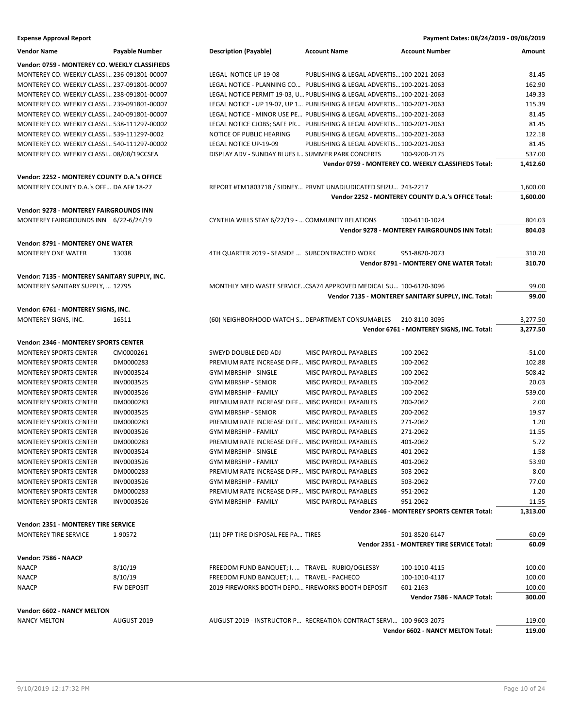### **Expense Approval Report**

| VEIIUVI IVAIIIE                                | r avapıc iyullipci |
|------------------------------------------------|--------------------|
| Vendor: 0759 - MONTEREY CO. WEEKLY CLASSIFIEDS |                    |
| MONTEREY CO. WEEKLY CLASSI 236-091801-00007    |                    |
| MONTEREY CO. WEEKLY CLASSI 237-091801-00007    |                    |
| MONTEREY CO. WEEKLY CLASSI 238-091801-00007    |                    |
| MONTEREY CO. WEEKLY CLASSI 239-091801-00007    |                    |
| MONTEREY CO. WEEKLY CLASSI 240-091801-00007    |                    |
| MONTEREY CO. WEEKLY CLASSI 538-111297-00002    |                    |
| MONTEREY CO. WEEKLY CLASSI 539-111297-0002     |                    |
| MONTEREY CO. WEEKLY CLASSI 540-111297-00002    |                    |
| MONTEREY CO. WEEKLY CLASSI 08/08/19CCSEA       |                    |

## **Vendor: 2252 - MONTEREY COUNTY D.A.'s OFFICE**

### **Vendor: 6761 - MONTEREY SIGNS, INC.** MONTEREY SIGNS, INC. 16511

### **Vendor: 2346 - MONTEREY SPORTS CENTER**

| <b>MONTEREY SPORTS CENTER</b> | CM0000261  |
|-------------------------------|------------|
| <b>MONTEREY SPORTS CENTER</b> | DM0000283  |
| MONTEREY SPORTS CENTER        | INV0003524 |
| <b>MONTEREY SPORTS CENTER</b> | INV0003525 |
| MONTEREY SPORTS CENTER        | INV0003526 |
| <b>MONTEREY SPORTS CENTER</b> | DM0000283  |
| <b>MONTEREY SPORTS CENTER</b> | INV0003525 |
| <b>MONTEREY SPORTS CENTER</b> | DM0000283  |
| <b>MONTEREY SPORTS CENTER</b> | INV0003526 |
| <b>MONTEREY SPORTS CENTER</b> | DM0000283  |
| <b>MONTEREY SPORTS CENTER</b> | INV0003524 |
| <b>MONTEREY SPORTS CENTER</b> | INV0003526 |
| <b>MONTEREY SPORTS CENTER</b> | DM0000283  |
| MONTEREY SPORTS CENTER        | INV0003526 |
| <b>MONTEREY SPORTS CENTER</b> | DM0000283  |
| <b>MONTEREY SPORTS CENTER</b> | INV0003526 |
|                               |            |

### **Vendor: 2351 - MONTEREY TIRE SERVICE**

| <b>MONTEREY TIRE SERVICE</b> | 1-90572           | (11) DFP TIRE DISPOSAL FEE PA TIRES                                | 501-8520-6147                              | 60.09  |
|------------------------------|-------------------|--------------------------------------------------------------------|--------------------------------------------|--------|
|                              |                   |                                                                    | Vendor 2351 - MONTEREY TIRE SERVICE Total: | 60.09  |
| Vendor: 7586 - NAACP         |                   |                                                                    |                                            |        |
| <b>NAACP</b>                 | 8/10/19           | FREEDOM FUND BANQUET: I.  TRAVEL - RUBIO/OGLESBY                   | 100-1010-4115                              | 100.00 |
| <b>NAACP</b>                 | 8/10/19           | FREEDOM FUND BANQUET: I.  TRAVEL - PACHECO                         | 100-1010-4117                              | 100.00 |
| <b>NAACP</b>                 | <b>FW DEPOSIT</b> | 2019 FIREWORKS BOOTH DEPO FIREWORKS BOOTH DEPOSIT                  | 601-2163                                   | 100.00 |
|                              |                   |                                                                    | Vendor 7586 - NAACP Total:                 | 300.00 |
| Vendor: 6602 - NANCY MELTON  |                   |                                                                    |                                            |        |
| NANCY MELTON                 | AUGUST 2019       | AUGUST 2019 - INSTRUCTOR P RECREATION CONTRACT SERVI 100-9603-2075 |                                            | 119.00 |

**Vendor 6602 - NANCY MELTON Total: 119.00**

|                                                                                                                  |                                                         |                                           |                                                                                                 |                              | <b>Expense Approval Report</b>                 |
|------------------------------------------------------------------------------------------------------------------|---------------------------------------------------------|-------------------------------------------|-------------------------------------------------------------------------------------------------|------------------------------|------------------------------------------------|
| Amount                                                                                                           | <b>Account Number</b>                                   | <b>Account Name</b>                       | <b>Description (Payable)</b>                                                                    | <b>Payable Number</b>        | Vendor Name                                    |
|                                                                                                                  |                                                         |                                           |                                                                                                 |                              | Vendor: 0759 - MONTEREY CO. WEEKLY CLASSIFIEDS |
| 81.45                                                                                                            |                                                         | PUBLISHING & LEGAL ADVERTIS 100-2021-2063 | LEGAL NOTICE UP 19-08                                                                           |                              | MONTEREY CO. WEEKLY CLASSI 236-091801-00007    |
| 162.90                                                                                                           |                                                         |                                           | LEGAL NOTICE - PLANNING CO PUBLISHING & LEGAL ADVERTIS 100-2021-2063                            |                              | MONTEREY CO. WEEKLY CLASSI 237-091801-00007    |
| 149.33                                                                                                           |                                                         |                                           | LEGAL NOTICE PERMIT 19-03, U PUBLISHING & LEGAL ADVERTIS 100-2021-2063                          |                              | MONTEREY CO. WEEKLY CLASSI 238-091801-00007    |
| 115.39                                                                                                           |                                                         |                                           | LEGAL NOTICE - UP 19-07, UP 1 PUBLISHING & LEGAL ADVERTIS 100-2021-2063                         |                              | MONTEREY CO. WEEKLY CLASSI 239-091801-00007    |
| 81.45                                                                                                            |                                                         |                                           | LEGAL NOTICE - MINOR USE PE PUBLISHING & LEGAL ADVERTIS 100-2021-2063                           |                              | MONTEREY CO. WEEKLY CLASSI 240-091801-00007    |
| 81.45                                                                                                            |                                                         |                                           | LEGAL NOTICE CJOBS; SAFE PR PUBLISHING & LEGAL ADVERTIS 100-2021-2063                           |                              | MONTEREY CO. WEEKLY CLASSI 538-111297-00002    |
| 122.18                                                                                                           |                                                         | PUBLISHING & LEGAL ADVERTIS 100-2021-2063 | NOTICE OF PUBLIC HEARING                                                                        |                              | MONTEREY CO. WEEKLY CLASSI 539-111297-0002     |
| 81.45                                                                                                            |                                                         | PUBLISHING & LEGAL ADVERTIS 100-2021-2063 | LEGAL NOTICE UP-19-09                                                                           |                              | MONTEREY CO. WEEKLY CLASSI 540-111297-00002    |
| 537.00                                                                                                           | 100-9200-7175                                           |                                           | DISPLAY ADV - SUNDAY BLUES I SUMMER PARK CONCERTS                                               |                              | MONTEREY CO. WEEKLY CLASSI 08/08/19CCSEA       |
| 1,412.60                                                                                                         | Vendor 0759 - MONTEREY CO. WEEKLY CLASSIFIEDS Total:    |                                           |                                                                                                 |                              |                                                |
|                                                                                                                  |                                                         |                                           |                                                                                                 |                              | Vendor: 2252 - MONTEREY COUNTY D.A.'s OFFICE   |
| 1,600.00                                                                                                         |                                                         |                                           | REPORT #TM1803718 / SIDNEY PRVNT UNADJUDICATED SEIZU 243-2217                                   |                              | MONTEREY COUNTY D.A.'s OFF DA AF# 18-27        |
| 1,600.00                                                                                                         | Vendor 2252 - MONTEREY COUNTY D.A.'s OFFICE Total:      |                                           |                                                                                                 |                              |                                                |
|                                                                                                                  |                                                         |                                           |                                                                                                 |                              | Vendor: 9278 - MONTEREY FAIRGROUNDS INN        |
| 804.03                                                                                                           | 100-6110-1024                                           |                                           | CYNTHIA WILLS STAY 6/22/19 -  COMMUNITY RELATIONS                                               |                              | MONTEREY FAIRGROUNDS INN 6/22-6/24/19          |
| 804.03                                                                                                           | Vendor 9278 - MONTEREY FAIRGROUNDS INN Total:           |                                           |                                                                                                 |                              |                                                |
|                                                                                                                  |                                                         |                                           |                                                                                                 |                              |                                                |
|                                                                                                                  |                                                         |                                           |                                                                                                 |                              | Vendor: 8791 - MONTEREY ONE WATER              |
| 310.70                                                                                                           | 951-8820-2073                                           |                                           | 4TH QUARTER 2019 - SEASIDE  SUBCONTRACTED WORK                                                  | 13038                        | MONTEREY ONE WATER                             |
| 310.70                                                                                                           | Vendor 8791 - MONTEREY ONE WATER Total:                 |                                           |                                                                                                 |                              |                                                |
|                                                                                                                  |                                                         |                                           |                                                                                                 |                              | Vendor: 7135 - MONTEREY SANITARY SUPPLY, INC.  |
| 99.00                                                                                                            |                                                         |                                           | MONTHLY MED WASTE SERVICECSA74 APPROVED MEDICAL SU 100-6120-3096                                |                              | MONTEREY SANITARY SUPPLY,  12795               |
| 99.00                                                                                                            | Vendor 7135 - MONTEREY SANITARY SUPPLY, INC. Total:     |                                           |                                                                                                 |                              |                                                |
|                                                                                                                  |                                                         |                                           |                                                                                                 |                              | Vendor: 6761 - MONTEREY SIGNS, INC.            |
| 3,277.50                                                                                                         | 210-8110-3095                                           |                                           | (60) NEIGHBORHOOD WATCH S DEPARTMENT CONSUMABLES                                                | 16511                        | MONTEREY SIGNS, INC.                           |
| 3,277.50                                                                                                         | Vendor 6761 - MONTEREY SIGNS, INC. Total:               |                                           |                                                                                                 |                              |                                                |
|                                                                                                                  |                                                         |                                           |                                                                                                 |                              | Vendor: 2346 - MONTEREY SPORTS CENTER          |
| $-51.00$                                                                                                         | 100-2062                                                | MISC PAYROLL PAYABLES                     | SWEYD DOUBLE DED ADJ                                                                            | CM0000261                    | MONTEREY SPORTS CENTER                         |
| 102.88                                                                                                           | 100-2062                                                |                                           | PREMIUM RATE INCREASE DIFF MISC PAYROLL PAYABLES                                                | DM0000283                    | MONTEREY SPORTS CENTER                         |
|                                                                                                                  | 100-2062                                                | MISC PAYROLL PAYABLES                     | <b>GYM MBRSHIP - SINGLE</b>                                                                     | INV0003524                   | MONTEREY SPORTS CENTER                         |
| 508.42                                                                                                           |                                                         |                                           |                                                                                                 |                              |                                                |
|                                                                                                                  | 100-2062                                                | MISC PAYROLL PAYABLES                     | <b>GYM MBRSHP - SENIOR</b>                                                                      | INV0003525                   | MONTEREY SPORTS CENTER                         |
|                                                                                                                  | 100-2062                                                | <b>MISC PAYROLL PAYABLES</b>              | <b>GYM MBRSHIP - FAMILY</b>                                                                     | INV0003526                   | MONTEREY SPORTS CENTER                         |
|                                                                                                                  | 200-2062                                                |                                           | PREMIUM RATE INCREASE DIFF MISC PAYROLL PAYABLES                                                | DM0000283                    | <b>MONTEREY SPORTS CENTER</b>                  |
|                                                                                                                  | 200-2062                                                | MISC PAYROLL PAYABLES                     | <b>GYM MBRSHP - SENIOR</b>                                                                      | INV0003525                   | MONTEREY SPORTS CENTER                         |
|                                                                                                                  | 271-2062                                                |                                           | PREMIUM RATE INCREASE DIFF MISC PAYROLL PAYABLES                                                | DM0000283                    | MONTEREY SPORTS CENTER                         |
|                                                                                                                  | 271-2062                                                | MISC PAYROLL PAYABLES                     | GYM MBRSHIP - FAMILY                                                                            | INV0003526                   | MONTEREY SPORTS CENTER                         |
|                                                                                                                  | 401-2062                                                |                                           | PREMIUM RATE INCREASE DIFF MISC PAYROLL PAYABLES                                                | DM0000283                    | MONTEREY SPORTS CENTER                         |
|                                                                                                                  | 401-2062                                                | MISC PAYROLL PAYABLES                     | GYM MBRSHIP - SINGLE                                                                            | INV0003524                   | MONTEREY SPORTS CENTER                         |
|                                                                                                                  | 401-2062                                                | MISC PAYROLL PAYABLES                     | GYM MBRSHIP - FAMILY                                                                            | INV0003526                   | <b>MONTEREY SPORTS CENTER</b>                  |
|                                                                                                                  | 503-2062                                                |                                           | PREMIUM RATE INCREASE DIFF MISC PAYROLL PAYABLES                                                | DM0000283                    | MONTEREY SPORTS CENTER                         |
|                                                                                                                  |                                                         |                                           |                                                                                                 |                              | <b>MONTEREY SPORTS CENTER</b>                  |
|                                                                                                                  | 503-2062                                                | MISC PAYROLL PAYABLES                     | <b>GYM MBRSHIP - FAMILY</b><br>PREMIUM RATE INCREASE DIFF MISC PAYROLL PAYABLES                 | INV0003526<br>DM0000283      |                                                |
|                                                                                                                  | 951-2062                                                |                                           |                                                                                                 |                              | MONTEREY SPORTS CENTER                         |
|                                                                                                                  | 951-2062<br>Vendor 2346 - MONTEREY SPORTS CENTER Total: | MISC PAYROLL PAYABLES                     | GYM MBRSHIP - FAMILY                                                                            | INV0003526                   | MONTEREY SPORTS CENTER                         |
| 20.03<br>539.00<br>2.00<br>11.55                                                                                 |                                                         |                                           |                                                                                                 |                              |                                                |
|                                                                                                                  |                                                         |                                           |                                                                                                 |                              | Vendor: 2351 - MONTEREY TIRE SERVICE           |
|                                                                                                                  | 501-8520-6147                                           |                                           | (11) DFP TIRE DISPOSAL FEE PA TIRES                                                             | 1-90572                      | MONTEREY TIRE SERVICE                          |
|                                                                                                                  | Vendor 2351 - MONTEREY TIRE SERVICE Total:              |                                           |                                                                                                 |                              |                                                |
|                                                                                                                  |                                                         |                                           |                                                                                                 |                              | Vendor: 7586 - NAACP                           |
| 19.97<br>1.20<br>5.72<br>1.58<br>53.90<br>8.00<br>77.00<br>1.20<br>11.55<br>1,313.00<br>60.09<br>60.09<br>100.00 | 100-1010-4115                                           |                                           | FREEDOM FUND BANQUET; I.  TRAVEL - RUBIO/OGLESBY                                                | 8/10/19                      | NAACP                                          |
| 100.00<br>100.00                                                                                                 | 100-1010-4117<br>601-2163                               |                                           | FREEDOM FUND BANQUET; I.  TRAVEL - PACHECO<br>2019 FIREWORKS BOOTH DEPO FIREWORKS BOOTH DEPOSIT | 8/10/19<br><b>FW DEPOSIT</b> | NAACP<br>NAACP                                 |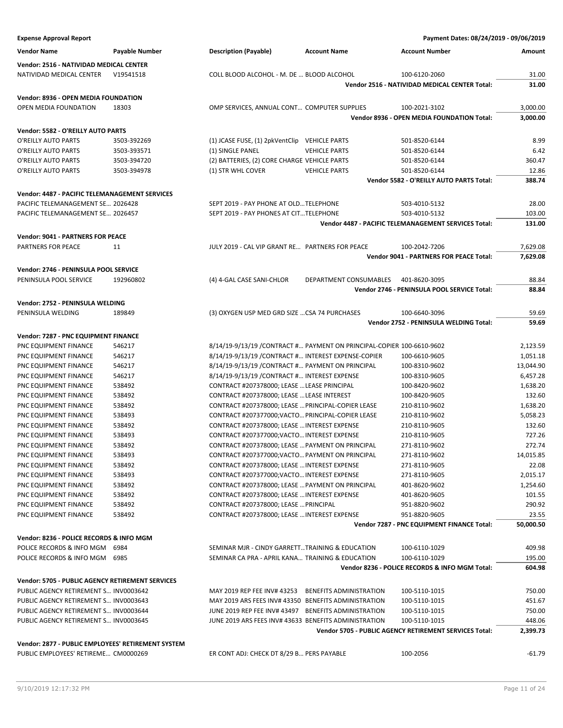| <b>Expense Approval Report</b>                     |                |                                                       |                                                                        | Payment Dates: 08/24/2019 - 09/06/2019                 |           |
|----------------------------------------------------|----------------|-------------------------------------------------------|------------------------------------------------------------------------|--------------------------------------------------------|-----------|
| <b>Vendor Name</b>                                 | Payable Number | <b>Description (Payable)</b>                          | <b>Account Name</b>                                                    | <b>Account Number</b>                                  | Amount    |
| Vendor: 2516 - NATIVIDAD MEDICAL CENTER            |                |                                                       |                                                                        |                                                        |           |
| NATIVIDAD MEDICAL CENTER                           | V19541518      | COLL BLOOD ALCOHOL - M. DE  BLOOD ALCOHOL             |                                                                        | 100-6120-2060                                          | 31.00     |
|                                                    |                |                                                       |                                                                        | Vendor 2516 - NATIVIDAD MEDICAL CENTER Total:          | 31.00     |
|                                                    |                |                                                       |                                                                        |                                                        |           |
| <b>Vendor: 8936 - OPEN MEDIA FOUNDATION</b>        |                |                                                       |                                                                        |                                                        |           |
| OPEN MEDIA FOUNDATION                              | 18303          | OMP SERVICES, ANNUAL CONT COMPUTER SUPPLIES           |                                                                        | 100-2021-3102                                          | 3,000.00  |
|                                                    |                |                                                       |                                                                        | Vendor 8936 - OPEN MEDIA FOUNDATION Total:             | 3,000.00  |
| Vendor: 5582 - O'REILLY AUTO PARTS                 |                |                                                       |                                                                        |                                                        |           |
| O'REILLY AUTO PARTS                                | 3503-392269    | (1) JCASE FUSE, (1) 2pkVentClip VEHICLE PARTS         |                                                                        | 501-8520-6144                                          | 8.99      |
| O'REILLY AUTO PARTS                                | 3503-393571    | (1) SINGLE PANEL                                      | <b>VEHICLE PARTS</b>                                                   | 501-8520-6144                                          | 6.42      |
| O'REILLY AUTO PARTS                                | 3503-394720    | (2) BATTERIES, (2) CORE CHARGE VEHICLE PARTS          |                                                                        | 501-8520-6144                                          | 360.47    |
| O'REILLY AUTO PARTS                                | 3503-394978    | (1) STR WHL COVER                                     | <b>VEHICLE PARTS</b>                                                   | 501-8520-6144                                          | 12.86     |
|                                                    |                |                                                       |                                                                        | Vendor 5582 - O'REILLY AUTO PARTS Total:               | 388.74    |
| Vendor: 4487 - PACIFIC TELEMANAGEMENT SERVICES     |                |                                                       |                                                                        |                                                        |           |
| PACIFIC TELEMANAGEMENT SE 2026428                  |                | SEPT 2019 - PAY PHONE AT OLDTELEPHONE                 |                                                                        | 503-4010-5132                                          | 28.00     |
| PACIFIC TELEMANAGEMENT SE 2026457                  |                | SEPT 2019 - PAY PHONES AT CITTELEPHONE                |                                                                        | 503-4010-5132                                          | 103.00    |
|                                                    |                |                                                       |                                                                        | Vendor 4487 - PACIFIC TELEMANAGEMENT SERVICES Total:   | 131.00    |
| <b>Vendor: 9041 - PARTNERS FOR PEACE</b>           |                |                                                       |                                                                        |                                                        |           |
| PARTNERS FOR PEACE                                 | 11             | JULY 2019 - CAL VIP GRANT RE PARTNERS FOR PEACE       |                                                                        | 100-2042-7206                                          | 7,629.08  |
|                                                    |                |                                                       |                                                                        | Vendor 9041 - PARTNERS FOR PEACE Total:                | 7,629.08  |
|                                                    |                |                                                       |                                                                        |                                                        |           |
| Vendor: 2746 - PENINSULA POOL SERVICE              |                |                                                       |                                                                        |                                                        |           |
| PENINSULA POOL SERVICE                             | 192960802      | (4) 4-GAL CASE SANI-CHLOR                             | DEPARTMENT CONSUMABLES                                                 | 401-8620-3095                                          | 88.84     |
|                                                    |                |                                                       |                                                                        | Vendor 2746 - PENINSULA POOL SERVICE Total:            | 88.84     |
| Vendor: 2752 - PENINSULA WELDING                   |                |                                                       |                                                                        |                                                        |           |
| PENINSULA WELDING                                  | 189849         | (3) OXYGEN USP MED GRD SIZE  CSA 74 PURCHASES         |                                                                        | 100-6640-3096                                          | 59.69     |
|                                                    |                |                                                       |                                                                        | Vendor 2752 - PENINSULA WELDING Total:                 | 59.69     |
| Vendor: 7287 - PNC EQUIPMENT FINANCE               |                |                                                       |                                                                        |                                                        |           |
| PNC EQUIPMENT FINANCE                              | 546217         |                                                       | 8/14/19-9/13/19 / CONTRACT # PAYMENT ON PRINCIPAL-COPIER 100-6610-9602 |                                                        | 2,123.59  |
| PNC EQUIPMENT FINANCE                              | 546217         | 8/14/19-9/13/19 / CONTRACT # INTEREST EXPENSE-COPIER  |                                                                        | 100-6610-9605                                          | 1,051.18  |
| PNC EQUIPMENT FINANCE                              | 546217         | 8/14/19-9/13/19 / CONTRACT # PAYMENT ON PRINCIPAL     |                                                                        | 100-8310-9602                                          | 13,044.90 |
| PNC EQUIPMENT FINANCE                              | 546217         | 8/14/19-9/13/19 / CONTRACT # INTEREST EXPENSE         |                                                                        | 100-8310-9605                                          | 6,457.28  |
| PNC EQUIPMENT FINANCE                              | 538492         | CONTRACT #207378000; LEASE  LEASE PRINCIPAL           |                                                                        | 100-8420-9602                                          | 1,638.20  |
| PNC EQUIPMENT FINANCE                              | 538492         | CONTRACT #207378000; LEASE  LEASE INTEREST            |                                                                        | 100-8420-9605                                          | 132.60    |
| PNC EQUIPMENT FINANCE                              | 538492         | CONTRACT #207378000; LEASE  PRINCIPAL-COPIER LEASE    |                                                                        | 210-8110-9602                                          | 1,638.20  |
| PNC EQUIPMENT FINANCE                              | 538493         | CONTRACT #207377000; VACTO PRINCIPAL-COPIER LEASE     |                                                                        | 210-8110-9602                                          | 5,058.23  |
| PNC EQUIPMENT FINANCE                              | 538492         | CONTRACT #207378000; LEASE  INTEREST EXPENSE          |                                                                        | 210-8110-9605                                          | 132.60    |
| PNC EQUIPMENT FINANCE                              | 538493         | CONTRACT #207377000; VACTO INTEREST EXPENSE           |                                                                        | 210-8110-9605                                          | 727.26    |
| PNC EQUIPMENT FINANCE                              | 538492         | CONTRACT #207378000; LEASE  PAYMENT ON PRINCIPAL      |                                                                        | 271-8110-9602                                          | 272.74    |
| PNC EQUIPMENT FINANCE                              | 538493         | CONTRACT #207377000; VACTO PAYMENT ON PRINCIPAL       |                                                                        | 271-8110-9602                                          | 14,015.85 |
| PNC EQUIPMENT FINANCE                              | 538492         | CONTRACT #207378000; LEASE  INTEREST EXPENSE          |                                                                        | 271-8110-9605                                          | 22.08     |
| PNC EQUIPMENT FINANCE                              | 538493         | CONTRACT #207377000; VACTO INTEREST EXPENSE           |                                                                        | 271-8110-9605                                          | 2,015.17  |
| PNC EQUIPMENT FINANCE                              | 538492         | CONTRACT #207378000; LEASE  PAYMENT ON PRINCIPAL      |                                                                        | 401-8620-9602                                          | 1,254.60  |
| PNC EQUIPMENT FINANCE                              | 538492         | CONTRACT #207378000; LEASE  INTEREST EXPENSE          |                                                                        | 401-8620-9605                                          | 101.55    |
| PNC EQUIPMENT FINANCE                              | 538492         | CONTRACT #207378000; LEASE  PRINCIPAL                 |                                                                        | 951-8820-9602                                          | 290.92    |
| PNC EQUIPMENT FINANCE                              | 538492         | CONTRACT #207378000; LEASE  INTEREST EXPENSE          |                                                                        | 951-8820-9605                                          | 23.55     |
|                                                    |                |                                                       |                                                                        | Vendor 7287 - PNC EQUIPMENT FINANCE Total:             | 50,000.50 |
| Vendor: 8236 - POLICE RECORDS & INFO MGM           |                |                                                       |                                                                        |                                                        |           |
| POLICE RECORDS & INFO MGM 6984                     |                | SEMINAR MJR - CINDY GARRETTTRAINING & EDUCATION       |                                                                        | 100-6110-1029                                          | 409.98    |
| POLICE RECORDS & INFO MGM                          | 6985           | SEMINAR CA PRA - APRIL KANA TRAINING & EDUCATION      |                                                                        | 100-6110-1029                                          | 195.00    |
|                                                    |                |                                                       |                                                                        | Vendor 8236 - POLICE RECORDS & INFO MGM Total:         | 604.98    |
|                                                    |                |                                                       |                                                                        |                                                        |           |
| Vendor: 5705 - PUBLIC AGENCY RETIREMENT SERVICES   |                |                                                       |                                                                        |                                                        |           |
| PUBLIC AGENCY RETIREMENT S INV0003642              |                | MAY 2019 REP FEE INV# 43253 BENEFITS ADMINISTRATION   |                                                                        | 100-5110-1015                                          | 750.00    |
| PUBLIC AGENCY RETIREMENT S INV0003643              |                | MAY 2019 ARS FEES INV# 43350 BENEFITS ADMINISTRATION  |                                                                        | 100-5110-1015                                          | 451.67    |
| PUBLIC AGENCY RETIREMENT S INV0003644              |                | JUNE 2019 REP FEE INV# 43497 BENEFITS ADMINISTRATION  |                                                                        | 100-5110-1015                                          | 750.00    |
| PUBLIC AGENCY RETIREMENT S INV0003645              |                | JUNE 2019 ARS FEES INV# 43633 BENEFITS ADMINISTRATION |                                                                        | 100-5110-1015                                          | 448.06    |
|                                                    |                |                                                       |                                                                        | Vendor 5705 - PUBLIC AGENCY RETIREMENT SERVICES Total: | 2,399.73  |
| Vendor: 2877 - PUBLIC EMPLOYEES' RETIREMENT SYSTEM |                |                                                       |                                                                        |                                                        |           |
| PUBLIC EMPLOYEES' RETIREME CM0000269               |                | ER CONT ADJ: CHECK DT 8/29 B PERS PAYABLE             |                                                                        | 100-2056                                               | $-61.79$  |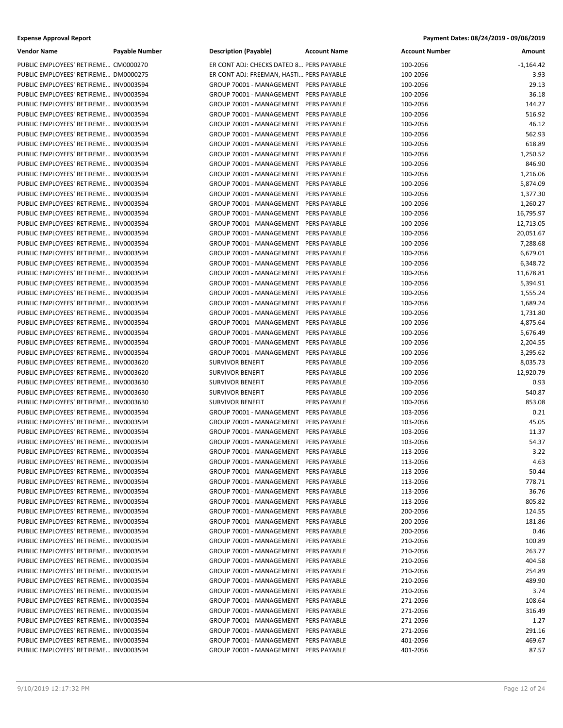| <b>Expense Approval Report</b> | Payment Dates: 08/24/2019 - 09/06/2019 |
|--------------------------------|----------------------------------------|
|--------------------------------|----------------------------------------|

| <b>Vendor Name</b>                    | <b>Payable Number</b> | <b>Description (Payable)</b>             | <b>Account Name</b> | <b>Account Number</b> | Amount      |
|---------------------------------------|-----------------------|------------------------------------------|---------------------|-----------------------|-------------|
| PUBLIC EMPLOYEES' RETIREME CM0000270  |                       | ER CONT ADJ: CHECKS DATED 8 PERS PAYABLE |                     | 100-2056              | $-1,164.42$ |
| PUBLIC EMPLOYEES' RETIREME DM0000275  |                       | ER CONT ADJ: FREEMAN, HASTI PERS PAYABLE |                     | 100-2056              | 3.93        |
| PUBLIC EMPLOYEES' RETIREME INV0003594 |                       | GROUP 70001 - MANAGEMENT PERS PAYABLE    |                     | 100-2056              | 29.13       |
| PUBLIC EMPLOYEES' RETIREME INV0003594 |                       | GROUP 70001 - MANAGEMENT PERS PAYABLE    |                     | 100-2056              | 36.18       |
| PUBLIC EMPLOYEES' RETIREME INV0003594 |                       | GROUP 70001 - MANAGEMENT PERS PAYABLE    |                     | 100-2056              | 144.27      |
| PUBLIC EMPLOYEES' RETIREME INV0003594 |                       | GROUP 70001 - MANAGEMENT PERS PAYABLE    |                     | 100-2056              | 516.92      |
| PUBLIC EMPLOYEES' RETIREME INV0003594 |                       | GROUP 70001 - MANAGEMENT PERS PAYABLE    |                     | 100-2056              | 46.12       |
| PUBLIC EMPLOYEES' RETIREME INV0003594 |                       | GROUP 70001 - MANAGEMENT PERS PAYABLE    |                     | 100-2056              | 562.93      |
| PUBLIC EMPLOYEES' RETIREME INV0003594 |                       | GROUP 70001 - MANAGEMENT                 | PERS PAYABLE        | 100-2056              | 618.89      |
| PUBLIC EMPLOYEES' RETIREME INV0003594 |                       | GROUP 70001 - MANAGEMENT PERS PAYABLE    |                     | 100-2056              | 1,250.52    |
| PUBLIC EMPLOYEES' RETIREME INV0003594 |                       | GROUP 70001 - MANAGEMENT                 | PERS PAYABLE        | 100-2056              | 846.90      |
| PUBLIC EMPLOYEES' RETIREME INV0003594 |                       | GROUP 70001 - MANAGEMENT PERS PAYABLE    |                     | 100-2056              | 1,216.06    |
| PUBLIC EMPLOYEES' RETIREME INV0003594 |                       | GROUP 70001 - MANAGEMENT                 | PERS PAYABLE        | 100-2056              | 5,874.09    |
| PUBLIC EMPLOYEES' RETIREME INV0003594 |                       | GROUP 70001 - MANAGEMENT                 | PERS PAYABLE        | 100-2056              | 1,377.30    |
| PUBLIC EMPLOYEES' RETIREME INV0003594 |                       | GROUP 70001 - MANAGEMENT                 | PERS PAYABLE        | 100-2056              | 1,260.27    |
| PUBLIC EMPLOYEES' RETIREME INV0003594 |                       | GROUP 70001 - MANAGEMENT                 | <b>PERS PAYABLE</b> | 100-2056              | 16,795.97   |
| PUBLIC EMPLOYEES' RETIREME INV0003594 |                       | GROUP 70001 - MANAGEMENT                 | PERS PAYABLE        | 100-2056              | 12,713.05   |
| PUBLIC EMPLOYEES' RETIREME INV0003594 |                       | GROUP 70001 - MANAGEMENT                 | PERS PAYABLE        | 100-2056              | 20,051.67   |
| PUBLIC EMPLOYEES' RETIREME INV0003594 |                       | GROUP 70001 - MANAGEMENT                 | PERS PAYABLE        | 100-2056              | 7,288.68    |
| PUBLIC EMPLOYEES' RETIREME INV0003594 |                       | GROUP 70001 - MANAGEMENT                 | PERS PAYABLE        | 100-2056              |             |
| PUBLIC EMPLOYEES' RETIREME INV0003594 |                       | GROUP 70001 - MANAGEMENT                 | PERS PAYABLE        | 100-2056              | 6,679.01    |
|                                       |                       |                                          |                     |                       | 6,348.72    |
| PUBLIC EMPLOYEES' RETIREME INV0003594 |                       | GROUP 70001 - MANAGEMENT                 | PERS PAYABLE        | 100-2056              | 11,678.81   |
| PUBLIC EMPLOYEES' RETIREME INV0003594 |                       | GROUP 70001 - MANAGEMENT                 | PERS PAYABLE        | 100-2056              | 5,394.91    |
| PUBLIC EMPLOYEES' RETIREME INV0003594 |                       | GROUP 70001 - MANAGEMENT                 | PERS PAYABLE        | 100-2056              | 1,555.24    |
| PUBLIC EMPLOYEES' RETIREME INV0003594 |                       | GROUP 70001 - MANAGEMENT                 | PERS PAYABLE        | 100-2056              | 1,689.24    |
| PUBLIC EMPLOYEES' RETIREME INV0003594 |                       | GROUP 70001 - MANAGEMENT                 | <b>PERS PAYABLE</b> | 100-2056              | 1,731.80    |
| PUBLIC EMPLOYEES' RETIREME INV0003594 |                       | GROUP 70001 - MANAGEMENT                 | PERS PAYABLE        | 100-2056              | 4,875.64    |
| PUBLIC EMPLOYEES' RETIREME INV0003594 |                       | GROUP 70001 - MANAGEMENT                 | PERS PAYABLE        | 100-2056              | 5,676.49    |
| PUBLIC EMPLOYEES' RETIREME INV0003594 |                       | GROUP 70001 - MANAGEMENT                 | PERS PAYABLE        | 100-2056              | 2,204.55    |
| PUBLIC EMPLOYEES' RETIREME INV0003594 |                       | GROUP 70001 - MANAGEMENT                 | PERS PAYABLE        | 100-2056              | 3,295.62    |
| PUBLIC EMPLOYEES' RETIREME INV0003620 |                       | <b>SURVIVOR BENEFIT</b>                  | PERS PAYABLE        | 100-2056              | 8,035.73    |
| PUBLIC EMPLOYEES' RETIREME INV0003620 |                       | <b>SURVIVOR BENEFIT</b>                  | PERS PAYABLE        | 100-2056              | 12,920.79   |
| PUBLIC EMPLOYEES' RETIREME INV0003630 |                       | <b>SURVIVOR BENEFIT</b>                  | PERS PAYABLE        | 100-2056              | 0.93        |
| PUBLIC EMPLOYEES' RETIREME INV0003630 |                       | <b>SURVIVOR BENEFIT</b>                  | PERS PAYABLE        | 100-2056              | 540.87      |
| PUBLIC EMPLOYEES' RETIREME INV0003630 |                       | <b>SURVIVOR BENEFIT</b>                  | PERS PAYABLE        | 100-2056              | 853.08      |
| PUBLIC EMPLOYEES' RETIREME INV0003594 |                       | GROUP 70001 - MANAGEMENT PERS PAYABLE    |                     | 103-2056              | 0.21        |
| PUBLIC EMPLOYEES' RETIREME INV0003594 |                       | GROUP 70001 - MANAGEMENT PERS PAYABLE    |                     | 103-2056              | 45.05       |
| PUBLIC EMPLOYEES' RETIREME INV0003594 |                       | GROUP 70001 - MANAGEMENT PERS PAYABLE    |                     | 103-2056              | 11.37       |
| PUBLIC EMPLOYEES' RETIREME INV0003594 |                       | GROUP 70001 - MANAGEMENT PERS PAYABLE    |                     | 103-2056              | 54.37       |
| PUBLIC EMPLOYEES' RETIREME INV0003594 |                       | GROUP 70001 - MANAGEMENT PERS PAYABLE    |                     | 113-2056              | 3.22        |
| PUBLIC EMPLOYEES' RETIREME INV0003594 |                       | GROUP 70001 - MANAGEMENT PERS PAYABLE    |                     | 113-2056              | 4.63        |
| PUBLIC EMPLOYEES' RETIREME INV0003594 |                       | GROUP 70001 - MANAGEMENT PERS PAYABLE    |                     | 113-2056              | 50.44       |
| PUBLIC EMPLOYEES' RETIREME INV0003594 |                       | GROUP 70001 - MANAGEMENT                 | PERS PAYABLE        | 113-2056              | 778.71      |
| PUBLIC EMPLOYEES' RETIREME INV0003594 |                       | GROUP 70001 - MANAGEMENT                 | PERS PAYABLE        | 113-2056              | 36.76       |
| PUBLIC EMPLOYEES' RETIREME INV0003594 |                       | GROUP 70001 - MANAGEMENT PERS PAYABLE    |                     | 113-2056              | 805.82      |
| PUBLIC EMPLOYEES' RETIREME INV0003594 |                       | GROUP 70001 - MANAGEMENT                 | PERS PAYABLE        | 200-2056              | 124.55      |
| PUBLIC EMPLOYEES' RETIREME INV0003594 |                       | GROUP 70001 - MANAGEMENT PERS PAYABLE    |                     | 200-2056              | 181.86      |
| PUBLIC EMPLOYEES' RETIREME INV0003594 |                       | GROUP 70001 - MANAGEMENT                 | PERS PAYABLE        | 200-2056              | 0.46        |
| PUBLIC EMPLOYEES' RETIREME INV0003594 |                       | GROUP 70001 - MANAGEMENT                 | PERS PAYABLE        | 210-2056              | 100.89      |
| PUBLIC EMPLOYEES' RETIREME INV0003594 |                       | GROUP 70001 - MANAGEMENT                 | PERS PAYABLE        | 210-2056              | 263.77      |
| PUBLIC EMPLOYEES' RETIREME INV0003594 |                       | GROUP 70001 - MANAGEMENT                 | PERS PAYABLE        | 210-2056              | 404.58      |
| PUBLIC EMPLOYEES' RETIREME INV0003594 |                       | GROUP 70001 - MANAGEMENT                 | PERS PAYABLE        | 210-2056              | 254.89      |
| PUBLIC EMPLOYEES' RETIREME INV0003594 |                       | GROUP 70001 - MANAGEMENT                 | PERS PAYABLE        | 210-2056              | 489.90      |
| PUBLIC EMPLOYEES' RETIREME INV0003594 |                       | GROUP 70001 - MANAGEMENT                 | PERS PAYABLE        | 210-2056              | 3.74        |
| PUBLIC EMPLOYEES' RETIREME INV0003594 |                       | GROUP 70001 - MANAGEMENT                 | PERS PAYABLE        | 271-2056              | 108.64      |
| PUBLIC EMPLOYEES' RETIREME INV0003594 |                       | GROUP 70001 - MANAGEMENT                 | PERS PAYABLE        | 271-2056              | 316.49      |
| PUBLIC EMPLOYEES' RETIREME INV0003594 |                       | GROUP 70001 - MANAGEMENT PERS PAYABLE    |                     | 271-2056              | 1.27        |
| PUBLIC EMPLOYEES' RETIREME INV0003594 |                       | GROUP 70001 - MANAGEMENT                 | PERS PAYABLE        | 271-2056              | 291.16      |
| PUBLIC EMPLOYEES' RETIREME INV0003594 |                       | GROUP 70001 - MANAGEMENT                 | PERS PAYABLE        | 401-2056              | 469.67      |
| PUBLIC EMPLOYEES' RETIREME INV0003594 |                       | GROUP 70001 - MANAGEMENT PERS PAYABLE    |                     | 401-2056              | 87.57       |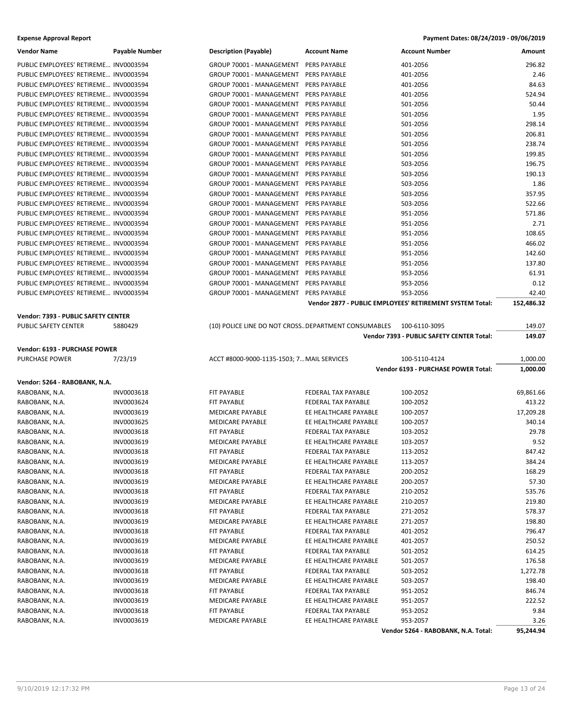| <b>Vendor Name</b>                    | <b>Payable Number</b>    | <b>Description (Payable)</b>                         | <b>Account Name</b>                          | <b>Account Number</b>                                    | Amount           |
|---------------------------------------|--------------------------|------------------------------------------------------|----------------------------------------------|----------------------------------------------------------|------------------|
| PUBLIC EMPLOYEES' RETIREME INV0003594 |                          | GROUP 70001 - MANAGEMENT                             | <b>PERS PAYABLE</b>                          | 401-2056                                                 | 296.82           |
| PUBLIC EMPLOYEES' RETIREME INV0003594 |                          | GROUP 70001 - MANAGEMENT                             | PERS PAYABLE                                 | 401-2056                                                 | 2.46             |
| PUBLIC EMPLOYEES' RETIREME INV0003594 |                          | GROUP 70001 - MANAGEMENT                             | PERS PAYABLE                                 | 401-2056                                                 | 84.63            |
| PUBLIC EMPLOYEES' RETIREME INV0003594 |                          | GROUP 70001 - MANAGEMENT                             | PERS PAYABLE                                 | 401-2056                                                 | 524.94           |
| PUBLIC EMPLOYEES' RETIREME INV0003594 |                          | GROUP 70001 - MANAGEMENT                             | PERS PAYABLE                                 | 501-2056                                                 | 50.44            |
| PUBLIC EMPLOYEES' RETIREME INV0003594 |                          | GROUP 70001 - MANAGEMENT                             | PERS PAYABLE                                 | 501-2056                                                 | 1.95             |
| PUBLIC EMPLOYEES' RETIREME INV0003594 |                          | GROUP 70001 - MANAGEMENT                             | PERS PAYABLE                                 | 501-2056                                                 | 298.14           |
| PUBLIC EMPLOYEES' RETIREME INV0003594 |                          | GROUP 70001 - MANAGEMENT                             | PERS PAYABLE                                 | 501-2056                                                 | 206.81           |
| PUBLIC EMPLOYEES' RETIREME INV0003594 |                          | GROUP 70001 - MANAGEMENT                             | PERS PAYABLE                                 | 501-2056                                                 | 238.74           |
| PUBLIC EMPLOYEES' RETIREME INV0003594 |                          | GROUP 70001 - MANAGEMENT                             | PERS PAYABLE                                 | 501-2056                                                 | 199.85           |
| PUBLIC EMPLOYEES' RETIREME INV0003594 |                          | GROUP 70001 - MANAGEMENT                             | PERS PAYABLE                                 | 503-2056                                                 | 196.75           |
| PUBLIC EMPLOYEES' RETIREME INV0003594 |                          | GROUP 70001 - MANAGEMENT                             | PERS PAYABLE                                 | 503-2056                                                 | 190.13           |
| PUBLIC EMPLOYEES' RETIREME INV0003594 |                          | GROUP 70001 - MANAGEMENT                             | PERS PAYABLE                                 | 503-2056                                                 | 1.86             |
| PUBLIC EMPLOYEES' RETIREME INV0003594 |                          | GROUP 70001 - MANAGEMENT                             | PERS PAYABLE                                 | 503-2056                                                 | 357.95           |
| PUBLIC EMPLOYEES' RETIREME INV0003594 |                          | GROUP 70001 - MANAGEMENT                             | <b>PERS PAYABLE</b>                          | 503-2056                                                 | 522.66           |
| PUBLIC EMPLOYEES' RETIREME INV0003594 |                          | GROUP 70001 - MANAGEMENT                             | PERS PAYABLE                                 | 951-2056                                                 | 571.86           |
| PUBLIC EMPLOYEES' RETIREME INV0003594 |                          | GROUP 70001 - MANAGEMENT                             | PERS PAYABLE                                 | 951-2056                                                 | 2.71             |
| PUBLIC EMPLOYEES' RETIREME INV0003594 |                          | GROUP 70001 - MANAGEMENT                             | <b>PERS PAYABLE</b>                          | 951-2056                                                 | 108.65           |
| PUBLIC EMPLOYEES' RETIREME INV0003594 |                          | GROUP 70001 - MANAGEMENT                             | PERS PAYABLE                                 | 951-2056                                                 | 466.02           |
| PUBLIC EMPLOYEES' RETIREME INV0003594 |                          | GROUP 70001 - MANAGEMENT                             | <b>PERS PAYABLE</b>                          | 951-2056                                                 | 142.60           |
| PUBLIC EMPLOYEES' RETIREME INV0003594 |                          | GROUP 70001 - MANAGEMENT                             | PERS PAYABLE                                 | 951-2056                                                 | 137.80           |
| PUBLIC EMPLOYEES' RETIREME INV0003594 |                          | GROUP 70001 - MANAGEMENT                             | PERS PAYABLE                                 | 953-2056                                                 | 61.91            |
| PUBLIC EMPLOYEES' RETIREME INV0003594 |                          | GROUP 70001 - MANAGEMENT                             | PERS PAYABLE                                 | 953-2056                                                 | 0.12             |
| PUBLIC EMPLOYEES' RETIREME INV0003594 |                          | GROUP 70001 - MANAGEMENT                             | <b>PERS PAYABLE</b>                          | 953-2056                                                 | 42.40            |
|                                       |                          |                                                      |                                              | Vendor 2877 - PUBLIC EMPLOYEES' RETIREMENT SYSTEM Total: | 152,486.32       |
| Vendor: 7393 - PUBLIC SAFETY CENTER   |                          |                                                      |                                              |                                                          |                  |
| PUBLIC SAFETY CENTER                  | 5880429                  | (10) POLICE LINE DO NOT CROSS DEPARTMENT CONSUMABLES |                                              | 100-6110-3095                                            | 149.07           |
|                                       |                          |                                                      |                                              | Vendor 7393 - PUBLIC SAFETY CENTER Total:                | 149.07           |
|                                       |                          |                                                      |                                              |                                                          |                  |
| Vendor: 6193 - PURCHASE POWER         |                          |                                                      |                                              |                                                          |                  |
| PURCHASE POWER                        | 7/23/19                  | ACCT #8000-9000-1135-1503; 7 MAIL SERVICES           |                                              | 100-5110-4124                                            | 1,000.00         |
|                                       |                          |                                                      |                                              | Vendor 6193 - PURCHASE POWER Total:                      | 1,000.00         |
|                                       |                          |                                                      |                                              |                                                          |                  |
| Vendor: 5264 - RABOBANK, N.A.         |                          |                                                      |                                              |                                                          |                  |
| RABOBANK, N.A.                        | <b>INV0003618</b>        | FIT PAYABLE                                          | FEDERAL TAX PAYABLE                          | 100-2052                                                 | 69,861.66        |
| RABOBANK, N.A.                        | INV0003624               | FIT PAYABLE                                          | FEDERAL TAX PAYABLE                          | 100-2052                                                 | 413.22           |
| RABOBANK, N.A.                        | INV0003619               | <b>MEDICARE PAYABLE</b>                              | EE HEALTHCARE PAYABLE                        | 100-2057                                                 | 17,209.28        |
| RABOBANK, N.A.                        | INV0003625               | <b>MEDICARE PAYABLE</b>                              | EE HEALTHCARE PAYABLE                        | 100-2057                                                 | 340.14           |
| RABOBANK, N.A.                        | INV0003618               | FIT PAYABLE                                          | FEDERAL TAX PAYABLE                          | 103-2052                                                 | 29.78            |
| RABOBANK, N.A.                        | INV0003619               | MEDICARE PAYABLE                                     | EE HEALTHCARE PAYABLE                        | 103-2057                                                 | 9.52             |
| RABOBANK, N.A.                        | INV0003618               | <b>FIT PAYABLE</b>                                   | <b>FEDERAL TAX PAYABLE</b>                   | 113-2052                                                 | 847.42           |
| RABOBANK, N.A.                        | INV0003619               | MEDICARE PAYABLE                                     | EE HEALTHCARE PAYABLE                        | 113-2057                                                 | 384.24           |
| RABOBANK, N.A.                        | INV0003618               | FIT PAYABLE                                          | FEDERAL TAX PAYABLE                          | 200-2052                                                 | 168.29           |
| RABOBANK, N.A.                        | INV0003619               | MEDICARE PAYABLE                                     | EE HEALTHCARE PAYABLE                        | 200-2057                                                 | 57.30            |
| RABOBANK, N.A.                        | INV0003618               | FIT PAYABLE<br><b>MEDICARE PAYABLE</b>               | FEDERAL TAX PAYABLE<br>EE HEALTHCARE PAYABLE | 210-2052                                                 | 535.76           |
| RABOBANK, N.A.                        | INV0003619               |                                                      |                                              | 210-2057                                                 | 219.80           |
| RABOBANK, N.A.                        | INV0003618               | FIT PAYABLE                                          | FEDERAL TAX PAYABLE                          | 271-2052                                                 | 578.37           |
| RABOBANK, N.A.                        | INV0003619               | MEDICARE PAYABLE<br>FIT PAYABLE                      | EE HEALTHCARE PAYABLE<br>FEDERAL TAX PAYABLE | 271-2057                                                 | 198.80<br>796.47 |
| RABOBANK, N.A.                        | INV0003618               |                                                      |                                              | 401-2052                                                 |                  |
| RABOBANK, N.A.<br>RABOBANK, N.A.      | INV0003619<br>INV0003618 | MEDICARE PAYABLE<br>FIT PAYABLE                      | EE HEALTHCARE PAYABLE<br>FEDERAL TAX PAYABLE | 401-2057<br>501-2052                                     | 250.52           |
| RABOBANK, N.A.                        | INV0003619               | MEDICARE PAYABLE                                     | EE HEALTHCARE PAYABLE                        | 501-2057                                                 | 614.25<br>176.58 |
| RABOBANK, N.A.                        | INV0003618               | FIT PAYABLE                                          | FEDERAL TAX PAYABLE                          | 503-2052                                                 | 1,272.78         |
| RABOBANK, N.A.                        | INV0003619               | MEDICARE PAYABLE                                     | EE HEALTHCARE PAYABLE                        | 503-2057                                                 | 198.40           |
| RABOBANK, N.A.                        | INV0003618               | FIT PAYABLE                                          | FEDERAL TAX PAYABLE                          | 951-2052                                                 | 846.74           |
| RABOBANK, N.A.                        | INV0003619               | MEDICARE PAYABLE                                     | EE HEALTHCARE PAYABLE                        | 951-2057                                                 | 222.52           |
| RABOBANK, N.A.                        | INV0003618               | FIT PAYABLE                                          | FEDERAL TAX PAYABLE                          | 953-2052                                                 | 9.84             |
| RABOBANK, N.A.                        | INV0003619               | MEDICARE PAYABLE                                     | EE HEALTHCARE PAYABLE                        | 953-2057                                                 | 3.26             |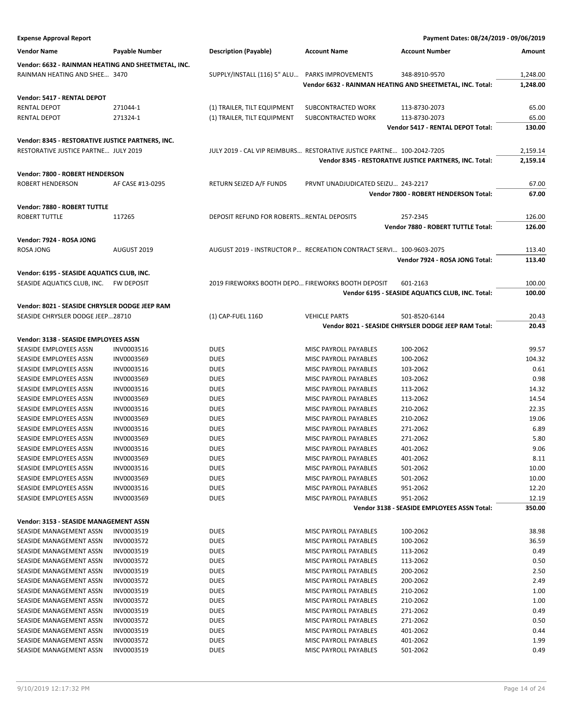| <b>Expense Approval Report</b>                      |                  |                                                   |                                                                       | Payment Dates: 08/24/2019 - 09/06/2019                    |               |
|-----------------------------------------------------|------------------|---------------------------------------------------|-----------------------------------------------------------------------|-----------------------------------------------------------|---------------|
| <b>Vendor Name</b>                                  | Payable Number   | <b>Description (Payable)</b>                      | <b>Account Name</b>                                                   | <b>Account Number</b>                                     | <b>Amount</b> |
| Vendor: 6632 - RAINMAN HEATING AND SHEETMETAL, INC. |                  |                                                   |                                                                       |                                                           |               |
| RAINMAN HEATING AND SHEE 3470                       |                  | SUPPLY/INSTALL (116) 5" ALU                       | PARKS IMPROVEMENTS                                                    | 348-8910-9570                                             | 1,248.00      |
|                                                     |                  |                                                   |                                                                       | Vendor 6632 - RAINMAN HEATING AND SHEETMETAL, INC. Total: | 1,248.00      |
|                                                     |                  |                                                   |                                                                       |                                                           |               |
| Vendor: 5417 - RENTAL DEPOT                         |                  |                                                   |                                                                       |                                                           |               |
| <b>RENTAL DEPOT</b>                                 | 271044-1         | (1) TRAILER, TILT EQUIPMENT                       | SUBCONTRACTED WORK                                                    | 113-8730-2073                                             | 65.00         |
| <b>RENTAL DEPOT</b>                                 | 271324-1         | (1) TRAILER, TILT EQUIPMENT                       | SUBCONTRACTED WORK                                                    | 113-8730-2073                                             | 65.00         |
|                                                     |                  |                                                   |                                                                       | Vendor 5417 - RENTAL DEPOT Total:                         | 130.00        |
| Vendor: 8345 - RESTORATIVE JUSTICE PARTNERS, INC.   |                  |                                                   |                                                                       |                                                           |               |
| RESTORATIVE JUSTICE PARTNE JULY 2019                |                  |                                                   | JULY 2019 - CAL VIP REIMBURS RESTORATIVE JUSTICE PARTNE 100-2042-7205 |                                                           | 2,159.14      |
|                                                     |                  |                                                   |                                                                       | Vendor 8345 - RESTORATIVE JUSTICE PARTNERS, INC. Total:   | 2,159.14      |
| Vendor: 7800 - ROBERT HENDERSON                     |                  |                                                   |                                                                       |                                                           |               |
| ROBERT HENDERSON                                    | AF CASE #13-0295 | RETURN SEIZED A/F FUNDS                           | PRVNT UNADJUDICATED SEIZU 243-2217                                    |                                                           | 67.00         |
|                                                     |                  |                                                   |                                                                       | Vendor 7800 - ROBERT HENDERSON Total:                     | 67.00         |
|                                                     |                  |                                                   |                                                                       |                                                           |               |
| Vendor: 7880 - ROBERT TUTTLE                        |                  |                                                   |                                                                       |                                                           |               |
| <b>ROBERT TUTTLE</b>                                | 117265           | DEPOSIT REFUND FOR ROBERTS RENTAL DEPOSITS        |                                                                       | 257-2345                                                  | 126.00        |
|                                                     |                  |                                                   |                                                                       | Vendor 7880 - ROBERT TUTTLE Total:                        | 126.00        |
| Vendor: 7924 - ROSA JONG                            |                  |                                                   |                                                                       |                                                           |               |
| ROSA JONG                                           | AUGUST 2019      |                                                   | AUGUST 2019 - INSTRUCTOR P RECREATION CONTRACT SERVI 100-9603-2075    |                                                           | 113.40        |
|                                                     |                  |                                                   |                                                                       | Vendor 7924 - ROSA JONG Total:                            | 113.40        |
| Vendor: 6195 - SEASIDE AQUATICS CLUB, INC.          |                  |                                                   |                                                                       |                                                           |               |
| SEASIDE AQUATICS CLUB, INC. FW DEPOSIT              |                  | 2019 FIREWORKS BOOTH DEPO FIREWORKS BOOTH DEPOSIT |                                                                       | 601-2163                                                  | 100.00        |
|                                                     |                  |                                                   |                                                                       | Vendor 6195 - SEASIDE AQUATICS CLUB, INC. Total:          | 100.00        |
|                                                     |                  |                                                   |                                                                       |                                                           |               |
| Vendor: 8021 - SEASIDE CHRYSLER DODGE JEEP RAM      |                  |                                                   |                                                                       |                                                           |               |
| SEASIDE CHRYSLER DODGE JEEP28710                    |                  | (1) CAP-FUEL 116D                                 | <b>VEHICLE PARTS</b>                                                  | 501-8520-6144                                             | 20.43         |
|                                                     |                  |                                                   |                                                                       | Vendor 8021 - SEASIDE CHRYSLER DODGE JEEP RAM Total:      | 20.43         |
| Vendor: 3138 - SEASIDE EMPLOYEES ASSN               |                  |                                                   |                                                                       |                                                           |               |
| SEASIDE EMPLOYEES ASSN                              | INV0003516       | <b>DUES</b>                                       | MISC PAYROLL PAYABLES                                                 | 100-2062                                                  | 99.57         |
| SEASIDE EMPLOYEES ASSN                              | INV0003569       | <b>DUES</b>                                       | MISC PAYROLL PAYABLES                                                 | 100-2062                                                  | 104.32        |
| SEASIDE EMPLOYEES ASSN                              | INV0003516       | <b>DUES</b>                                       | MISC PAYROLL PAYABLES                                                 | 103-2062                                                  | 0.61          |
| SEASIDE EMPLOYEES ASSN                              | INV0003569       | <b>DUES</b>                                       | MISC PAYROLL PAYABLES                                                 | 103-2062                                                  | 0.98          |
| SEASIDE EMPLOYEES ASSN                              | INV0003516       | <b>DUES</b>                                       | MISC PAYROLL PAYABLES                                                 | 113-2062                                                  | 14.32         |
| SEASIDE EMPLOYEES ASSN                              | INV0003569       | <b>DUES</b>                                       | MISC PAYROLL PAYABLES                                                 | 113-2062                                                  | 14.54         |
| SEASIDE EMPLOYEES ASSN                              | INV0003516       | <b>DUES</b>                                       | MISC PAYROLL PAYABLES                                                 | 210-2062                                                  | 22.35         |
| SEASIDE EMPLOYEES ASSN                              | INV0003569       | <b>DUES</b>                                       | <b>MISC PAYROLL PAYABLES</b>                                          | 210-2062                                                  | 19.06         |
| SEASIDE EMPLOYEES ASSN                              | INV0003516       | <b>DUES</b>                                       | <b>MISC PAYROLL PAYABLES</b>                                          | 271-2062                                                  | 6.89          |
| SEASIDE EMPLOYEES ASSN                              | INV0003569       | <b>DUES</b>                                       | MISC PAYROLL PAYABLES                                                 | 271-2062                                                  | 5.80          |
| SEASIDE EMPLOYEES ASSN                              | INV0003516       | <b>DUES</b>                                       | MISC PAYROLL PAYABLES                                                 | 401-2062                                                  | 9.06          |
| SEASIDE EMPLOYEES ASSN                              | INV0003569       | DUES                                              | MISC PAYROLL PAYABLES                                                 | 401-2062                                                  | 8.11          |
| SEASIDE EMPLOYEES ASSN                              | INV0003516       | <b>DUES</b>                                       | MISC PAYROLL PAYABLES                                                 | 501-2062                                                  | 10.00         |
| SEASIDE EMPLOYEES ASSN                              | INV0003569       | DUES                                              | MISC PAYROLL PAYABLES                                                 | 501-2062                                                  | 10.00         |
| SEASIDE EMPLOYEES ASSN                              | INV0003516       | DUES                                              | MISC PAYROLL PAYABLES                                                 | 951-2062                                                  | 12.20         |
| SEASIDE EMPLOYEES ASSN                              | INV0003569       | <b>DUES</b>                                       | MISC PAYROLL PAYABLES                                                 | 951-2062                                                  | 12.19         |
|                                                     |                  |                                                   |                                                                       | Vendor 3138 - SEASIDE EMPLOYEES ASSN Total:               | 350.00        |
|                                                     |                  |                                                   |                                                                       |                                                           |               |
| Vendor: 3153 - SEASIDE MANAGEMENT ASSN              |                  |                                                   |                                                                       |                                                           |               |
| SEASIDE MANAGEMENT ASSN                             | INV0003519       | DUES                                              | MISC PAYROLL PAYABLES                                                 | 100-2062                                                  | 38.98         |
| SEASIDE MANAGEMENT ASSN                             | INV0003572       | <b>DUES</b>                                       | MISC PAYROLL PAYABLES                                                 | 100-2062                                                  | 36.59         |
| SEASIDE MANAGEMENT ASSN                             | INV0003519       | <b>DUES</b>                                       | MISC PAYROLL PAYABLES                                                 | 113-2062                                                  | 0.49          |
| SEASIDE MANAGEMENT ASSN                             | INV0003572       | DUES                                              | MISC PAYROLL PAYABLES                                                 | 113-2062                                                  | 0.50          |
| SEASIDE MANAGEMENT ASSN                             | INV0003519       | <b>DUES</b>                                       | MISC PAYROLL PAYABLES                                                 | 200-2062                                                  | 2.50          |
| SEASIDE MANAGEMENT ASSN                             | INV0003572       | DUES                                              | MISC PAYROLL PAYABLES                                                 | 200-2062                                                  | 2.49          |
| SEASIDE MANAGEMENT ASSN                             | INV0003519       | DUES                                              | MISC PAYROLL PAYABLES                                                 | 210-2062                                                  | 1.00          |
| SEASIDE MANAGEMENT ASSN                             | INV0003572       | <b>DUES</b>                                       | MISC PAYROLL PAYABLES                                                 | 210-2062                                                  | 1.00          |
| SEASIDE MANAGEMENT ASSN                             | INV0003519       | DUES                                              | MISC PAYROLL PAYABLES                                                 | 271-2062                                                  | 0.49          |
| SEASIDE MANAGEMENT ASSN                             | INV0003572       | DUES                                              | MISC PAYROLL PAYABLES                                                 | 271-2062                                                  | 0.50          |
| SEASIDE MANAGEMENT ASSN                             | INV0003519       | DUES                                              | MISC PAYROLL PAYABLES                                                 | 401-2062                                                  | 0.44          |
| SEASIDE MANAGEMENT ASSN                             | INV0003572       | DUES                                              | MISC PAYROLL PAYABLES                                                 | 401-2062                                                  | 1.99          |
| SEASIDE MANAGEMENT ASSN                             | INV0003519       | <b>DUES</b>                                       | MISC PAYROLL PAYABLES                                                 | 501-2062                                                  | 0.49          |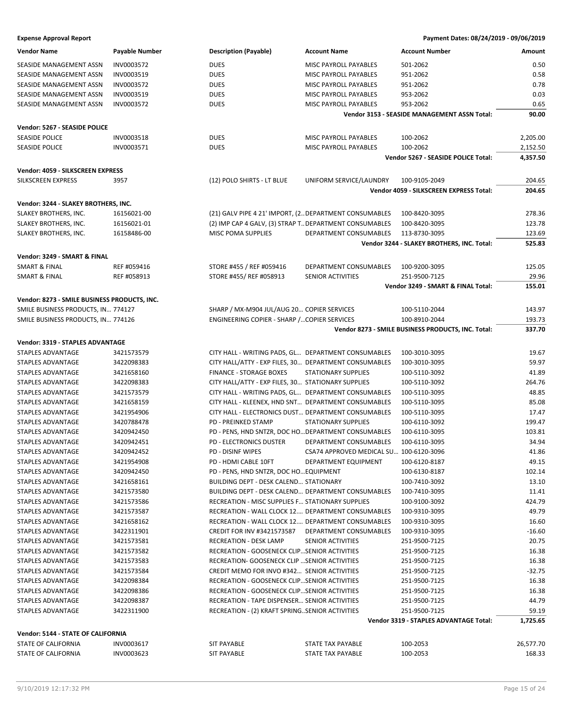| <b>Vendor Name</b>                           | <b>Payable Number</b> | <b>Description (Payable)</b>                           | <b>Account Name</b>                     | <b>Account Number</b>                              | Amount    |
|----------------------------------------------|-----------------------|--------------------------------------------------------|-----------------------------------------|----------------------------------------------------|-----------|
| SEASIDE MANAGEMENT ASSN                      | INV0003572            | <b>DUES</b>                                            | MISC PAYROLL PAYABLES                   | 501-2062                                           | 0.50      |
| SEASIDE MANAGEMENT ASSN                      | INV0003519            | <b>DUES</b>                                            | MISC PAYROLL PAYABLES                   | 951-2062                                           | 0.58      |
| SEASIDE MANAGEMENT ASSN                      | INV0003572            | <b>DUES</b>                                            | MISC PAYROLL PAYABLES                   | 951-2062                                           | 0.78      |
| SEASIDE MANAGEMENT ASSN                      | INV0003519            | <b>DUES</b>                                            | MISC PAYROLL PAYABLES                   | 953-2062                                           | 0.03      |
| SEASIDE MANAGEMENT ASSN                      | INV0003572            | <b>DUES</b>                                            | MISC PAYROLL PAYABLES                   | 953-2062                                           | 0.65      |
|                                              |                       |                                                        |                                         | Vendor 3153 - SEASIDE MANAGEMENT ASSN Total:       | 90.00     |
|                                              |                       |                                                        |                                         |                                                    |           |
| Vendor: 5267 - SEASIDE POLICE                |                       |                                                        |                                         |                                                    |           |
| <b>SEASIDE POLICE</b>                        | INV0003518            | <b>DUES</b>                                            | MISC PAYROLL PAYABLES                   | 100-2062                                           | 2,205.00  |
| <b>SEASIDE POLICE</b>                        | INV0003571            | <b>DUES</b>                                            | <b>MISC PAYROLL PAYABLES</b>            | 100-2062                                           | 2,152.50  |
|                                              |                       |                                                        |                                         | Vendor 5267 - SEASIDE POLICE Total:                | 4,357.50  |
| Vendor: 4059 - SILKSCREEN EXPRESS            |                       |                                                        |                                         |                                                    |           |
| SILKSCREEN EXPRESS                           | 3957                  | (12) POLO SHIRTS - LT BLUE                             | UNIFORM SERVICE/LAUNDRY                 | 100-9105-2049                                      | 204.65    |
|                                              |                       |                                                        |                                         | Vendor 4059 - SILKSCREEN EXPRESS Total:            | 204.65    |
|                                              |                       |                                                        |                                         |                                                    |           |
| Vendor: 3244 - SLAKEY BROTHERS, INC.         |                       |                                                        |                                         |                                                    |           |
| SLAKEY BROTHERS, INC.                        | 16156021-00           | (21) GALV PIPE 4 21' IMPORT, (2 DEPARTMENT CONSUMABLES |                                         | 100-8420-3095                                      | 278.36    |
| SLAKEY BROTHERS, INC.                        | 16156021-01           | (2) IMP CAP 4 GALV, (3) STRAP TDEPARTMENT CONSUMABLES  |                                         | 100-8420-3095                                      | 123.78    |
| SLAKEY BROTHERS, INC.                        | 16158486-00           | MISC POMA SUPPLIES                                     | DEPARTMENT CONSUMABLES                  | 113-8730-3095                                      | 123.69    |
|                                              |                       |                                                        |                                         | Vendor 3244 - SLAKEY BROTHERS, INC. Total:         | 525.83    |
| Vendor: 3249 - SMART & FINAL                 |                       |                                                        |                                         |                                                    |           |
| SMART & FINAL                                | REF #059416           | STORE #455 / REF #059416                               | DEPARTMENT CONSUMABLES                  | 100-9200-3095                                      | 125.05    |
| <b>SMART &amp; FINAL</b>                     | REF #058913           | STORE #455/ REF #058913                                | SENIOR ACTIVITIES                       | 251-9500-7125                                      | 29.96     |
|                                              |                       |                                                        |                                         | Vendor 3249 - SMART & FINAL Total:                 | 155.01    |
| Vendor: 8273 - SMILE BUSINESS PRODUCTS, INC. |                       |                                                        |                                         |                                                    |           |
| SMILE BUSINESS PRODUCTS, IN 774127           |                       | SHARP / MX-M904 JUL/AUG 20 COPIER SERVICES             |                                         | 100-5110-2044                                      | 143.97    |
| SMILE BUSINESS PRODUCTS, IN 774126           |                       | ENGINEERING COPIER - SHARP / COPIER SERVICES           |                                         | 100-8910-2044                                      | 193.73    |
|                                              |                       |                                                        |                                         | Vendor 8273 - SMILE BUSINESS PRODUCTS, INC. Total: | 337.70    |
|                                              |                       |                                                        |                                         |                                                    |           |
| Vendor: 3319 - STAPLES ADVANTAGE             |                       |                                                        |                                         |                                                    |           |
| STAPLES ADVANTAGE                            | 3421573579            | CITY HALL - WRITING PADS, GL DEPARTMENT CONSUMABLES    |                                         | 100-3010-3095                                      | 19.67     |
| STAPLES ADVANTAGE                            | 3422098383            | CITY HALL/ATTY - EXP FILES, 30 DEPARTMENT CONSUMABLES  |                                         | 100-3010-3095                                      | 59.97     |
| STAPLES ADVANTAGE                            | 3421658160            | FINANCE - STORAGE BOXES                                | <b>STATIONARY SUPPLIES</b>              | 100-5110-3092                                      | 41.89     |
| STAPLES ADVANTAGE                            | 3422098383            | CITY HALL/ATTY - EXP FILES, 30 STATIONARY SUPPLIES     |                                         | 100-5110-3092                                      | 264.76    |
| STAPLES ADVANTAGE                            | 3421573579            | CITY HALL - WRITING PADS, GL DEPARTMENT CONSUMABLES    |                                         | 100-5110-3095                                      | 48.85     |
| STAPLES ADVANTAGE                            | 3421658159            | CITY HALL - KLEENEX, HND SNT DEPARTMENT CONSUMABLES    |                                         | 100-5110-3095                                      | 85.08     |
| STAPLES ADVANTAGE                            | 3421954906            | CITY HALL - ELECTRONICS DUST DEPARTMENT CONSUMABLES    |                                         | 100-5110-3095                                      | 17.47     |
| STAPLES ADVANTAGE                            | 3420788478            | <b>PD - PREINKED STAMP</b>                             | STATIONARY SUPPLIES                     | 100-6110-3092                                      | 199.47    |
| STAPLES ADVANTAGE                            | 3420942450            | PD - PENS, HND SNTZR, DOC HO DEPARTMENT CONSUMABLES    |                                         | 100-6110-3095                                      | 103.81    |
| STAPLES ADVANTAGE                            | 3420942451            | <b>PD - ELECTRONICS DUSTER</b>                         | DEPARTMENT CONSUMABLES                  | 100-6110-3095                                      | 34.94     |
| <b>STAPLES ADVANTAGE</b>                     | 3420942452            | <b>PD - DISINF WIPES</b>                               | CSA74 APPROVED MEDICAL SU 100-6120-3096 |                                                    | 41.86     |
| STAPLES ADVANTAGE                            | 3421954908            | PD - HDMI CABLE 10FT                                   | DEPARTMENT EQUIPMENT                    | 100-6120-8187                                      | 49.15     |
| STAPLES ADVANTAGE                            | 3420942450            | PD - PENS, HND SNTZR, DOC HO EQUIPMENT                 |                                         | 100-6130-8187                                      | 102.14    |
| STAPLES ADVANTAGE                            | 3421658161            | <b>BUILDING DEPT - DESK CALEND STATIONARY</b>          |                                         | 100-7410-3092                                      | 13.10     |
| <b>STAPLES ADVANTAGE</b>                     | 3421573580            | BUILDING DEPT - DESK CALEND DEPARTMENT CONSUMABLES     |                                         | 100-7410-3095                                      | 11.41     |
| STAPLES ADVANTAGE                            | 3421573586            | RECREATION - MISC SUPPLIES F STATIONARY SUPPLIES       |                                         | 100-9100-3092                                      | 424.79    |
| STAPLES ADVANTAGE                            | 3421573587            | RECREATION - WALL CLOCK 12 DEPARTMENT CONSUMABLES      |                                         | 100-9310-3095                                      | 49.79     |
| STAPLES ADVANTAGE                            | 3421658162            | RECREATION - WALL CLOCK 12 DEPARTMENT CONSUMABLES      |                                         | 100-9310-3095                                      | 16.60     |
| STAPLES ADVANTAGE                            | 3422311901            | <b>CREDIT FOR INV #3421573587</b>                      | DEPARTMENT CONSUMABLES                  | 100-9310-3095                                      | $-16.60$  |
| <b>STAPLES ADVANTAGE</b>                     | 3421573581            | <b>RECREATION - DESK LAMP</b>                          | SENIOR ACTIVITIES                       | 251-9500-7125                                      | 20.75     |
| STAPLES ADVANTAGE                            | 3421573582            | <b>RECREATION - GOOSENECK CLIPSENIOR ACTIVITIES</b>    |                                         | 251-9500-7125                                      | 16.38     |
| STAPLES ADVANTAGE                            | 3421573583            | RECREATION- GOOSENECK CLIP  SENIOR ACTIVITIES          |                                         | 251-9500-7125                                      | 16.38     |
| STAPLES ADVANTAGE                            | 3421573584            | CREDIT MEMO FOR INVO #342 SENIOR ACTIVITIES            |                                         | 251-9500-7125                                      | $-32.75$  |
| STAPLES ADVANTAGE                            | 3422098384            | RECREATION - GOOSENECK CLIPSENIOR ACTIVITIES           |                                         | 251-9500-7125                                      | 16.38     |
| STAPLES ADVANTAGE                            | 3422098386            | RECREATION - GOOSENECK CLIPSENIOR ACTIVITIES           |                                         | 251-9500-7125                                      | 16.38     |
|                                              |                       |                                                        |                                         |                                                    |           |
| STAPLES ADVANTAGE                            | 3422098387            | RECREATION - TAPE DISPENSER SENIOR ACTIVITIES          |                                         | 251-9500-7125                                      | 44.79     |
| STAPLES ADVANTAGE                            | 3422311900            | RECREATION - (2) KRAFT SPRINGSENIOR ACTIVITIES         |                                         | 251-9500-7125                                      | 59.19     |
|                                              |                       |                                                        |                                         | Vendor 3319 - STAPLES ADVANTAGE Total:             | 1,725.65  |
| Vendor: 5144 - STATE OF CALIFORNIA           |                       |                                                        |                                         |                                                    |           |
| STATE OF CALIFORNIA                          | INV0003617            | <b>SIT PAYABLE</b>                                     | STATE TAX PAYABLE                       | 100-2053                                           | 26,577.70 |
| STATE OF CALIFORNIA                          | INV0003623            | <b>SIT PAYABLE</b>                                     | STATE TAX PAYABLE                       | 100-2053                                           | 168.33    |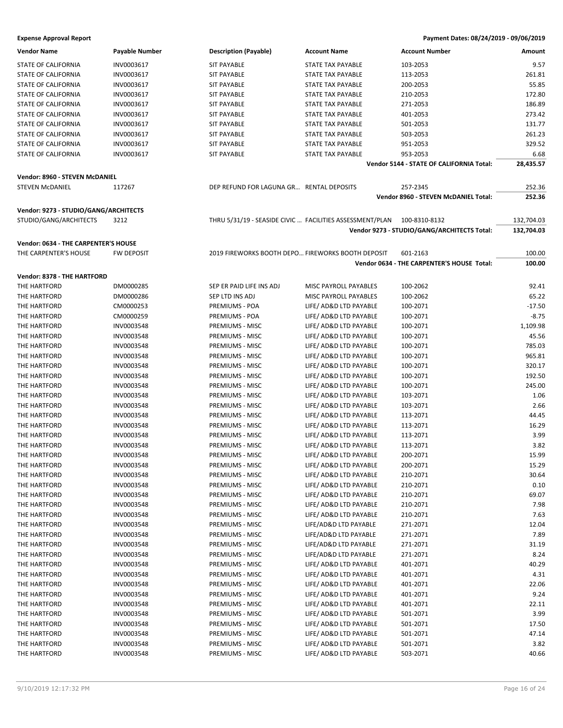| <b>Vendor Name</b>                    | Payable Number           | <b>Description (Payable)</b>                      | <b>Account Name</b>                                                    | <b>Account Number</b>                       | Amount        |
|---------------------------------------|--------------------------|---------------------------------------------------|------------------------------------------------------------------------|---------------------------------------------|---------------|
| <b>STATE OF CALIFORNIA</b>            | INV0003617               | <b>SIT PAYABLE</b>                                | <b>STATE TAX PAYABLE</b>                                               | 103-2053                                    | 9.57          |
| STATE OF CALIFORNIA                   | INV0003617               | <b>SIT PAYABLE</b>                                | <b>STATE TAX PAYABLE</b>                                               | 113-2053                                    | 261.81        |
| <b>STATE OF CALIFORNIA</b>            | INV0003617               | <b>SIT PAYABLE</b>                                | STATE TAX PAYABLE                                                      | 200-2053                                    | 55.85         |
| STATE OF CALIFORNIA                   | INV0003617               | <b>SIT PAYABLE</b>                                | STATE TAX PAYABLE                                                      | 210-2053                                    | 172.80        |
| <b>STATE OF CALIFORNIA</b>            | INV0003617               | <b>SIT PAYABLE</b>                                | STATE TAX PAYABLE                                                      | 271-2053                                    | 186.89        |
| STATE OF CALIFORNIA                   | INV0003617               | <b>SIT PAYABLE</b>                                | STATE TAX PAYABLE                                                      | 401-2053                                    | 273.42        |
| STATE OF CALIFORNIA                   | INV0003617               | <b>SIT PAYABLE</b>                                | STATE TAX PAYABLE                                                      | 501-2053                                    | 131.77        |
| STATE OF CALIFORNIA                   | INV0003617               | <b>SIT PAYABLE</b>                                | STATE TAX PAYABLE                                                      | 503-2053                                    | 261.23        |
| <b>STATE OF CALIFORNIA</b>            | INV0003617               | <b>SIT PAYABLE</b>                                | STATE TAX PAYABLE                                                      | 951-2053                                    | 329.52        |
| STATE OF CALIFORNIA                   | INV0003617               | <b>SIT PAYABLE</b>                                | STATE TAX PAYABLE                                                      | 953-2053                                    | 6.68          |
|                                       |                          |                                                   |                                                                        | Vendor 5144 - STATE OF CALIFORNIA Total:    | 28,435.57     |
|                                       |                          |                                                   |                                                                        |                                             |               |
| Vendor: 8960 - STEVEN McDANIEL        |                          |                                                   |                                                                        |                                             |               |
| <b>STEVEN MCDANIEL</b>                | 117267                   | DEP REFUND FOR LAGUNA GR RENTAL DEPOSITS          |                                                                        | 257-2345                                    | 252.36        |
|                                       |                          |                                                   |                                                                        | Vendor 8960 - STEVEN McDANIEL Total:        | 252.36        |
| Vendor: 9273 - STUDIO/GANG/ARCHITECTS |                          |                                                   |                                                                        |                                             |               |
| STUDIO/GANG/ARCHITECTS                | 3212                     |                                                   | THRU 5/31/19 - SEASIDE CIVIC  FACILITIES ASSESSMENT/PLAN 100-8310-8132 |                                             | 132,704.03    |
|                                       |                          |                                                   |                                                                        | Vendor 9273 - STUDIO/GANG/ARCHITECTS Total: | 132,704.03    |
|                                       |                          |                                                   |                                                                        |                                             |               |
| Vendor: 0634 - THE CARPENTER'S HOUSE  |                          |                                                   |                                                                        |                                             |               |
| THE CARPENTER'S HOUSE                 | <b>FW DEPOSIT</b>        | 2019 FIREWORKS BOOTH DEPO FIREWORKS BOOTH DEPOSIT |                                                                        | 601-2163                                    | 100.00        |
|                                       |                          |                                                   |                                                                        | Vendor 0634 - THE CARPENTER'S HOUSE Total:  | 100.00        |
| Vendor: 8378 - THE HARTFORD           |                          |                                                   |                                                                        |                                             |               |
| THE HARTFORD                          | DM0000285                | SEP ER PAID LIFE INS ADJ                          | MISC PAYROLL PAYABLES                                                  | 100-2062                                    | 92.41         |
| THE HARTFORD                          | DM0000286                | SEP LTD INS ADJ                                   | MISC PAYROLL PAYABLES                                                  | 100-2062                                    | 65.22         |
| THE HARTFORD                          | CM0000253                | PREMIUMS - POA                                    | LIFE/ AD&D LTD PAYABLE                                                 | 100-2071                                    | $-17.50$      |
| THE HARTFORD                          | CM0000259                | PREMIUMS - POA                                    | LIFE/ AD&D LTD PAYABLE                                                 | 100-2071                                    | $-8.75$       |
| THE HARTFORD                          | INV0003548               | PREMIUMS - MISC                                   | LIFE/ AD&D LTD PAYABLE                                                 | 100-2071                                    | 1,109.98      |
| THE HARTFORD                          | INV0003548               | PREMIUMS - MISC                                   | LIFE/ AD&D LTD PAYABLE                                                 | 100-2071                                    | 45.56         |
| THE HARTFORD                          | INV0003548               | PREMIUMS - MISC                                   | LIFE/ AD&D LTD PAYABLE                                                 | 100-2071                                    | 785.03        |
| THE HARTFORD                          | INV0003548               | PREMIUMS - MISC                                   | LIFE/ AD&D LTD PAYABLE                                                 | 100-2071                                    | 965.81        |
| THE HARTFORD                          | INV0003548               | PREMIUMS - MISC                                   | LIFE/ AD&D LTD PAYABLE                                                 | 100-2071                                    | 320.17        |
| THE HARTFORD                          | INV0003548               | PREMIUMS - MISC                                   | LIFE/ AD&D LTD PAYABLE                                                 | 100-2071                                    | 192.50        |
| THE HARTFORD                          | INV0003548               | PREMIUMS - MISC                                   | LIFE/ AD&D LTD PAYABLE                                                 | 100-2071                                    | 245.00        |
| THE HARTFORD                          | INV0003548               | PREMIUMS - MISC                                   | LIFE/ AD&D LTD PAYABLE                                                 | 103-2071                                    | 1.06          |
| THE HARTFORD                          | INV0003548               | PREMIUMS - MISC                                   | LIFE/ AD&D LTD PAYABLE                                                 | 103-2071                                    | 2.66          |
| THE HARTFORD                          | INV0003548               | PREMIUMS - MISC                                   | LIFE/ AD&D LTD PAYABLE                                                 | 113-2071                                    | 44.45         |
| THE HARTFORD                          | INV0003548               | PREMIUMS - MISC                                   | LIFE/ AD&D LTD PAYABLE                                                 | 113-2071                                    | 16.29         |
| THE HARTFORD                          | INV0003548               | PREMIUMS - MISC                                   | LIFE/ AD&D LTD PAYABLE                                                 | 113-2071                                    | 3.99          |
| THE HARTFORD                          | INV0003548               | PREMIUMS - MISC                                   | LIFE/ AD&D LTD PAYABLE                                                 | 113-2071                                    | 3.82          |
| THE HARTFORD                          | INV0003548               | PREMIUMS - MISC                                   | LIFE/ AD&D LTD PAYABLE                                                 | 200-2071                                    | 15.99         |
| THE HARTFORD                          | INV0003548               | PREMIUMS - MISC                                   | LIFE/ AD&D LTD PAYABLE                                                 | 200-2071                                    | 15.29         |
| THE HARTFORD                          | INV0003548               | PREMIUMS - MISC                                   | LIFE/ AD&D LTD PAYABLE                                                 | 210-2071                                    | 30.64         |
| THE HARTFORD                          | INV0003548               | PREMIUMS - MISC                                   | LIFE/ AD&D LTD PAYABLE                                                 | 210-2071                                    | 0.10          |
| THE HARTFORD                          | INV0003548               | PREMIUMS - MISC                                   | LIFE/ AD&D LTD PAYABLE                                                 | 210-2071                                    | 69.07         |
| THE HARTFORD                          | INV0003548               | PREMIUMS - MISC                                   | LIFE/ AD&D LTD PAYABLE                                                 | 210-2071                                    | 7.98          |
| THE HARTFORD                          | INV0003548               | PREMIUMS - MISC                                   | LIFE/ AD&D LTD PAYABLE                                                 | 210-2071                                    | 7.63          |
| THE HARTFORD                          | INV0003548               | PREMIUMS - MISC                                   | LIFE/AD&D LTD PAYABLE                                                  | 271-2071                                    | 12.04         |
| THE HARTFORD                          | INV0003548               | PREMIUMS - MISC                                   | LIFE/AD&D LTD PAYABLE                                                  | 271-2071                                    | 7.89          |
| THE HARTFORD                          | INV0003548               | PREMIUMS - MISC                                   | LIFE/AD&D LTD PAYABLE                                                  | 271-2071                                    | 31.19         |
| THE HARTFORD                          | INV0003548               | PREMIUMS - MISC                                   | LIFE/AD&D LTD PAYABLE                                                  | 271-2071                                    | 8.24          |
| THE HARTFORD                          | INV0003548               | PREMIUMS - MISC                                   | LIFE/ AD&D LTD PAYABLE                                                 | 401-2071                                    | 40.29         |
| THE HARTFORD                          | INV0003548               | PREMIUMS - MISC                                   | LIFE/ AD&D LTD PAYABLE                                                 | 401-2071                                    | 4.31          |
| THE HARTFORD                          | INV0003548               | PREMIUMS - MISC                                   | LIFE/ AD&D LTD PAYABLE                                                 | 401-2071                                    | 22.06         |
| THE HARTFORD                          | INV0003548               | PREMIUMS - MISC                                   | LIFE/ AD&D LTD PAYABLE                                                 | 401-2071                                    | 9.24          |
| THE HARTFORD                          | INV0003548               | PREMIUMS - MISC                                   | LIFE/ AD&D LTD PAYABLE                                                 | 401-2071                                    | 22.11         |
| THE HARTFORD                          | INV0003548               | PREMIUMS - MISC                                   | LIFE/ AD&D LTD PAYABLE                                                 | 501-2071                                    | 3.99          |
| THE HARTFORD                          |                          | PREMIUMS - MISC                                   | LIFE/ AD&D LTD PAYABLE                                                 |                                             | 17.50         |
|                                       | INV0003548               |                                                   | LIFE/ AD&D LTD PAYABLE                                                 | 501-2071                                    |               |
| THE HARTFORD                          | INV0003548               | PREMIUMS - MISC                                   |                                                                        | 501-2071                                    | 47.14         |
| THE HARTFORD<br>THE HARTFORD          | INV0003548<br>INV0003548 | PREMIUMS - MISC<br>PREMIUMS - MISC                | LIFE/ AD&D LTD PAYABLE<br>LIFE/ AD&D LTD PAYABLE                       | 501-2071<br>503-2071                        | 3.82<br>40.66 |
|                                       |                          |                                                   |                                                                        |                                             |               |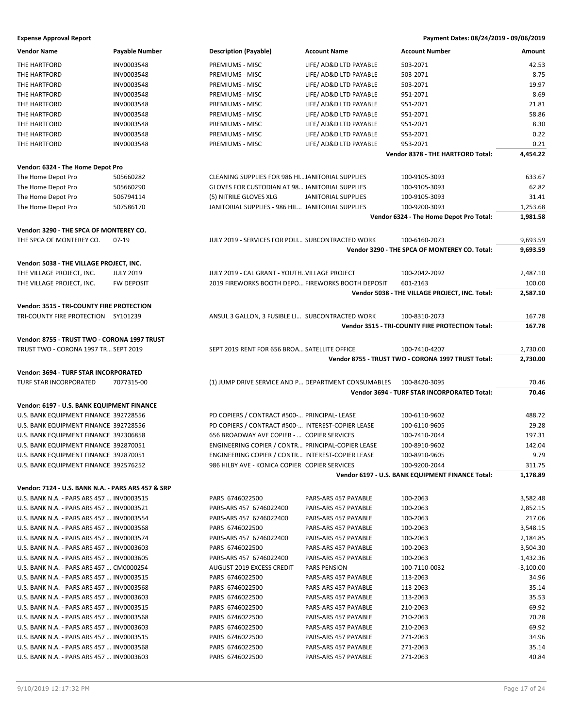| <b>Vendor Name</b>                                 | <b>Payable Number</b> | <b>Description (Payable)</b>                                      | <b>Account Name</b>    | <b>Account Number</b>                              | Amount      |
|----------------------------------------------------|-----------------------|-------------------------------------------------------------------|------------------------|----------------------------------------------------|-------------|
| THE HARTFORD                                       | INV0003548            | PREMIUMS - MISC                                                   | LIFE/ AD&D LTD PAYABLE | 503-2071                                           | 42.53       |
| THE HARTFORD                                       | INV0003548            | PREMIUMS - MISC                                                   | LIFE/ AD&D LTD PAYABLE | 503-2071                                           | 8.75        |
| THE HARTFORD                                       | INV0003548            | PREMIUMS - MISC                                                   | LIFE/ AD&D LTD PAYABLE | 503-2071                                           | 19.97       |
| THE HARTFORD                                       | INV0003548            | PREMIUMS - MISC                                                   | LIFE/ AD&D LTD PAYABLE | 951-2071                                           | 8.69        |
| THE HARTFORD                                       | INV0003548            | PREMIUMS - MISC                                                   | LIFE/ AD&D LTD PAYABLE | 951-2071                                           | 21.81       |
| THE HARTFORD                                       | INV0003548            | PREMIUMS - MISC                                                   | LIFE/ AD&D LTD PAYABLE | 951-2071                                           | 58.86       |
| THE HARTFORD                                       | INV0003548            | PREMIUMS - MISC                                                   | LIFE/ AD&D LTD PAYABLE | 951-2071                                           | 8.30        |
| THE HARTFORD                                       | INV0003548            | PREMIUMS - MISC                                                   | LIFE/ AD&D LTD PAYABLE | 953-2071                                           | 0.22        |
| THE HARTFORD                                       | INV0003548            | PREMIUMS - MISC                                                   | LIFE/ AD&D LTD PAYABLE | 953-2071                                           | 0.21        |
|                                                    |                       |                                                                   |                        | Vendor 8378 - THE HARTFORD Total:                  | 4,454.22    |
|                                                    |                       |                                                                   |                        |                                                    |             |
| Vendor: 6324 - The Home Depot Pro                  |                       |                                                                   |                        |                                                    |             |
| The Home Depot Pro                                 | 505660282             | CLEANING SUPPLIES FOR 986 HIJANITORIAL SUPPLIES                   |                        | 100-9105-3093                                      | 633.67      |
| The Home Depot Pro                                 | 505660290             | GLOVES FOR CUSTODIAN AT 98 JANITORIAL SUPPLIES                    |                        | 100-9105-3093                                      | 62.82       |
| The Home Depot Pro                                 | 506794114             | (5) NITRILE GLOVES XLG                                            | JANITORIAL SUPPLIES    | 100-9105-3093                                      | 31.41       |
| The Home Depot Pro                                 | 507586170             | JANITORIAL SUPPLIES - 986 HIL JANITORIAL SUPPLIES                 |                        | 100-9200-3093                                      | 1,253.68    |
|                                                    |                       |                                                                   |                        | Vendor 6324 - The Home Depot Pro Total:            | 1,981.58    |
| Vendor: 3290 - THE SPCA OF MONTEREY CO.            |                       |                                                                   |                        |                                                    |             |
| THE SPCA OF MONTEREY CO.                           | $07-19$               | JULY 2019 - SERVICES FOR POLI SUBCONTRACTED WORK                  |                        | 100-6160-2073                                      | 9,693.59    |
|                                                    |                       |                                                                   |                        | Vendor 3290 - THE SPCA OF MONTEREY CO. Total:      | 9,693.59    |
| Vendor: 5038 - THE VILLAGE PROJECT, INC.           |                       |                                                                   |                        |                                                    |             |
| THE VILLAGE PROJECT, INC.                          | <b>JULY 2019</b>      | JULY 2019 - CAL GRANT - YOUTHVILLAGE PROJECT                      |                        | 100-2042-2092                                      | 2,487.10    |
|                                                    |                       |                                                                   |                        |                                                    |             |
| THE VILLAGE PROJECT, INC.                          | <b>FW DEPOSIT</b>     | 2019 FIREWORKS BOOTH DEPO FIREWORKS BOOTH DEPOSIT                 |                        | 601-2163                                           | 100.00      |
|                                                    |                       |                                                                   |                        | Vendor 5038 - THE VILLAGE PROJECT, INC. Total:     | 2,587.10    |
| Vendor: 3515 - TRI-COUNTY FIRE PROTECTION          |                       |                                                                   |                        |                                                    |             |
| TRI-COUNTY FIRE PROTECTION SY101239                |                       | ANSUL 3 GALLON, 3 FUSIBLE LI SUBCONTRACTED WORK                   |                        | 100-8310-2073                                      | 167.78      |
|                                                    |                       |                                                                   |                        | Vendor 3515 - TRI-COUNTY FIRE PROTECTION Total:    | 167.78      |
| Vendor: 8755 - TRUST TWO - CORONA 1997 TRUST       |                       |                                                                   |                        |                                                    |             |
|                                                    |                       | SEPT 2019 RENT FOR 656 BROA SATELLITE OFFICE                      |                        |                                                    |             |
|                                                    |                       |                                                                   |                        |                                                    |             |
| TRUST TWO - CORONA 1997 TR SEPT 2019               |                       |                                                                   |                        | 100-7410-4207                                      | 2,730.00    |
|                                                    |                       |                                                                   |                        | Vendor 8755 - TRUST TWO - CORONA 1997 TRUST Total: | 2,730.00    |
| Vendor: 3694 - TURF STAR INCORPORATED              |                       |                                                                   |                        |                                                    |             |
| TURF STAR INCORPORATED                             | 7077315-00            | (1) JUMP DRIVE SERVICE AND P DEPARTMENT CONSUMABLES 100-8420-3095 |                        |                                                    | 70.46       |
|                                                    |                       |                                                                   |                        | Vendor 3694 - TURF STAR INCORPORATED Total:        | 70.46       |
| Vendor: 6197 - U.S. BANK EQUIPMENT FINANCE         |                       |                                                                   |                        |                                                    |             |
| U.S. BANK EQUIPMENT FINANCE 392728556              |                       | PD COPIERS / CONTRACT #500- PRINCIPAL- LEASE                      |                        | 100-6110-9602                                      | 488.72      |
| U.S. BANK EQUIPMENT FINANCE 392728556              |                       | PD COPIERS / CONTRACT #500- INTEREST-COPIER LEASE                 |                        | 100-6110-9605                                      | 29.28       |
| U.S. BANK EQUIPMENT FINANCE 392306858              |                       | 656 BROADWAY AVE COPIER -  COPIER SERVICES                        |                        | 100-7410-2044                                      | 197.31      |
| U.S. BANK EQUIPMENT FINANCE 392870051              |                       | ENGINEERING COPIER / CONTR PRINCIPAL-COPIER LEASE                 |                        | 100-8910-9602                                      | 142.04      |
| U.S. BANK EQUIPMENT FINANCE 392870051              |                       | ENGINEERING COPIER / CONTR INTEREST-COPIER LEASE                  |                        | 100-8910-9605                                      | 9.79        |
| U.S. BANK EQUIPMENT FINANCE 392576252              |                       | 986 HILBY AVE - KONICA COPIER COPIER SERVICES                     |                        | 100-9200-2044                                      | 311.75      |
|                                                    |                       |                                                                   |                        | Vendor 6197 - U.S. BANK EQUIPMENT FINANCE Total:   | 1,178.89    |
|                                                    |                       |                                                                   |                        |                                                    |             |
| Vendor: 7124 - U.S. BANK N.A. - PARS ARS 457 & SRP |                       |                                                                   |                        |                                                    |             |
| U.S. BANK N.A. - PARS ARS 457  INV0003515          |                       | PARS 6746022500                                                   | PARS-ARS 457 PAYABLE   | 100-2063                                           | 3,582.48    |
| U.S. BANK N.A. - PARS ARS 457  INV0003521          |                       | PARS-ARS 457 6746022400                                           | PARS-ARS 457 PAYABLE   | 100-2063                                           | 2,852.15    |
| U.S. BANK N.A. - PARS ARS 457  INV0003554          |                       | PARS-ARS 457 6746022400                                           | PARS-ARS 457 PAYABLE   | 100-2063                                           | 217.06      |
| U.S. BANK N.A. - PARS ARS 457  INV0003568          |                       | PARS 6746022500                                                   | PARS-ARS 457 PAYABLE   | 100-2063                                           | 3,548.15    |
| U.S. BANK N.A. - PARS ARS 457  INV0003574          |                       | PARS-ARS 457 6746022400                                           | PARS-ARS 457 PAYABLE   | 100-2063                                           | 2,184.85    |
| U.S. BANK N.A. - PARS ARS 457  INV0003603          |                       | PARS 6746022500                                                   | PARS-ARS 457 PAYABLE   | 100-2063                                           | 3,504.30    |
| U.S. BANK N.A. - PARS ARS 457  INV0003605          |                       | PARS-ARS 457 6746022400                                           | PARS-ARS 457 PAYABLE   | 100-2063                                           | 1,432.36    |
| U.S. BANK N.A. - PARS ARS 457  CM0000254           |                       | AUGUST 2019 EXCESS CREDIT                                         | PARS PENSION           | 100-7110-0032                                      | $-3,100.00$ |
| U.S. BANK N.A. - PARS ARS 457  INV0003515          |                       | PARS 6746022500                                                   | PARS-ARS 457 PAYABLE   | 113-2063                                           | 34.96       |
| U.S. BANK N.A. - PARS ARS 457  INV0003568          |                       | PARS 6746022500                                                   | PARS-ARS 457 PAYABLE   | 113-2063                                           | 35.14       |
| U.S. BANK N.A. - PARS ARS 457  INV0003603          |                       | PARS 6746022500                                                   | PARS-ARS 457 PAYABLE   | 113-2063                                           | 35.53       |
| U.S. BANK N.A. - PARS ARS 457  INV0003515          |                       | PARS 6746022500                                                   | PARS-ARS 457 PAYABLE   | 210-2063                                           | 69.92       |
| U.S. BANK N.A. - PARS ARS 457  INV0003568          |                       | PARS 6746022500                                                   | PARS-ARS 457 PAYABLE   | 210-2063                                           | 70.28       |
| U.S. BANK N.A. - PARS ARS 457  INV0003603          |                       | PARS 6746022500                                                   | PARS-ARS 457 PAYABLE   | 210-2063                                           | 69.92       |
| U.S. BANK N.A. - PARS ARS 457  INV0003515          |                       | PARS 6746022500                                                   | PARS-ARS 457 PAYABLE   | 271-2063                                           | 34.96       |
| U.S. BANK N.A. - PARS ARS 457  INV0003568          |                       | PARS 6746022500                                                   | PARS-ARS 457 PAYABLE   | 271-2063                                           | 35.14       |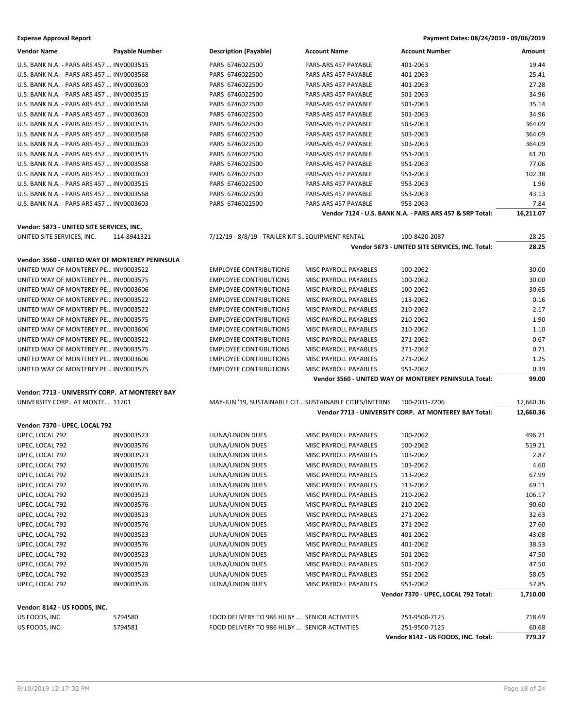| <b>Vendor Name</b>                              | <b>Payable Number</b> | <b>Description (Payable)</b>                            | <b>Account Name</b>          | <b>Account Number</b>                                    | Amount    |
|-------------------------------------------------|-----------------------|---------------------------------------------------------|------------------------------|----------------------------------------------------------|-----------|
| U.S. BANK N.A. - PARS ARS 457  INV0003515       |                       | PARS 6746022500                                         | PARS-ARS 457 PAYABLE         | 401-2063                                                 | 19.44     |
| U.S. BANK N.A. - PARS ARS 457  INV0003568       |                       | PARS 6746022500                                         | PARS-ARS 457 PAYABLE         | 401-2063                                                 | 25.41     |
| U.S. BANK N.A. - PARS ARS 457  INV0003603       |                       | PARS 6746022500                                         | PARS-ARS 457 PAYABLE         | 401-2063                                                 | 27.28     |
| U.S. BANK N.A. - PARS ARS 457  INV0003515       |                       | PARS 6746022500                                         | PARS-ARS 457 PAYABLE         | 501-2063                                                 | 34.96     |
| U.S. BANK N.A. - PARS ARS 457  INV0003568       |                       | PARS 6746022500                                         | PARS-ARS 457 PAYABLE         | 501-2063                                                 | 35.14     |
|                                                 |                       |                                                         |                              |                                                          |           |
| U.S. BANK N.A. - PARS ARS 457  INV0003603       |                       | PARS 6746022500                                         | PARS-ARS 457 PAYABLE         | 501-2063                                                 | 34.96     |
| U.S. BANK N.A. - PARS ARS 457  INV0003515       |                       | PARS 6746022500                                         | PARS-ARS 457 PAYABLE         | 503-2063                                                 | 364.09    |
| U.S. BANK N.A. - PARS ARS 457  INV0003568       |                       | PARS 6746022500                                         | PARS-ARS 457 PAYABLE         | 503-2063                                                 | 364.09    |
| U.S. BANK N.A. - PARS ARS 457  INV0003603       |                       | PARS 6746022500                                         | PARS-ARS 457 PAYABLE         | 503-2063                                                 | 364.09    |
| U.S. BANK N.A. - PARS ARS 457  INV0003515       |                       | PARS 6746022500                                         | PARS-ARS 457 PAYABLE         | 951-2063                                                 | 61.20     |
| U.S. BANK N.A. - PARS ARS 457  INV0003568       |                       | PARS 6746022500                                         | PARS-ARS 457 PAYABLE         | 951-2063                                                 | 77.06     |
| U.S. BANK N.A. - PARS ARS 457  INV0003603       |                       | PARS 6746022500                                         | PARS-ARS 457 PAYABLE         | 951-2063                                                 | 102.38    |
| U.S. BANK N.A. - PARS ARS 457  INV0003515       |                       | PARS 6746022500                                         | PARS-ARS 457 PAYABLE         | 953-2063                                                 | 1.96      |
| U.S. BANK N.A. - PARS ARS 457  INV0003568       |                       | PARS 6746022500                                         | PARS-ARS 457 PAYABLE         | 953-2063                                                 | 43.13     |
| U.S. BANK N.A. - PARS ARS 457  INV0003603       |                       | PARS 6746022500                                         | PARS-ARS 457 PAYABLE         | 953-2063                                                 | 7.84      |
|                                                 |                       |                                                         |                              | Vendor 7124 - U.S. BANK N.A. - PARS ARS 457 & SRP Total: | 16,211.07 |
|                                                 |                       |                                                         |                              |                                                          |           |
| Vendor: 5873 - UNITED SITE SERVICES, INC.       |                       |                                                         |                              |                                                          |           |
| UNITED SITE SERVICES, INC.                      | 114-8941321           | 7/12/19 - 8/8/19 - TRAILER KIT S EQUIPMENT RENTAL       |                              | 100-8420-2087                                            | 28.25     |
|                                                 |                       |                                                         |                              | Vendor 5873 - UNITED SITE SERVICES, INC. Total:          | 28.25     |
| Vendor: 3560 - UNITED WAY OF MONTEREY PENINSULA |                       |                                                         |                              |                                                          |           |
| UNITED WAY OF MONTEREY PE INV0003522            |                       | <b>EMPLOYEE CONTRIBUTIONS</b>                           | MISC PAYROLL PAYABLES        | 100-2062                                                 | 30.00     |
| UNITED WAY OF MONTEREY PE INV0003575            |                       | <b>EMPLOYEE CONTRIBUTIONS</b>                           | MISC PAYROLL PAYABLES        | 100-2062                                                 | 30.00     |
| UNITED WAY OF MONTEREY PE INV0003606            |                       | <b>EMPLOYEE CONTRIBUTIONS</b>                           | MISC PAYROLL PAYABLES        | 100-2062                                                 | 30.65     |
| UNITED WAY OF MONTEREY PE INV0003522            |                       | <b>EMPLOYEE CONTRIBUTIONS</b>                           | <b>MISC PAYROLL PAYABLES</b> | 113-2062                                                 | 0.16      |
| UNITED WAY OF MONTEREY PE INV0003522            |                       | <b>EMPLOYEE CONTRIBUTIONS</b>                           | MISC PAYROLL PAYABLES        | 210-2062                                                 | 2.17      |
| UNITED WAY OF MONTEREY PE INV0003575            |                       | <b>EMPLOYEE CONTRIBUTIONS</b>                           | MISC PAYROLL PAYABLES        | 210-2062                                                 | 1.90      |
| UNITED WAY OF MONTEREY PE INV0003606            |                       | <b>EMPLOYEE CONTRIBUTIONS</b>                           | MISC PAYROLL PAYABLES        | 210-2062                                                 | 1.10      |
| UNITED WAY OF MONTEREY PE INV0003522            |                       | <b>EMPLOYEE CONTRIBUTIONS</b>                           | MISC PAYROLL PAYABLES        | 271-2062                                                 | 0.67      |
|                                                 |                       |                                                         |                              |                                                          | 0.71      |
| UNITED WAY OF MONTEREY PE INV0003575            |                       | <b>EMPLOYEE CONTRIBUTIONS</b>                           | MISC PAYROLL PAYABLES        | 271-2062                                                 |           |
| UNITED WAY OF MONTEREY PE INV0003606            |                       | <b>EMPLOYEE CONTRIBUTIONS</b>                           | MISC PAYROLL PAYABLES        | 271-2062                                                 | 1.25      |
| UNITED WAY OF MONTEREY PE INV0003575            |                       | <b>EMPLOYEE CONTRIBUTIONS</b>                           | MISC PAYROLL PAYABLES        | 951-2062                                                 | 0.39      |
|                                                 |                       |                                                         |                              | Vendor 3560 - UNITED WAY OF MONTEREY PENINSULA Total:    | 99.00     |
| Vendor: 7713 - UNIVERSITY CORP. AT MONTEREY BAY |                       |                                                         |                              |                                                          |           |
| UNIVERSITY CORP. AT MONTE 11201                 |                       | MAY-JUN '19, SUSTAINABLE CIT SUSTAINABLE CITIES/INTERNS |                              | 100-2031-7206                                            | 12,660.36 |
|                                                 |                       |                                                         |                              | Vendor 7713 - UNIVERSITY CORP. AT MONTEREY BAY Total:    | 12,660.36 |
|                                                 |                       |                                                         |                              |                                                          |           |
| Vendor: 7370 - UPEC, LOCAL 792                  |                       |                                                         |                              |                                                          |           |
| UPEC, LOCAL 792                                 | INV0003523            | LIUNA/UNION DUES                                        | MISC PAYROLL PAYABLES        | 100-2062                                                 | 496.71    |
| UPEC, LOCAL 792                                 | INV0003576            | LIUNA/UNION DUES                                        | MISC PAYROLL PAYABLES        | 100-2062                                                 | 519.21    |
| UPEC, LOCAL 792                                 | INV0003523            | LIUNA/UNION DUES                                        | <b>MISC PAYROLL PAYABLES</b> | 103-2062                                                 | 2.87      |
| UPEC, LOCAL 792                                 | INV0003576            | LIUNA/UNION DUES                                        | MISC PAYROLL PAYABLES        | 103-2062                                                 | 4.60      |
| UPEC, LOCAL 792                                 | INV0003523            | LIUNA/UNION DUES                                        | MISC PAYROLL PAYABLES        | 113-2062                                                 | 67.99     |
| UPEC, LOCAL 792                                 | INV0003576            | LIUNA/UNION DUES                                        | MISC PAYROLL PAYABLES        | 113-2062                                                 | 69.11     |
| UPEC, LOCAL 792                                 | INV0003523            | LIUNA/UNION DUES                                        | MISC PAYROLL PAYABLES        | 210-2062                                                 | 106.17    |
| UPEC, LOCAL 792                                 | INV0003576            | LIUNA/UNION DUES                                        | MISC PAYROLL PAYABLES        | 210-2062                                                 | 90.60     |
| UPEC, LOCAL 792                                 | INV0003523            | LIUNA/UNION DUES                                        | MISC PAYROLL PAYABLES        | 271-2062                                                 | 32.63     |
| UPEC, LOCAL 792                                 | INV0003576            | LIUNA/UNION DUES                                        | MISC PAYROLL PAYABLES        | 271-2062                                                 | 27.60     |
| UPEC, LOCAL 792                                 | INV0003523            | LIUNA/UNION DUES                                        | MISC PAYROLL PAYABLES        | 401-2062                                                 | 43.08     |
| UPEC, LOCAL 792                                 | INV0003576            | LIUNA/UNION DUES                                        | MISC PAYROLL PAYABLES        | 401-2062                                                 | 38.53     |
| UPEC, LOCAL 792                                 | INV0003523            | LIUNA/UNION DUES                                        | MISC PAYROLL PAYABLES        | 501-2062                                                 | 47.50     |
| UPEC, LOCAL 792                                 | INV0003576            | LIUNA/UNION DUES                                        | MISC PAYROLL PAYABLES        | 501-2062                                                 | 47.50     |
| UPEC, LOCAL 792                                 | INV0003523            | LIUNA/UNION DUES                                        | MISC PAYROLL PAYABLES        | 951-2062                                                 | 58.05     |
| UPEC, LOCAL 792                                 | INV0003576            | LIUNA/UNION DUES                                        | MISC PAYROLL PAYABLES        | 951-2062                                                 | 57.85     |
|                                                 |                       |                                                         |                              | Vendor 7370 - UPEC, LOCAL 792 Total:                     | 1,710.00  |
|                                                 |                       |                                                         |                              |                                                          |           |
| Vendor: 8142 - US FOODS, INC.                   |                       |                                                         |                              |                                                          |           |
| US FOODS, INC.                                  | 5794580               | FOOD DELIVERY TO 986 HILBY  SENIOR ACTIVITIES           |                              | 251-9500-7125                                            | 718.69    |
| US FOODS, INC.                                  |                       |                                                         |                              |                                                          |           |
|                                                 | 5794581               | FOOD DELIVERY TO 986 HILBY  SENIOR ACTIVITIES           |                              | 251-9500-7125                                            | 60.68     |
|                                                 |                       |                                                         |                              | Vendor 8142 - US FOODS, INC. Total:                      | 779.37    |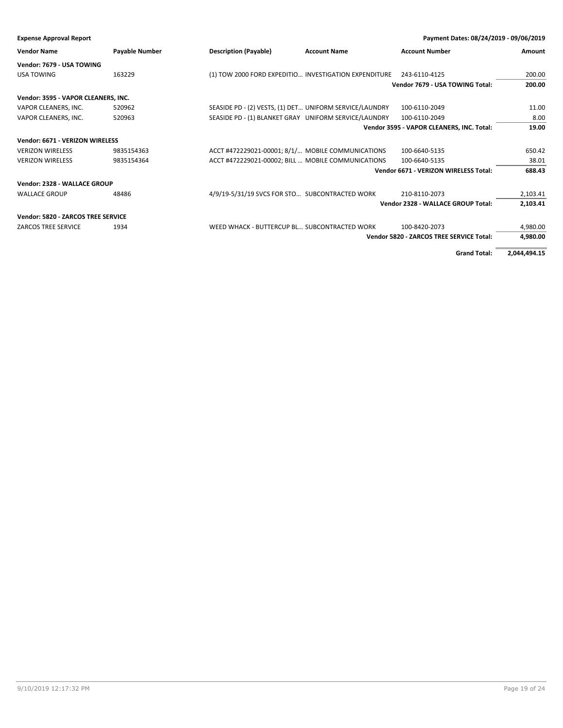| <b>Expense Approval Report</b>      |                       |                                                         |                     | Payment Dates: 08/24/2019 - 09/06/2019    |          |
|-------------------------------------|-----------------------|---------------------------------------------------------|---------------------|-------------------------------------------|----------|
| <b>Vendor Name</b>                  | <b>Payable Number</b> | <b>Description (Payable)</b>                            | <b>Account Name</b> | <b>Account Number</b>                     | Amount   |
| Vendor: 7679 - USA TOWING           |                       |                                                         |                     |                                           |          |
| <b>USA TOWING</b>                   | 163229                | (1) TOW 2000 FORD EXPEDITIO INVESTIGATION EXPENDITURE   |                     | 243-6110-4125                             | 200.00   |
|                                     |                       |                                                         |                     | Vendor 7679 - USA TOWING Total:           | 200.00   |
| Vendor: 3595 - VAPOR CLEANERS, INC. |                       |                                                         |                     |                                           |          |
| VAPOR CLEANERS, INC.                | 520962                | SEASIDE PD - (2) VESTS, (1) DET UNIFORM SERVICE/LAUNDRY |                     | 100-6110-2049                             | 11.00    |
| VAPOR CLEANERS, INC.                | 520963                | SEASIDE PD - (1) BLANKET GRAY UNIFORM SERVICE/LAUNDRY   |                     | 100-6110-2049                             | 8.00     |
|                                     |                       |                                                         |                     | Vendor 3595 - VAPOR CLEANERS, INC. Total: | 19.00    |
| Vendor: 6671 - VERIZON WIRELESS     |                       |                                                         |                     |                                           |          |
| <b>VERIZON WIRELESS</b>             | 9835154363            | ACCT #472229021-00001; 8/1/ MOBILE COMMUNICATIONS       |                     | 100-6640-5135                             | 650.42   |
| <b>VERIZON WIRELESS</b>             | 9835154364            | ACCT #472229021-00002; BILL  MOBILE COMMUNICATIONS      |                     | 100-6640-5135                             | 38.01    |
|                                     |                       |                                                         |                     | Vendor 6671 - VERIZON WIRELESS Total:     | 688.43   |
| Vendor: 2328 - WALLACE GROUP        |                       |                                                         |                     |                                           |          |
| <b>WALLACE GROUP</b>                | 48486                 | 4/9/19-5/31/19 SVCS FOR STO SUBCONTRACTED WORK          |                     | 210-8110-2073                             | 2,103.41 |
|                                     |                       |                                                         |                     | Vendor 2328 - WALLACE GROUP Total:        | 2,103.41 |
| Vendor: 5820 - ZARCOS TREE SERVICE  |                       |                                                         |                     |                                           |          |
| <b>ZARCOS TREE SERVICE</b>          | 1934                  | WEED WHACK - BUTTERCUP BL SUBCONTRACTED WORK            |                     | 100-8420-2073                             | 4,980.00 |
|                                     |                       |                                                         |                     | Vendor 5820 - ZARCOS TREE SERVICE Total:  | 4,980.00 |

**Grand Total: 2,044,494.15**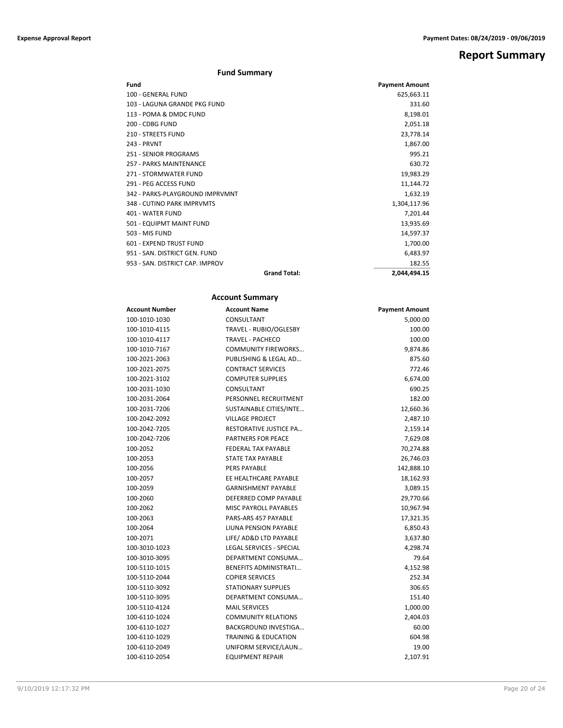**Report Summary**

### **Fund Summary**

| Fund                            |                     | <b>Payment Amount</b> |
|---------------------------------|---------------------|-----------------------|
| 100 - GENERAL FUND              |                     | 625,663.11            |
| 103 - LAGUNA GRANDE PKG FUND    |                     | 331.60                |
| 113 - POMA & DMDC FUND          |                     | 8,198.01              |
| 200 - CDBG FUND                 |                     | 2,051.18              |
| <b>210 - STREETS FUND</b>       |                     | 23,778.14             |
| 243 - PRVNT                     |                     | 1,867.00              |
| 251 - SENIOR PROGRAMS           |                     | 995.21                |
| 257 - PARKS MAINTENANCE         |                     | 630.72                |
| 271 - STORMWATER FUND           |                     | 19,983.29             |
| 291 - PEG ACCESS FUND           |                     | 11,144.72             |
| 342 - PARKS-PLAYGROUND IMPRVMNT |                     | 1,632.19              |
| 348 - CUTINO PARK IMPRVMTS      |                     | 1,304,117.96          |
| 401 - WATER FUND                |                     | 7,201.44              |
| 501 - EQUIPMT MAINT FUND        |                     | 13,935.69             |
| 503 - MIS FUND                  |                     | 14,597.37             |
| 601 - EXPEND TRUST FUND         |                     | 1,700.00              |
| 951 - SAN, DISTRICT GEN, FUND   |                     | 6,483.97              |
| 953 - SAN, DISTRICT CAP, IMPROV |                     | 182.55                |
|                                 | <b>Grand Total:</b> | 2,044,494.15          |

## **Account Summary**

| <b>Account Number</b> | <b>Account Name</b>             | <b>Payment Amount</b> |
|-----------------------|---------------------------------|-----------------------|
| 100-1010-1030         | CONSULTANT                      | 5,000.00              |
| 100-1010-4115         | TRAVEL - RUBIO/OGLESBY          | 100.00                |
| 100-1010-4117         | <b>TRAVEL - PACHECO</b>         | 100.00                |
| 100-1010-7167         | <b>COMMUNITY FIREWORKS</b>      | 9,874.86              |
| 100-2021-2063         | PUBLISHING & LEGAL AD           | 875.60                |
| 100-2021-2075         | <b>CONTRACT SERVICES</b>        | 772.46                |
| 100-2021-3102         | <b>COMPUTER SUPPLIES</b>        | 6,674.00              |
| 100-2031-1030         | CONSULTANT                      | 690.25                |
| 100-2031-2064         | PERSONNEL RECRUITMENT           | 182.00                |
| 100-2031-7206         | SUSTAINABLE CITIES/INTE         | 12,660.36             |
| 100-2042-2092         | <b>VILLAGE PROJECT</b>          | 2,487.10              |
| 100-2042-7205         | <b>RESTORATIVE JUSTICE PA</b>   | 2,159.14              |
| 100-2042-7206         | <b>PARTNERS FOR PEACE</b>       | 7,629.08              |
| 100-2052              | <b>FEDERAL TAX PAYABLE</b>      | 70,274.88             |
| 100-2053              | <b>STATE TAX PAYABLE</b>        | 26,746.03             |
| 100-2056              | <b>PERS PAYABLE</b>             | 142,888.10            |
| 100-2057              | EE HEALTHCARE PAYABLE           | 18,162.93             |
| 100-2059              | <b>GARNISHMENT PAYABLE</b>      | 3,089.15              |
| 100-2060              | DEFERRED COMP PAYABLE           | 29,770.66             |
| 100-2062              | <b>MISC PAYROLL PAYABLES</b>    | 10,967.94             |
| 100-2063              | PARS-ARS 457 PAYABLE            | 17,321.35             |
| 100-2064              | LIUNA PENSION PAYABLE           | 6,850.43              |
| 100-2071              | LIFE/ AD&D LTD PAYABLE          | 3,637.80              |
| 100-3010-1023         | <b>LEGAL SERVICES - SPECIAL</b> | 4,298.74              |
| 100-3010-3095         | DEPARTMENT CONSUMA              | 79.64                 |
| 100-5110-1015         | <b>BENEFITS ADMINISTRATI</b>    | 4,152.98              |
| 100-5110-2044         | <b>COPIER SERVICES</b>          | 252.34                |
| 100-5110-3092         | <b>STATIONARY SUPPLIES</b>      | 306.65                |
| 100-5110-3095         | DEPARTMENT CONSUMA              | 151.40                |
| 100-5110-4124         | <b>MAIL SERVICES</b>            | 1,000.00              |
| 100-6110-1024         | <b>COMMUNITY RELATIONS</b>      | 2,404.03              |
| 100-6110-1027         | <b>BACKGROUND INVESTIGA</b>     | 60.00                 |
| 100-6110-1029         | <b>TRAINING &amp; EDUCATION</b> | 604.98                |
| 100-6110-2049         | UNIFORM SERVICE/LAUN            | 19.00                 |
| 100-6110-2054         | <b>EQUIPMENT REPAIR</b>         | 2,107.91              |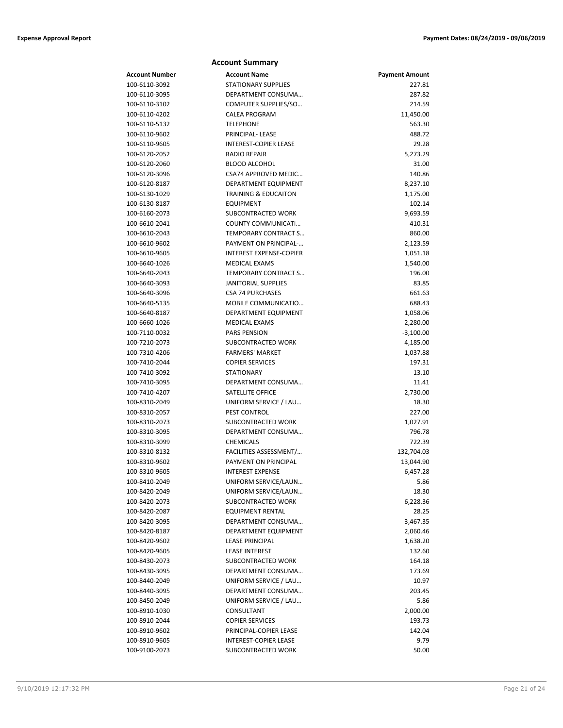|                | <b>Account Summary</b>          |                       |
|----------------|---------------------------------|-----------------------|
| Account Number | <b>Account Name</b>             | <b>Payment Amount</b> |
| 100-6110-3092  | <b>STATIONARY SUPPLIES</b>      | 227.81                |
| 100-6110-3095  | DEPARTMENT CONSUMA              | 287.82                |
| 100-6110-3102  | COMPUTER SUPPLIES/SO            | 214.59                |
| 100-6110-4202  | <b>CALEA PROGRAM</b>            | 11,450.00             |
| 100-6110-5132  | <b>TELEPHONE</b>                | 563.30                |
| 100-6110-9602  | PRINCIPAL- LEASE                | 488.72                |
| 100-6110-9605  | INTEREST-COPIER LEASE           | 29.28                 |
| 100-6120-2052  | <b>RADIO REPAIR</b>             | 5,273.29              |
| 100-6120-2060  | <b>BLOOD ALCOHOL</b>            | 31.00                 |
| 100-6120-3096  | CSA74 APPROVED MEDIC            | 140.86                |
| 100-6120-8187  | <b>DEPARTMENT EQUIPMENT</b>     | 8,237.10              |
| 100-6130-1029  | <b>TRAINING &amp; EDUCAITON</b> | 1,175.00              |
| 100-6130-8187  | <b>EQUIPMENT</b>                | 102.14                |
| 100-6160-2073  | SUBCONTRACTED WORK              | 9,693.59              |
| 100-6610-2041  | COUNTY COMMUNICATI              | 410.31                |
| 100-6610-2043  | TEMPORARY CONTRACT S            | 860.00                |
| 100-6610-9602  | PAYMENT ON PRINCIPAL-           | 2,123.59              |
| 100-6610-9605  | <b>INTEREST EXPENSE-COPIER</b>  | 1,051.18              |
| 100-6640-1026  | <b>MEDICAL EXAMS</b>            | 1,540.00              |
| 100-6640-2043  | <b>TEMPORARY CONTRACT S</b>     | 196.00                |
| 100-6640-3093  | <b>JANITORIAL SUPPLIES</b>      | 83.85                 |
| 100-6640-3096  | <b>CSA 74 PURCHASES</b>         | 661.63                |
| 100-6640-5135  | MOBILE COMMUNICATIO             | 688.43                |
| 100-6640-8187  | DEPARTMENT EQUIPMENT            | 1,058.06              |
| 100-6660-1026  | <b>MEDICAL EXAMS</b>            | 2,280.00              |
| 100-7110-0032  | <b>PARS PENSION</b>             | $-3,100.00$           |
| 100-7210-2073  | SUBCONTRACTED WORK              | 4,185.00              |
| 100-7310-4206  | <b>FARMERS' MARKET</b>          | 1,037.88              |
| 100-7410-2044  | <b>COPIER SERVICES</b>          | 197.31                |
| 100-7410-3092  | <b>STATIONARY</b>               | 13.10                 |
| 100-7410-3095  | DEPARTMENT CONSUMA              | 11.41                 |
| 100-7410-4207  | SATELLITE OFFICE                | 2,730.00              |
| 100-8310-2049  | UNIFORM SERVICE / LAU           | 18.30                 |
| 100-8310-2057  | PEST CONTROL                    | 227.00                |
| 100-8310-2073  | SUBCONTRACTED WORK              | 1,027.91              |
| 100-8310-3095  | DEPARTMENT CONSUMA              | 796.78                |
| 100-8310-3099  | <b>CHEMICALS</b>                | 722.39                |
| 100-8310-8132  | FACILITIES ASSESSMENT/          | 132,704.03            |
| 100-8310-9602  | PAYMENT ON PRINCIPAL            | 13,044.90             |
| 100-8310-9605  | <b>INTEREST EXPENSE</b>         | 6,457.28              |
| 100-8410-2049  | UNIFORM SERVICE/LAUN            | 5.86                  |
| 100-8420-2049  | UNIFORM SERVICE/LAUN            | 18.30                 |
| 100-8420-2073  | SUBCONTRACTED WORK              | 6,228.36              |
| 100-8420-2087  | <b>EQUIPMENT RENTAL</b>         | 28.25                 |
| 100-8420-3095  | DEPARTMENT CONSUMA              | 3,467.35              |
| 100-8420-8187  | DEPARTMENT EQUIPMENT            | 2,060.46              |
| 100-8420-9602  | <b>LEASE PRINCIPAL</b>          | 1,638.20              |
| 100-8420-9605  | <b>LEASE INTEREST</b>           | 132.60                |
| 100-8430-2073  | <b>SUBCONTRACTED WORK</b>       | 164.18                |
| 100-8430-3095  | DEPARTMENT CONSUMA              | 173.69                |
| 100-8440-2049  | UNIFORM SERVICE / LAU           | 10.97                 |
| 100-8440-3095  | DEPARTMENT CONSUMA              | 203.45                |
| 100-8450-2049  | UNIFORM SERVICE / LAU           | 5.86                  |
| 100-8910-1030  | CONSULTANT                      | 2,000.00              |
| 100-8910-2044  | <b>COPIER SERVICES</b>          | 193.73                |
| 100-8910-9602  | PRINCIPAL-COPIER LEASE          | 142.04                |
| 100-8910-9605  | <b>INTEREST-COPIER LEASE</b>    | 9.79                  |
| 100-9100-2073  | SUBCONTRACTED WORK              | 50.00                 |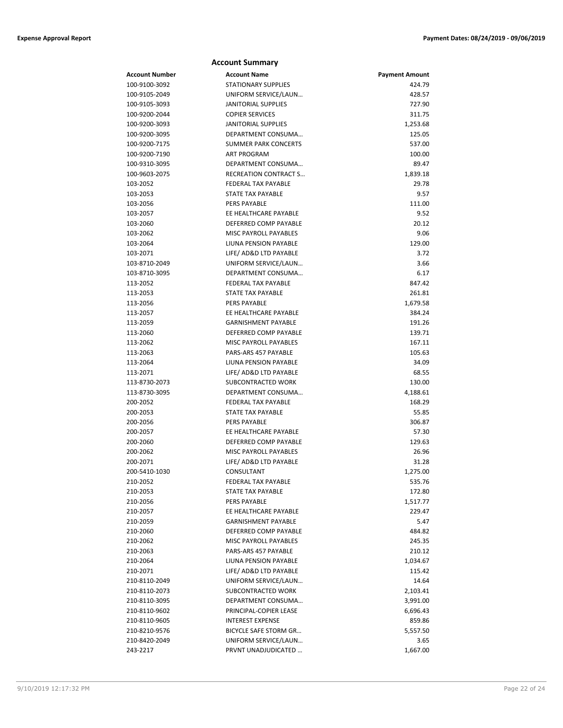|                | <b>Account Summary</b>       |                       |
|----------------|------------------------------|-----------------------|
| Account Number | <b>Account Name</b>          | <b>Payment Amount</b> |
| 100-9100-3092  | <b>STATIONARY SUPPLIES</b>   | 424.79                |
| 100-9105-2049  | UNIFORM SERVICE/LAUN         | 428.57                |
| 100-9105-3093  | <b>JANITORIAL SUPPLIES</b>   | 727.90                |
| 100-9200-2044  | <b>COPIER SERVICES</b>       | 311.75                |
| 100-9200-3093  | <b>JANITORIAL SUPPLIES</b>   | 1,253.68              |
| 100-9200-3095  | DEPARTMENT CONSUMA           | 125.05                |
| 100-9200-7175  | <b>SUMMER PARK CONCERTS</b>  | 537.00                |
| 100-9200-7190  | <b>ART PROGRAM</b>           | 100.00                |
| 100-9310-3095  | DEPARTMENT CONSUMA           | 89.47                 |
| 100-9603-2075  | <b>RECREATION CONTRACT S</b> | 1,839.18              |
| 103-2052       | <b>FEDERAL TAX PAYABLE</b>   | 29.78                 |
| 103-2053       | <b>STATE TAX PAYABLE</b>     | 9.57                  |
| 103-2056       | <b>PERS PAYABLE</b>          | 111.00                |
| 103-2057       | EE HEALTHCARE PAYABLE        | 9.52                  |
| 103-2060       | DEFERRED COMP PAYABLE        | 20.12                 |
| 103-2062       | MISC PAYROLL PAYABLES        | 9.06                  |
| 103-2064       | LIUNA PENSION PAYABLE        | 129.00                |
| 103-2071       | LIFE/ AD&D LTD PAYABLE       | 3.72                  |
| 103-8710-2049  | UNIFORM SERVICE/LAUN         | 3.66                  |
| 103-8710-3095  | DEPARTMENT CONSUMA           | 6.17                  |
| 113-2052       | <b>FEDERAL TAX PAYABLE</b>   | 847.42                |
| 113-2053       | STATE TAX PAYABLE            | 261.81                |
| 113-2056       | <b>PERS PAYABLE</b>          | 1,679.58              |
| 113-2057       | EE HEALTHCARE PAYABLE        | 384.24                |
| 113-2059       | <b>GARNISHMENT PAYABLE</b>   | 191.26                |
| 113-2060       | DEFERRED COMP PAYABLE        | 139.71                |
| 113-2062       | <b>MISC PAYROLL PAYABLES</b> | 167.11                |
| 113-2063       | PARS-ARS 457 PAYABLE         | 105.63                |
| 113-2064       | LIUNA PENSION PAYABLE        | 34.09                 |
| 113-2071       | LIFE/ AD&D LTD PAYABLE       | 68.55                 |
| 113-8730-2073  | SUBCONTRACTED WORK           | 130.00                |
| 113-8730-3095  | DEPARTMENT CONSUMA           | 4,188.61              |
| 200-2052       | <b>FEDERAL TAX PAYABLE</b>   | 168.29                |
| 200-2053       | STATE TAX PAYABLE            | 55.85                 |
| 200-2056       | <b>PERS PAYABLE</b>          | 306.87                |
| 200-2057       | EE HEALTHCARE PAYABLE        | 57.30                 |
| 200-2060       | DEFERRED COMP PAYABLE        | 129.63                |
| 200-2062       | <b>MISC PAYROLL PAYABLES</b> | 26.96                 |
| 200-2071       | LIFE/ AD&D LTD PAYABLE       | 31.28                 |
| 200-5410-1030  | CONSULTANT                   | 1,275.00              |
| 210-2052       | FEDERAL TAX PAYABLE          | 535.76                |
| 210-2053       | <b>STATE TAX PAYABLE</b>     | 172.80                |
| 210-2056       | PERS PAYABLE                 | 1,517.77              |
| 210-2057       | EE HEALTHCARE PAYABLE        | 229.47                |
| 210-2059       | <b>GARNISHMENT PAYABLE</b>   | 5.47                  |
| 210-2060       | DEFERRED COMP PAYABLE        | 484.82                |
| 210-2062       | MISC PAYROLL PAYABLES        | 245.35                |
| 210-2063       | PARS-ARS 457 PAYABLE         | 210.12                |
| 210-2064       | LIUNA PENSION PAYABLE        | 1,034.67              |
| 210-2071       | LIFE/ AD&D LTD PAYABLE       | 115.42                |
| 210-8110-2049  | UNIFORM SERVICE/LAUN         | 14.64                 |
| 210-8110-2073  | SUBCONTRACTED WORK           | 2,103.41              |
| 210-8110-3095  | DEPARTMENT CONSUMA           | 3,991.00              |
| 210-8110-9602  | PRINCIPAL-COPIER LEASE       | 6,696.43              |
| 210-8110-9605  | <b>INTEREST EXPENSE</b>      | 859.86                |
| 210-8210-9576  | <b>BICYCLE SAFE STORM GR</b> | 5,557.50              |
| 210-8420-2049  | UNIFORM SERVICE/LAUN         | 3.65                  |
| 243-2217       | PRVNT UNADJUDICATED          | 1,667.00              |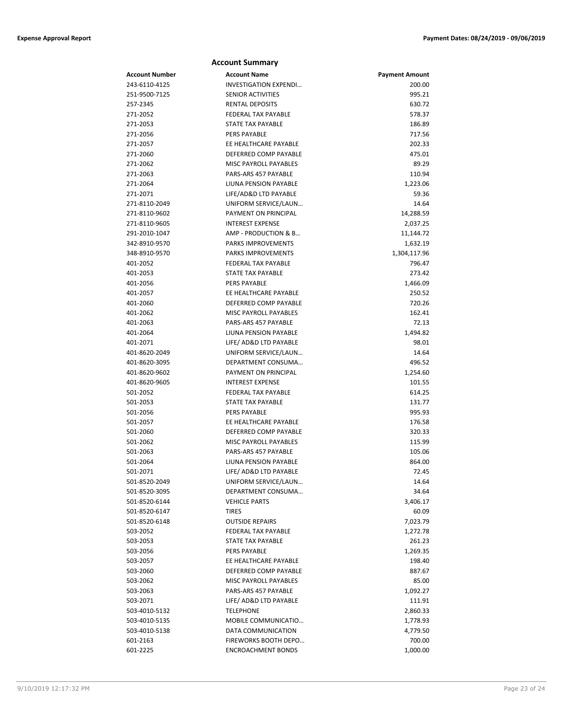| <b>Account Summary</b> |                                               |                       |  |
|------------------------|-----------------------------------------------|-----------------------|--|
| <b>Account Number</b>  | <b>Account Name</b>                           | <b>Payment Amount</b> |  |
| 243-6110-4125          | <b>INVESTIGATION EXPENDI</b>                  | 200.00                |  |
| 251-9500-7125          | <b>SENIOR ACTIVITIES</b>                      | 995.21                |  |
| 257-2345               | <b>RENTAL DEPOSITS</b>                        | 630.72                |  |
| 271-2052               | <b>FEDERAL TAX PAYABLE</b>                    | 578.37                |  |
| 271-2053               | <b>STATE TAX PAYABLE</b>                      | 186.89                |  |
| 271-2056               | <b>PERS PAYABLE</b>                           | 717.56                |  |
| 271-2057               | EE HEALTHCARE PAYABLE                         | 202.33                |  |
| 271-2060               | DEFERRED COMP PAYABLE                         | 475.01                |  |
| 271-2062               | <b>MISC PAYROLL PAYABLES</b>                  | 89.29                 |  |
| 271-2063               | PARS-ARS 457 PAYABLE                          | 110.94                |  |
| 271-2064               | LIUNA PENSION PAYABLE                         | 1,223.06              |  |
| 271-2071               | LIFE/AD&D LTD PAYABLE                         | 59.36                 |  |
| 271-8110-2049          | UNIFORM SERVICE/LAUN                          | 14.64                 |  |
| 271-8110-9602          | PAYMENT ON PRINCIPAL                          | 14,288.59             |  |
| 271-8110-9605          | <b>INTEREST EXPENSE</b>                       | 2,037.25              |  |
| 291-2010-1047          | AMP - PRODUCTION & B                          | 11,144.72             |  |
| 342-8910-9570          | <b>PARKS IMPROVEMENTS</b>                     | 1,632.19              |  |
| 348-8910-9570          | <b>PARKS IMPROVEMENTS</b>                     | 1,304,117.96          |  |
| 401-2052               | FEDERAL TAX PAYABLE                           | 796.47                |  |
| 401-2053               | <b>STATE TAX PAYABLE</b>                      | 273.42                |  |
| 401-2056               | <b>PERS PAYABLE</b>                           | 1,466.09              |  |
| 401-2057               | EE HEALTHCARE PAYABLE                         | 250.52                |  |
| 401-2060               | DEFERRED COMP PAYABLE                         | 720.26                |  |
| 401-2062               | MISC PAYROLL PAYABLES                         | 162.41                |  |
| 401-2063               | PARS-ARS 457 PAYABLE                          | 72.13                 |  |
| 401-2064               | LIUNA PENSION PAYABLE                         | 1,494.82              |  |
| 401-2071               | LIFE/ AD&D LTD PAYABLE                        | 98.01                 |  |
| 401-8620-2049          | UNIFORM SERVICE/LAUN                          | 14.64                 |  |
| 401-8620-3095          | DEPARTMENT CONSUMA                            | 496.52                |  |
| 401-8620-9602          | PAYMENT ON PRINCIPAL                          | 1,254.60              |  |
| 401-8620-9605          | <b>INTEREST EXPENSE</b>                       | 101.55                |  |
| 501-2052               | <b>FEDERAL TAX PAYABLE</b>                    | 614.25                |  |
| 501-2053               | <b>STATE TAX PAYABLE</b>                      | 131.77                |  |
| 501-2056               | <b>PERS PAYABLE</b>                           | 995.93                |  |
| 501-2057               | EE HEALTHCARE PAYABLE                         | 176.58                |  |
| 501-2060               | DEFERRED COMP PAYABLE                         | 320.33                |  |
| 501-2062               | <b>MISC PAYROLL PAYABLES</b>                  | 115.99                |  |
| 501-2063<br>501-2064   | PARS-ARS 457 PAYABLE<br>LIUNA PENSION PAYABLE | 105.06<br>864.00      |  |
| 501-2071               | LIFE/ AD&D LTD PAYABLE                        | 72.45                 |  |
| 501-8520-2049          | UNIFORM SERVICE/LAUN                          | 14.64                 |  |
| 501-8520-3095          | DEPARTMENT CONSUMA                            | 34.64                 |  |
| 501-8520-6144          | <b>VEHICLE PARTS</b>                          | 3,406.17              |  |
| 501-8520-6147          | TIRES                                         | 60.09                 |  |
| 501-8520-6148          | <b>OUTSIDE REPAIRS</b>                        | 7,023.79              |  |
| 503-2052               | FEDERAL TAX PAYABLE                           | 1,272.78              |  |
| 503-2053               | STATE TAX PAYABLE                             | 261.23                |  |
| 503-2056               | PERS PAYABLE                                  | 1,269.35              |  |
| 503-2057               | EE HEALTHCARE PAYABLE                         | 198.40                |  |
| 503-2060               | DEFERRED COMP PAYABLE                         | 887.67                |  |
| 503-2062               | MISC PAYROLL PAYABLES                         | 85.00                 |  |
| 503-2063               | PARS-ARS 457 PAYABLE                          | 1,092.27              |  |
| 503-2071               | LIFE/ AD&D LTD PAYABLE                        | 111.91                |  |
| 503-4010-5132          | <b>TELEPHONE</b>                              | 2,860.33              |  |
| 503-4010-5135          | MOBILE COMMUNICATIO                           | 1,778.93              |  |
| 503-4010-5138          | DATA COMMUNICATION                            | 4,779.50              |  |
| 601-2163               | FIREWORKS BOOTH DEPO                          | 700.00                |  |
| 601-2225               | <b>ENCROACHMENT BONDS</b>                     | 1,000.00              |  |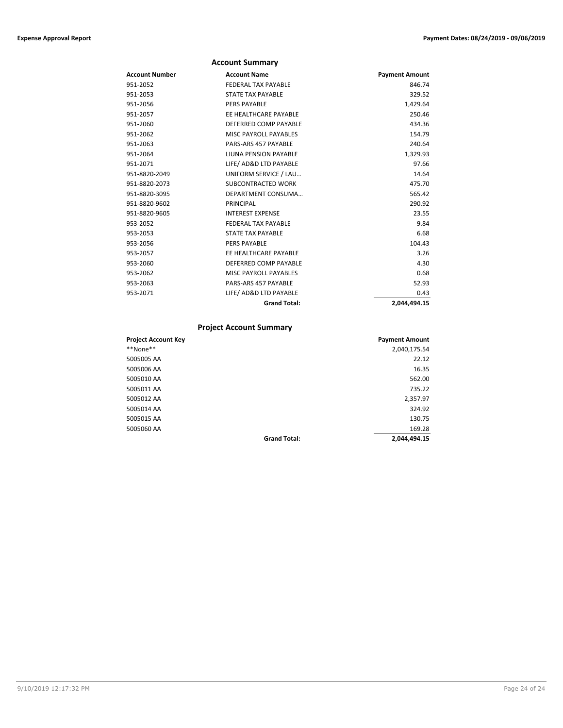|                       | <b>Account Summary</b>       |                       |
|-----------------------|------------------------------|-----------------------|
| <b>Account Number</b> | <b>Account Name</b>          | <b>Payment Amount</b> |
| 951-2052              | FFDFRAI TAX PAYARIF          | 846.74                |
| 951-2053              | <b>STATE TAX PAYABLE</b>     | 329.52                |
| 951-2056              | <b>PERS PAYABLE</b>          | 1,429.64              |
| 951-2057              | EE HEALTHCARE PAYABLE        | 250.46                |
| 951-2060              | DEFERRED COMP PAYABLE        | 434.36                |
| 951-2062              | <b>MISC PAYROLL PAYABLES</b> | 154.79                |
| 951-2063              | PARS-ARS 457 PAYABLE         | 240.64                |
| 951-2064              | LIUNA PENSION PAYABLE        | 1,329.93              |
| 951-2071              | LIFE/ AD&D LTD PAYABLE       | 97.66                 |
| 951-8820-2049         | UNIFORM SERVICE / LAU        | 14.64                 |
| 951-8820-2073         | SUBCONTRACTED WORK           | 475.70                |
| 951-8820-3095         | DEPARTMENT CONSUMA           | 565.42                |
| 951-8820-9602         | PRINCIPAL                    | 290.92                |
| 951-8820-9605         | <b>INTEREST EXPENSE</b>      | 23.55                 |
| 953-2052              | <b>FEDERAL TAX PAYABLE</b>   | 9.84                  |
| 953-2053              | <b>STATE TAX PAYABLE</b>     | 6.68                  |
| 953-2056              | <b>PERS PAYABLE</b>          | 104.43                |
| 953-2057              | FF HFAI THCARF PAYARI F      | 3.26                  |
| 953-2060              | DEFERRED COMP PAYABLE        | 4.30                  |
| 953-2062              | <b>MISC PAYROLL PAYABLES</b> | 0.68                  |
| 953-2063              | PARS-ARS 457 PAYABLE         | 52.93                 |
| 953-2071              | LIFE/ AD&D LTD PAYABLE       | 0.43                  |
|                       | <b>Grand Total:</b>          | 2.044.494.15          |

## **Project Account Summary**

| <b>Project Account Key</b> |                     | <b>Payment Amount</b> |
|----------------------------|---------------------|-----------------------|
| **None**                   |                     | 2,040,175.54          |
| 5005005 AA                 |                     | 22.12                 |
| 5005006 AA                 |                     | 16.35                 |
| 5005010 AA                 |                     | 562.00                |
| 5005011 AA                 |                     | 735.22                |
| 5005012 AA                 |                     | 2,357.97              |
| 5005014 AA                 |                     | 324.92                |
| 5005015 AA                 |                     | 130.75                |
| 5005060 AA                 |                     | 169.28                |
|                            | <b>Grand Total:</b> | 2,044,494.15          |
|                            |                     |                       |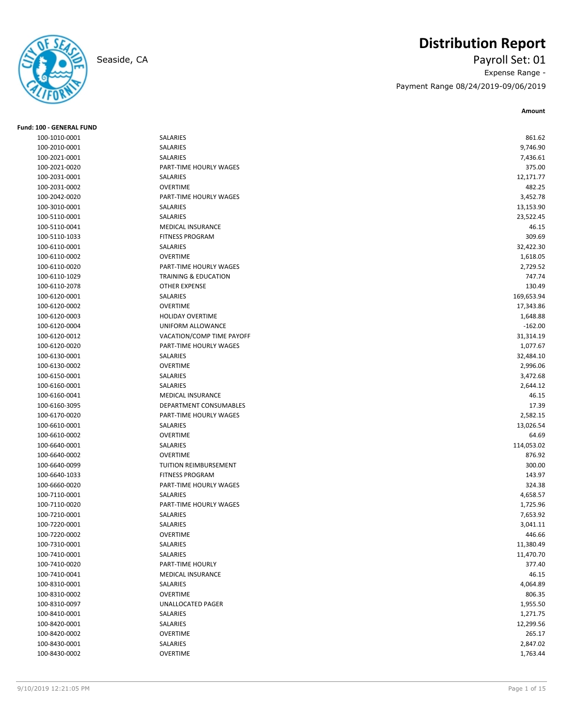

**Fund: 100 - GENERAL FUND**

## **Distribution Report**

Seaside, CA Payroll Set: 01 Expense Range - Payment Range 08/24/2019-09/06/2019

**Amount**

| 100-1010-0001 | SALARIES                  | 861.62     |
|---------------|---------------------------|------------|
| 100-2010-0001 | <b>SALARIES</b>           | 9,746.90   |
| 100-2021-0001 | SALARIES                  | 7,436.61   |
| 100-2021-0020 | PART-TIME HOURLY WAGES    | 375.00     |
| 100-2031-0001 | SALARIES                  | 12,171.77  |
| 100-2031-0002 | <b>OVERTIME</b>           | 482.25     |
| 100-2042-0020 | PART-TIME HOURLY WAGES    | 3,452.78   |
| 100-3010-0001 | SALARIES                  | 13,153.90  |
| 100-5110-0001 | SALARIES                  | 23,522.45  |
| 100-5110-0041 | <b>MEDICAL INSURANCE</b>  | 46.15      |
| 100-5110-1033 | <b>FITNESS PROGRAM</b>    | 309.69     |
| 100-6110-0001 | SALARIES                  | 32,422.30  |
| 100-6110-0002 | <b>OVERTIME</b>           | 1,618.05   |
| 100-6110-0020 | PART-TIME HOURLY WAGES    | 2,729.52   |
| 100-6110-1029 | TRAINING & EDUCATION      | 747.74     |
| 100-6110-2078 | <b>OTHER EXPENSE</b>      | 130.49     |
| 100-6120-0001 | SALARIES                  | 169,653.94 |
| 100-6120-0002 | <b>OVERTIME</b>           | 17,343.86  |
| 100-6120-0003 | <b>HOLIDAY OVERTIME</b>   | 1,648.88   |
| 100-6120-0004 | UNIFORM ALLOWANCE         | $-162.00$  |
| 100-6120-0012 | VACATION/COMP TIME PAYOFF | 31,314.19  |
| 100-6120-0020 | PART-TIME HOURLY WAGES    | 1,077.67   |
| 100-6130-0001 | SALARIES                  | 32,484.10  |
| 100-6130-0002 | <b>OVERTIME</b>           | 2,996.06   |
| 100-6150-0001 | SALARIES                  | 3,472.68   |
| 100-6160-0001 | SALARIES                  | 2,644.12   |
| 100-6160-0041 | MEDICAL INSURANCE         | 46.15      |
| 100-6160-3095 | DEPARTMENT CONSUMABLES    | 17.39      |
| 100-6170-0020 | PART-TIME HOURLY WAGES    | 2,582.15   |
| 100-6610-0001 | SALARIES                  | 13,026.54  |
| 100-6610-0002 | <b>OVERTIME</b>           | 64.69      |
| 100-6640-0001 | SALARIES                  | 114,053.02 |
| 100-6640-0002 | <b>OVERTIME</b>           | 876.92     |
| 100-6640-0099 | TUITION REIMBURSEMENT     | 300.00     |
| 100-6640-1033 | <b>FITNESS PROGRAM</b>    | 143.97     |
| 100-6660-0020 | PART-TIME HOURLY WAGES    | 324.38     |
| 100-7110-0001 | SALARIES                  | 4,658.57   |
| 100-7110-0020 | PART-TIME HOURLY WAGES    | 1,725.96   |
| 100-7210-0001 | SALARIES                  | 7,653.92   |
| 100-7220-0001 | SALARIES                  | 3,041.11   |
| 100-7220-0002 | <b>OVERTIME</b>           | 446.66     |
| 100-7310-0001 | SALARIES                  | 11,380.49  |
| 100-7410-0001 | SALARIES                  | 11,470.70  |
| 100-7410-0020 | PART-TIME HOURLY          | 377.40     |
| 100-7410-0041 | MEDICAL INSURANCE         | 46.15      |
| 100-8310-0001 | SALARIES                  | 4,064.89   |
| 100-8310-0002 | <b>OVERTIME</b>           | 806.35     |
| 100-8310-0097 | <b>UNALLOCATED PAGER</b>  | 1,955.50   |
| 100-8410-0001 | SALARIES                  | 1,271.75   |
| 100-8420-0001 | SALARIES                  | 12,299.56  |
| 100-8420-0002 | <b>OVERTIME</b>           | 265.17     |
| 100-8430-0001 | SALARIES                  | 2,847.02   |
| 100-8430-0002 | OVERTIME                  | 1,763.44   |
|               |                           |            |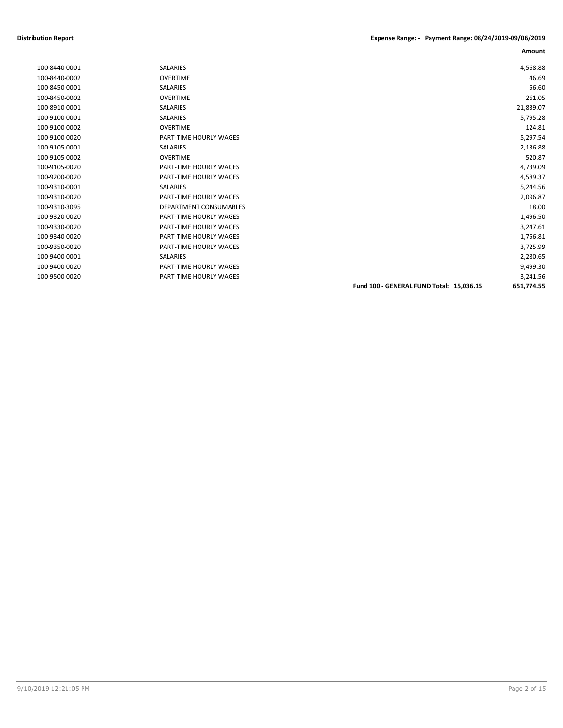| SALARIES                      |                                          | 4,568.88   |
|-------------------------------|------------------------------------------|------------|
| <b>OVERTIME</b>               |                                          | 46.69      |
| <b>SALARIES</b>               |                                          | 56.60      |
| <b>OVERTIME</b>               |                                          | 261.05     |
| <b>SALARIES</b>               |                                          | 21,839.07  |
| <b>SALARIES</b>               |                                          | 5,795.28   |
| <b>OVERTIME</b>               |                                          | 124.81     |
| PART-TIME HOURLY WAGES        |                                          | 5,297.54   |
| <b>SALARIES</b>               |                                          | 2,136.88   |
| <b>OVERTIME</b>               |                                          | 520.87     |
| <b>PART-TIME HOURLY WAGES</b> |                                          | 4,739.09   |
| <b>PART-TIME HOURLY WAGES</b> |                                          | 4,589.37   |
| <b>SALARIES</b>               |                                          | 5,244.56   |
| <b>PART-TIME HOURLY WAGES</b> |                                          | 2,096.87   |
| DEPARTMENT CONSUMABLES        |                                          | 18.00      |
| <b>PART-TIME HOURLY WAGES</b> |                                          | 1,496.50   |
| <b>PART-TIME HOURLY WAGES</b> |                                          | 3,247.61   |
| PART-TIME HOURLY WAGES        |                                          | 1,756.81   |
| <b>PART-TIME HOURLY WAGES</b> |                                          | 3,725.99   |
| <b>SALARIES</b>               |                                          | 2,280.65   |
| <b>PART-TIME HOURLY WAGES</b> |                                          | 9,499.30   |
| <b>PART-TIME HOURLY WAGES</b> |                                          | 3,241.56   |
|                               | Fund 100 - GENERAL FUND Total: 15,036.15 | 651,774.55 |
|                               |                                          |            |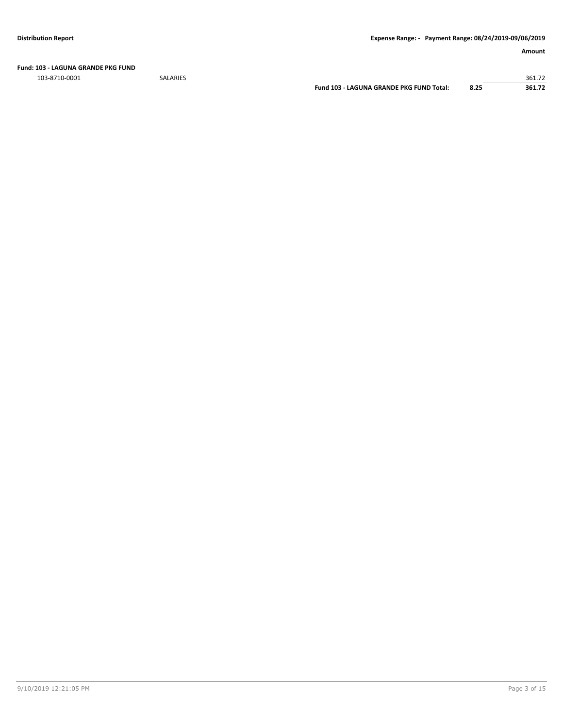**Fund: 103 - LAGUNA GRANDE PKG FUND**

103-8710-0001 SALARIES 361.72

**Fund 103 - LAGUNA GRANDE PKG FUND Total: 8.25 361.72**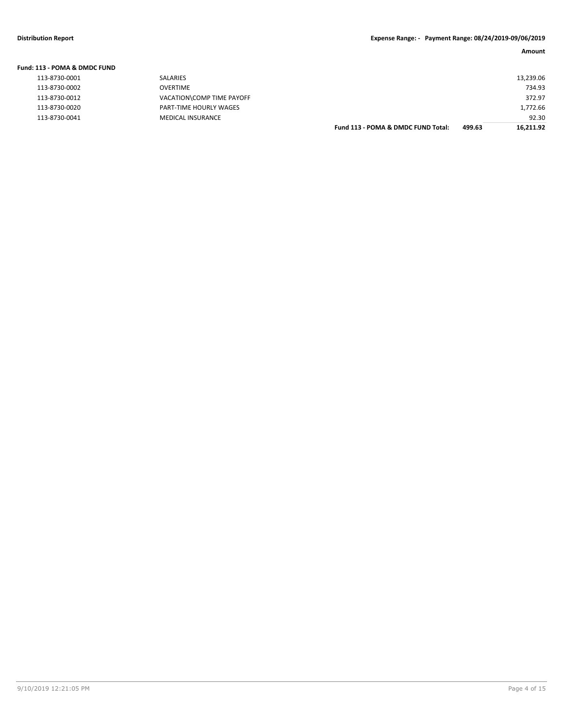| Fund: 113 - POMA & DMDC FUND |                           |                                    |        |           |
|------------------------------|---------------------------|------------------------------------|--------|-----------|
| 113-8730-0001                | SALARIES                  |                                    |        | 13,239.06 |
| 113-8730-0002                | <b>OVERTIME</b>           |                                    |        | 734.93    |
| 113-8730-0012                | VACATION\COMP TIME PAYOFF |                                    |        | 372.97    |
| 113-8730-0020                | PART-TIME HOURLY WAGES    |                                    |        | 1,772.66  |
| 113-8730-0041                | <b>MEDICAL INSURANCE</b>  |                                    |        | 92.30     |
|                              |                           | Fund 113 - POMA & DMDC FUND Total: | 499.63 | 16.211.92 |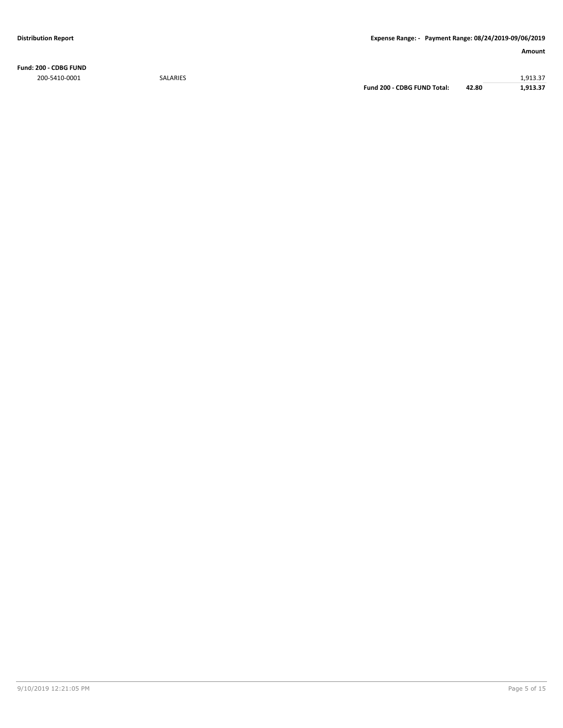**Fund: 200 - CDBG FUND** 200-5410-0001 SALARIES 1,913.37

**Fund 200 - CDBG FUND Total: 42.80 1,913.37**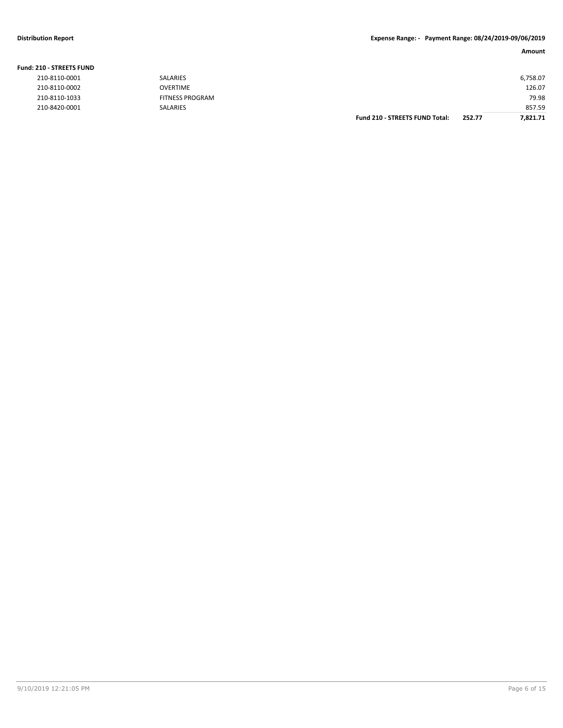## **Distribution Report Expense Range: - Payment Range: 08/24/2019-09/06/2019**

### **Amount**

| <b>210 - STREETS FUND</b> |                 |                                       |        |          |
|---------------------------|-----------------|---------------------------------------|--------|----------|
| 210-8110-0001             | SALARIES        |                                       |        | 6,758.07 |
| 210-8110-0002             | <b>OVERTIME</b> |                                       |        | 126.07   |
| 210-8110-1033             | FITNESS PROGRAM |                                       |        | 79.98    |
| 210-8420-0001             | SALARIES        |                                       |        | 857.59   |
|                           |                 | <b>Fund 210 - STREETS FUND Total:</b> | 252.77 | 7.821.71 |

### **Fund: 210 - STREETS FUND**

| 210-8110-0001 |
|---------------|
| 210-8110-0002 |
| 210-8110-1033 |
| 210-8420-0001 |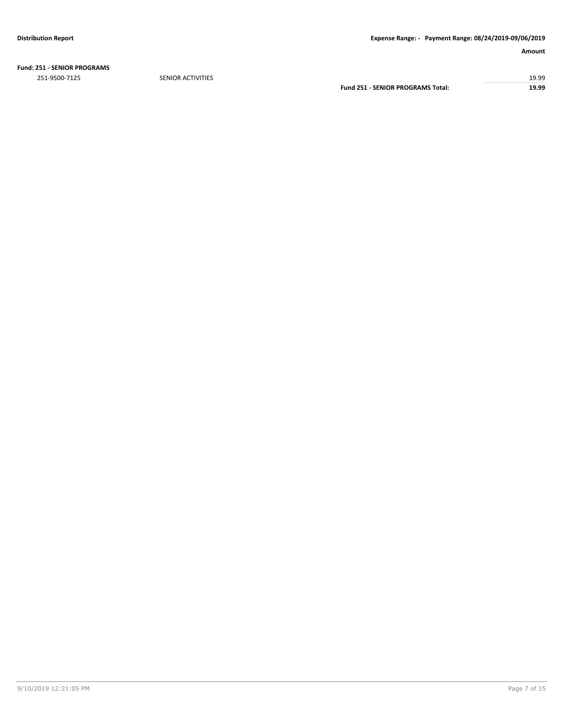**Fund: 251 - SENIOR PROGRAMS**

251-9500-7125 SENIOR ACTIVITIES 19.99

**Fund 251 - SENIOR PROGRAMS Total: 19.99**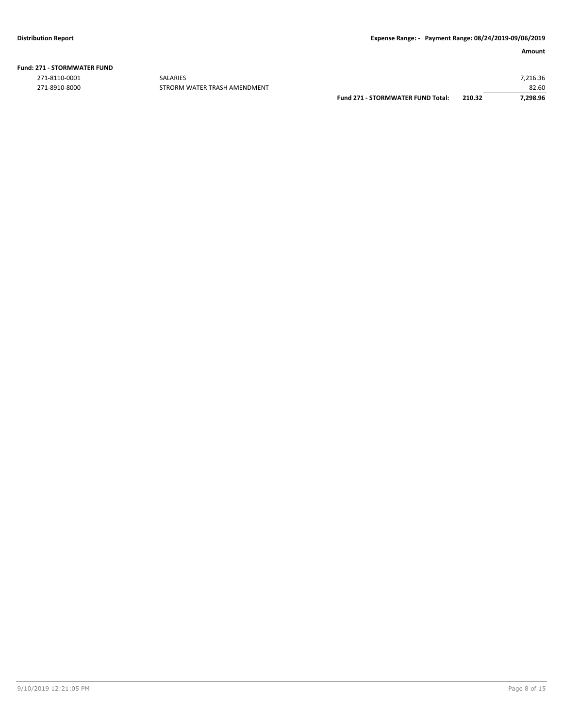| <b>Fund: 271 - STORMWATER FUND</b> |  |  |  |
|------------------------------------|--|--|--|
|------------------------------------|--|--|--|

271-8110-0001 SALARIES 7,216.36

82.60 82.60 STRORM WATER TRASH AMENDMENT FUND 271-870RMWATER FUND Total: 210.32 82.60 271-8910-8000 **Fund 271 - STORMWATER FUND Total: 210.32**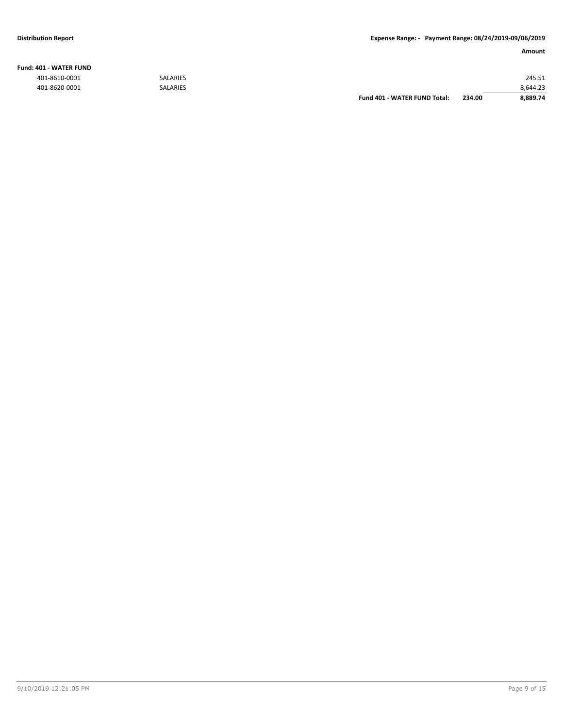## **Fund: 401 - WATER FUND**

|               |                 | Fund 401 - WATER FUND Total: | 234.00 | 8.889.74 |
|---------------|-----------------|------------------------------|--------|----------|
| 401-8620-0001 | <b>SALARIES</b> |                              |        | 8,644.23 |
| 401-8610-0001 | <b>SALARIES</b> |                              |        | 245.51   |
|               |                 |                              |        |          |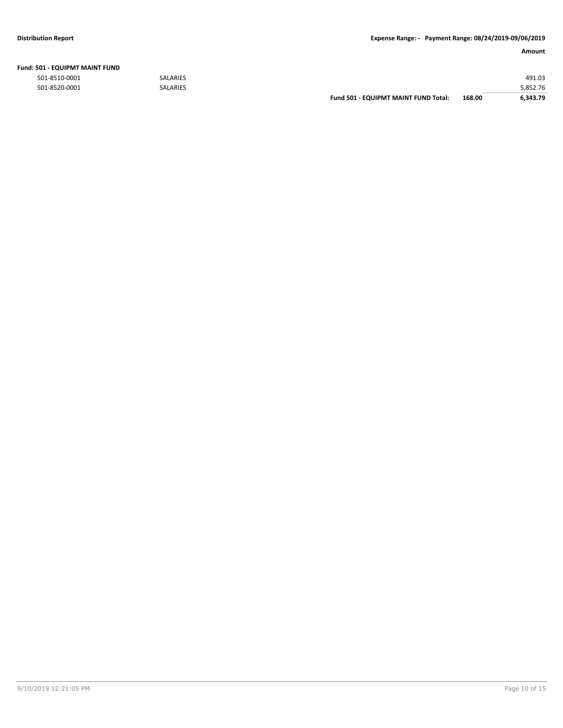| Fund: 501 - EQUIPMT MAINT FUND |  |
|--------------------------------|--|
|--------------------------------|--|

501-8510-0001 SALARIES 491.03

| 501-8520-0001 | <b>SALARIES</b> |                                             |        | 5.852.76 |
|---------------|-----------------|---------------------------------------------|--------|----------|
|               |                 | <b>Fund 501 - EQUIPMT MAINT FUND Total:</b> | 168.00 | 6.343.79 |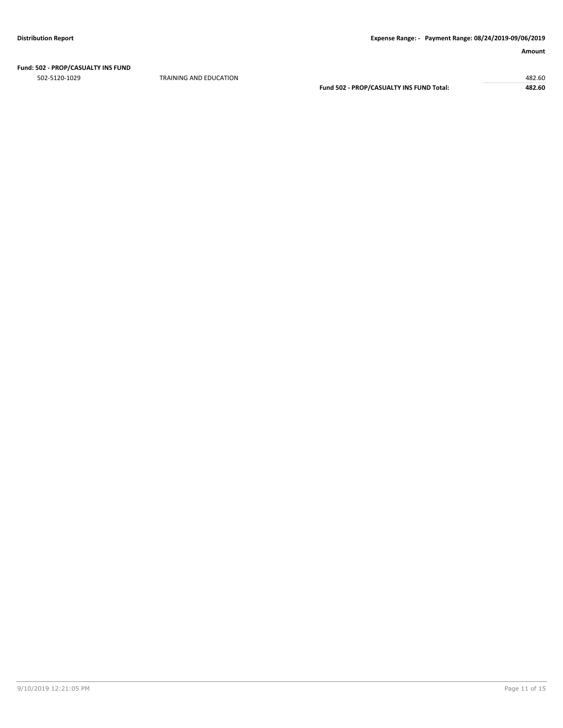## **Fund: 502 - PROP/CASUALTY INS FUND**

502-5120-1029 TRAINING AND EDUCATION 482.60

**Fund 502 - PROP/CASUALTY INS FUND Total: 482.60**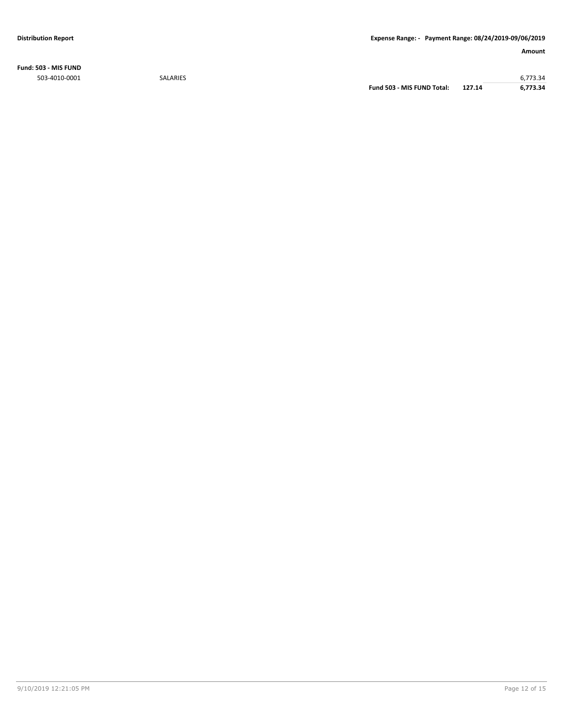**Fund: 503 - MIS FUND**

503-4010-0001 SALARIES 6,773.34 **Fund 503 - MIS FUND Total: 127.14 6,773.34**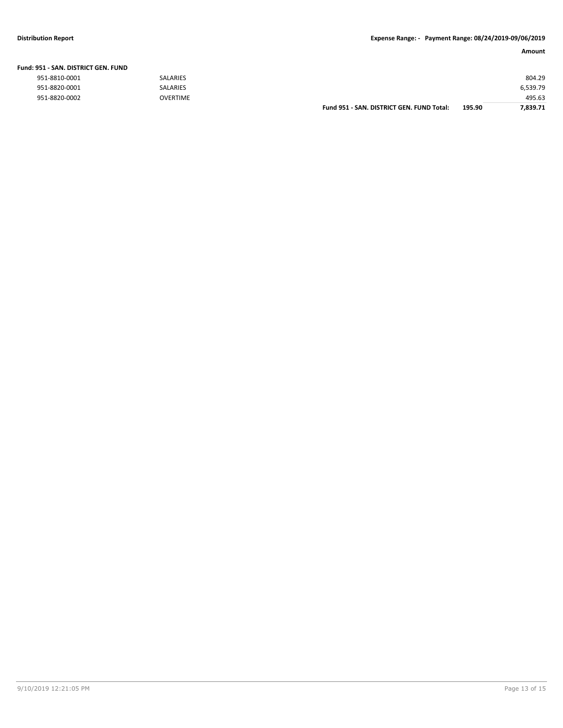### **Distribution Report Expense Range: - Payment Range: 08/24/2019-09/06/2019**

| Fund: 951 - SAN. DISTRICT GEN. FUND |                 |                                           |        |          |
|-------------------------------------|-----------------|-------------------------------------------|--------|----------|
| 951-8810-0001                       | <b>SALARIES</b> |                                           |        | 804.29   |
| 951-8820-0001                       | <b>SALARIES</b> |                                           |        | 6,539.79 |
| 951-8820-0002                       | <b>OVERTIME</b> |                                           |        | 495.63   |
|                                     |                 | Fund 951 - SAN, DISTRICT GEN, FUND Total: | 195.90 | 7.839.71 |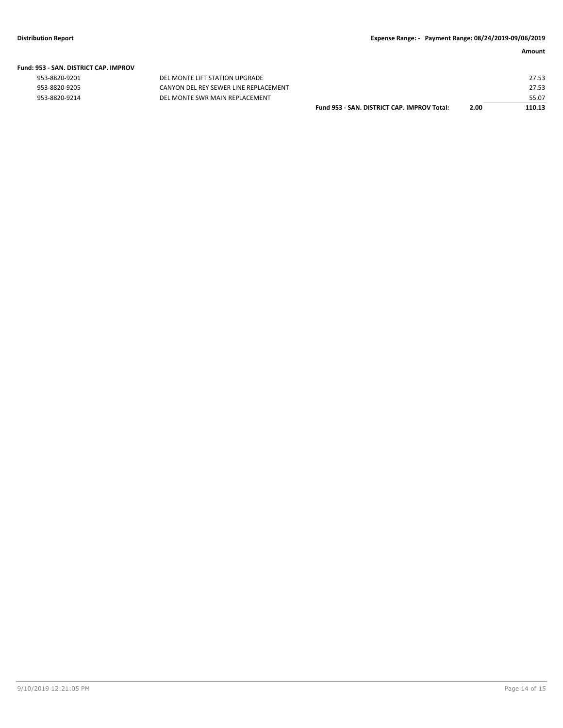| 953-8820-9201 |  |
|---------------|--|
| 953-8820-9205 |  |
|               |  |

DEL MONTE LIFT STATION UPGRADE 953-8820-9205 CANYON DEL REY SEWER LINE REPLACEMENT<br>953-8820-9214 DEL MONTE SWR MAIN REPLACEMENT DEL MONTE SWR MAIN REPLACEMENT

| Fund 953 - SAN. DISTRICT CAP. IMPROV Total: | 2.00 | 110.13 |
|---------------------------------------------|------|--------|
|                                             |      | 55.07  |
|                                             |      | 27.53  |
|                                             |      | 27.53  |
|                                             |      |        |